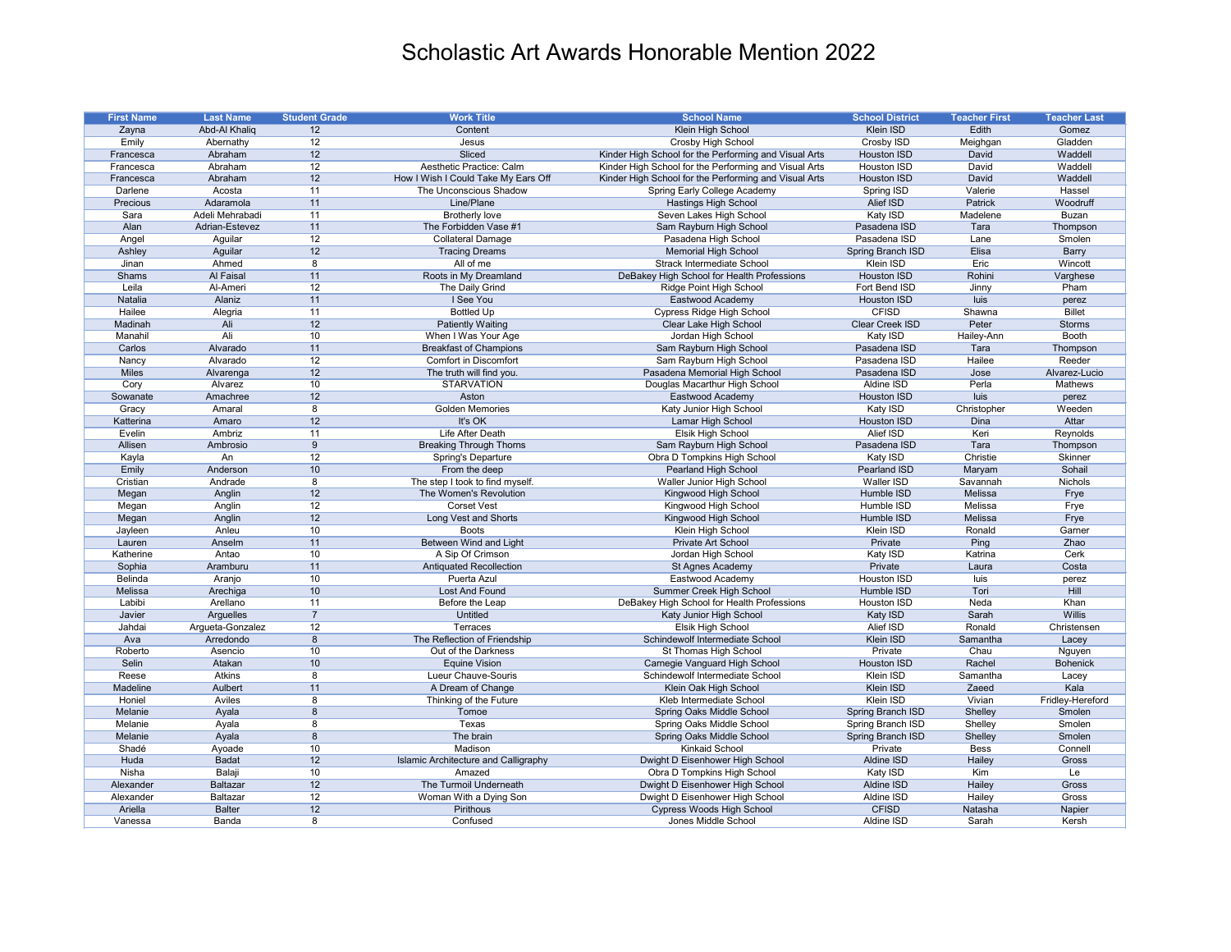| <b>First Name</b> | <b>Last Name</b> | <b>Student Grade</b> | <b>Work Title</b>                    | <b>School Name</b>                                    | <b>School District</b> | <b>Teacher First</b> | <b>Teacher Last</b> |
|-------------------|------------------|----------------------|--------------------------------------|-------------------------------------------------------|------------------------|----------------------|---------------------|
| Zayna             | Abd-Al Khaliq    | 12                   | Content                              | Klein High School                                     | Klein ISD              | Edith                | Gomez               |
| Emily             | Abernathy        | 12                   | Jesus                                | Crosby High School                                    | Crosby ISD             | Meighgan             | Gladden             |
| Francesca         | Abraham          | 12                   | Sliced                               | Kinder High School for the Performing and Visual Arts | <b>Houston ISD</b>     | David                | Waddell             |
| Francesca         | Abraham          | 12                   | Aesthetic Practice: Calm             | Kinder High School for the Performing and Visual Arts | Houston ISD            | David                | Waddell             |
| Francesca         | Abraham          | 12                   | How I Wish I Could Take My Ears Off  | Kinder High School for the Performing and Visual Arts | <b>Houston ISD</b>     | David                | Waddell             |
| Darlene           | Acosta           | 11                   | The Unconscious Shadow               | Spring Early College Academy                          | <b>Spring ISD</b>      | Valerie              | Hassel              |
| Precious          | Adaramola        | 11                   | Line/Plane                           | <b>Hastings High School</b>                           | Alief ISD              | Patrick              | Woodruff            |
| Sara              | Adeli Mehrabadi  | 11                   | <b>Brotherly love</b>                | Seven Lakes High School                               | Katy ISD               | Madelene             | <b>Buzan</b>        |
| Alan              | Adrian-Estevez   | 11                   | The Forbidden Vase #1                | Sam Rayburn High School                               | Pasadena ISD           | Tara                 | Thompson            |
| Angel             | Aguilar          | 12                   | <b>Collateral Damage</b>             | Pasadena High School                                  | Pasadena ISD           | Lane                 | Smolen              |
| Ashley            | Aguilar          | 12                   | <b>Tracing Dreams</b>                | <b>Memorial High School</b>                           | Spring Branch ISD      | Elisa                | <b>Barry</b>        |
| Jinan             | Ahmed            | 8                    | All of me                            | <b>Strack Intermediate School</b>                     | Klein ISD              | Eric                 | Wincott             |
| Shams             | Al Faisal        | 11                   | Roots in My Dreamland                | DeBakey High School for Health Professions            | Houston ISD            | Rohini               | Varghese            |
| Leila             | Al-Ameri         | 12                   | The Daily Grind                      | Ridge Point High School                               | Fort Bend ISD          | Jinny                | Pham                |
| Natalia           | Alaniz           | 11                   | I See You                            | Eastwood Academy                                      | Houston ISD            | luis                 | perez               |
| Hailee            | Alegria          | 11                   | <b>Bottled Up</b>                    | <b>Cypress Ridge High School</b>                      | <b>CFISD</b>           | Shawna               | <b>Billet</b>       |
| Madinah           | Ali              | 12                   | <b>Patiently Waiting</b>             | Clear Lake High School                                | Clear Creek ISD        | Peter                | <b>Storms</b>       |
| Manahil           | Ali              | 10                   | When I Was Your Age                  | Jordan High School                                    | Katy ISD               | Hailey-Ann           | <b>Booth</b>        |
| Carlos            | Alvarado         | 11                   | <b>Breakfast of Champions</b>        | Sam Rayburn High School                               | Pasadena ISD           | Tara                 | Thompson            |
| Nancy             | Alvarado         | 12                   | <b>Comfort in Discomfort</b>         | Sam Rayburn High School                               | Pasadena ISD           | Hailee               | Reeder              |
| <b>Miles</b>      | Alvarenga        | 12                   | The truth will find you.             | Pasadena Memorial High School                         | Pasadena ISD           | Jose                 | Alvarez-Lucio       |
| Cory              | Alvarez          | 10                   | <b>STARVATION</b>                    | Douglas Macarthur High School                         | Aldine ISD             | Perla                | Mathews             |
| Sowanate          | Amachree         | 12                   | Aston                                | Eastwood Academy                                      | Houston ISD            | luis                 | perez               |
| Gracy             | Amaral           | 8                    | <b>Golden Memories</b>               | Katy Junior High School                               | Katy ISD               | Christopher          | Weeden              |
| Katterina         | Amaro            | 12                   | It's OK                              | Lamar High School                                     | <b>Houston ISD</b>     | Dina                 | Attar               |
| Evelin            | Ambriz           | 11                   | Life After Death                     |                                                       | Alief ISD              | Keri                 |                     |
|                   |                  |                      |                                      | Elsik High School                                     |                        |                      | Reynolds            |
| Allisen           | Ambrosio         | -9                   | <b>Breaking Through Thorns</b>       | Sam Rayburn High School                               | Pasadena ISD           | Tara                 | Thompson            |
| Kayla             | An               | 12                   | <b>Spring's Departure</b>            | Obra D Tompkins High School                           | Katy ISD               | Christie             | Skinner             |
| Emily             | Anderson         | 10                   | From the deep                        | Pearland High School                                  | <b>Pearland ISD</b>    | Maryam               | Sohail              |
| Cristian          | Andrade          | 8                    | The step I took to find myself.      | Waller Junior High School                             | Waller ISD             | Savannah             | Nichols             |
| Megan             | Anglin           | 12                   | The Women's Revolution               | Kingwood High School                                  | Humble ISD             | Melissa              | Frye                |
| Megan             | Anglin           | 12                   | <b>Corset Vest</b>                   | Kingwood High School                                  | Humble ISD             | Melissa              | Frye                |
| Megan             | Anglin           | 12                   | Long Vest and Shorts                 | Kingwood High School                                  | Humble ISD             | Melissa              | Frye                |
| Jayleen           | Anleu            | 10                   | <b>Boots</b>                         | Klein High School                                     | Klein ISD              | Ronald               | Garner              |
| Lauren            | Anselm           | 11                   | Between Wind and Light               | Private Art School                                    | Private                | Ping                 | Zhao                |
| Katherine         | Antao            | 10                   | A Sip Of Crimson                     | Jordan High School                                    | Katy ISD               | Katrina              | Cerk                |
| Sophia            | Aramburu         | 11                   | <b>Antiquated Recollection</b>       | St Agnes Academy                                      | Private                | Laura                | Costa               |
| Belinda           | Aranjo           | 10                   | Puerta Azul                          | Eastwood Academy                                      | Houston ISD            | luis                 | perez               |
| Melissa           | Arechiga         | 10                   | Lost And Found                       | Summer Creek High School                              | Humble ISD             | Tori                 | Hill                |
| Labibi            | Arellano         | 11                   | Before the Leap                      | DeBakey High School for Health Professions            | Houston ISD            | Neda                 | Khan                |
| Javier            | Arguelles        | $\overline{7}$       | <b>Untitled</b>                      | Katy Junior High School                               | Katy ISD               | Sarah                | <b>Willis</b>       |
| Jahdai            | Argueta-Gonzalez | 12                   | Terraces                             | Elsik High School                                     | Alief ISD              | Ronald               | Christensen         |
| Ava               | Arredondo        | 8                    | The Reflection of Friendship         | Schindewolf Intermediate School                       | Klein ISD              | Samantha             | Lacey               |
| Roberto           | Asencio          | 10                   | Out of the Darkness                  | St Thomas High School                                 | Private                | Chau                 | Nguyen              |
| Selin             | Atakan           | 10                   | <b>Equine Vision</b>                 | Carnegie Vanguard High School                         | Houston ISD            | Rachel               | <b>Bohenick</b>     |
| Reese             | Atkins           | 8                    | Lueur Chauve-Souris                  | Schindewolf Intermediate School                       | Klein ISD              | Samantha             | Lacey               |
| Madeline          | Aulbert          | 11                   | A Dream of Change                    | Klein Oak High School                                 | Klein ISD              | Zaeed                | Kala                |
| Honiel            | Aviles           | 8                    | Thinking of the Future               | Kleb Intermediate School                              | Klein ISD              | Vivian               | Fridley-Hereford    |
| Melanie           | Ayala            | 8                    | Tomoe                                | Spring Oaks Middle School                             | Spring Branch ISD      | Shelley              | Smolen              |
| Melanie           | Ayala            | 8                    | Texas                                | Spring Oaks Middle School                             | Spring Branch ISD      | Shelley              | Smolen              |
| Melanie           | Ayala            | 8                    | The brain                            | Spring Oaks Middle School                             | Spring Branch ISD      | Shelley              | Smolen              |
| Shadé             | Ayoade           | 10                   | Madison                              | <b>Kinkaid School</b>                                 | Private                | <b>Bess</b>          | Connell             |
| Huda              | <b>Badat</b>     | 12                   | Islamic Architecture and Calligraphy | Dwight D Eisenhower High School                       | Aldine ISD             | Hailey               | Gross               |
| Nisha             | Balaji           | 10                   | Amazed                               | Obra D Tompkins High School                           | Katy ISD               | Kim                  | Le                  |
| Alexander         | <b>Baltazar</b>  | 12                   | The Turmoil Underneath               | Dwight D Eisenhower High School                       | Aldine ISD             | Hailey               | Gross               |
| Alexander         | Baltazar         | 12                   | Woman With a Dying Son               | Dwight D Eisenhower High School                       | Aldine ISD             | Hailey               | Gross               |
| Ariella           | <b>Balter</b>    | 12                   | Pirithous                            | <b>Cypress Woods High School</b>                      | <b>CFISD</b>           | Natasha              | Napier              |
| Vanessa           | Banda            | 8                    | Confused                             | Jones Middle School                                   | Aldine ISD             | Sarah                | Kersh               |
|                   |                  |                      |                                      |                                                       |                        |                      |                     |

## Scholastic Art Awards Honorable Mention 2022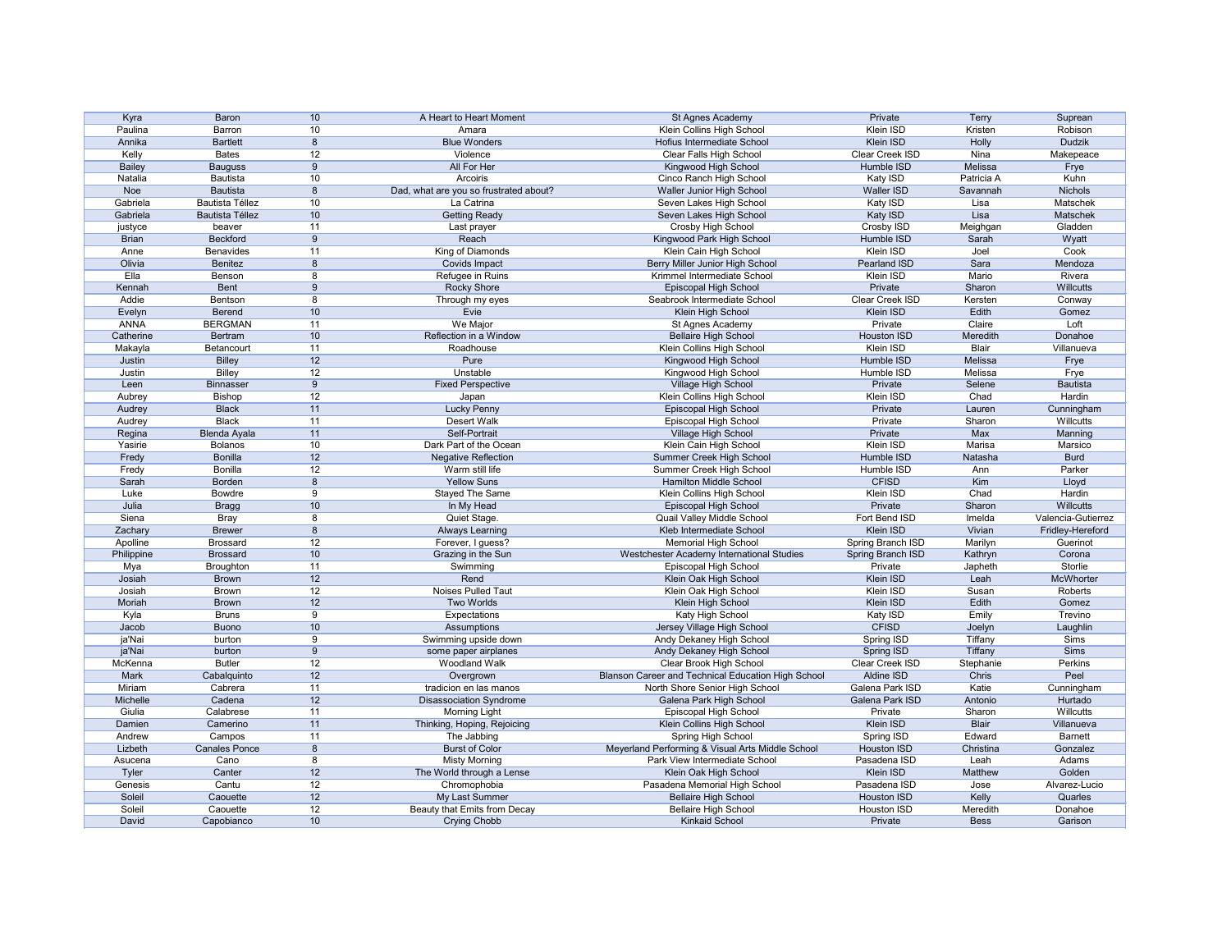| Kyra          | Baron                  | 10 | A Heart to Heart Moment                | St Agnes Academy                                   | Private            | <b>Terry</b> | Suprean            |
|---------------|------------------------|----|----------------------------------------|----------------------------------------------------|--------------------|--------------|--------------------|
| Paulina       | Barron                 | 10 | Amara                                  | Klein Collins High School                          | Klein ISD          | Kristen      | Robison            |
| Annika        | <b>Bartlett</b>        | 8  | <b>Blue Wonders</b>                    | Hofius Intermediate School                         | Klein ISD          | Holly        | <b>Dudzik</b>      |
| Kelly         | <b>Bates</b>           | 12 | Violence                               | Clear Falls High School                            | Clear Creek ISD    | Nina         | Makepeace          |
| <b>Bailey</b> | <b>Bauguss</b>         | 9  | All For Her                            | Kingwood High School                               | Humble ISD         | Melissa      | Frye               |
| Natalia       | <b>Bautista</b>        | 10 | Arcoiris                               | Cinco Ranch High School                            | Katy ISD           | Patricia A   | Kuhn               |
|               |                        |    |                                        |                                                    |                    |              |                    |
| Noe           | <b>Bautista</b>        | 8  | Dad, what are you so frustrated about? | Waller Junior High School                          | Waller ISD         | Savannah     | Nichols            |
| Gabriela      | <b>Bautista Téllez</b> | 10 | La Catrina                             | Seven Lakes High School                            | Katy ISD           | Lisa         | Matschek           |
| Gabriela      | <b>Bautista Téllez</b> | 10 | <b>Getting Ready</b>                   | Seven Lakes High School                            | Katy ISD           | Lisa         | Matschek           |
| justyce       | beaver                 | 11 | Last prayer                            | Crosby High School                                 | Crosby ISD         | Meighgan     | Gladden            |
| <b>Brian</b>  | Beckford               | 9  | Reach                                  | Kingwood Park High School                          | Humble ISD         | Sarah        | Wyatt              |
| Anne          | <b>Benavides</b>       | 11 | King of Diamonds                       | Klein Cain High School                             | Klein ISD          | Joel         | Cook               |
| Olivia        | Benitez                | 8  | Covids Impact                          | Berry Miller Junior High School                    | Pearland ISD       | Sara         | Mendoza            |
| Ella          | Benson                 | 8  | Refugee in Ruins                       | Krimmel Intermediate School                        | Klein ISD          | Mario        | Rivera             |
| Kennah        | <b>Bent</b>            | 9  | <b>Rocky Shore</b>                     | Episcopal High School                              | Private            | Sharon       | Willcutts          |
| Addie         | Bentson                | 8  | Through my eyes                        | Seabrook Intermediate School                       | Clear Creek ISD    | Kersten      | Conway             |
| Evelyn        | Berend                 | 10 | Evie                                   | Klein High School                                  | Klein ISD          | Edith        | Gomez              |
| <b>ANNA</b>   | <b>BERGMAN</b>         | 11 | We Major                               | St Agnes Academy                                   | Private            | Claire       | Loft               |
| Catherine     | <b>Bertram</b>         | 10 | Reflection in a Window                 | <b>Bellaire High School</b>                        | <b>Houston ISD</b> | Meredith     | Donahoe            |
|               | Betancourt             | 11 | Roadhouse                              | Klein Collins High School                          | Klein ISD          | <b>Blair</b> | Villanueva         |
| Makayla       |                        |    |                                        |                                                    |                    |              |                    |
| Justin        | <b>Billey</b>          | 12 | Pure                                   | Kingwood High School                               | Humble ISD         | Melissa      | Frye               |
| Justin        | <b>Billey</b>          | 12 | Unstable                               | Kingwood High School                               | Humble ISD         | Melissa      | Frye               |
| Leen          | <b>Binnasser</b>       | 9  | <b>Fixed Perspective</b>               | Village High School                                | Private            | Selene       | <b>Bautista</b>    |
| Aubrey        | <b>Bishop</b>          | 12 | Japan                                  | Klein Collins High School                          | Klein ISD          | Chad         | Hardin             |
| Audrey        | <b>Black</b>           | 11 | <b>Lucky Penny</b>                     | Episcopal High School                              | Private            | Lauren       | Cunningham         |
| Audrey        | <b>Black</b>           | 11 | Desert Walk                            | Episcopal High School                              | Private            | Sharon       | Willcutts          |
| Regina        | <b>Blenda Ayala</b>    | 11 | Self-Portrait                          | Village High School                                | Private            | Max          | Manning            |
| Yasirie       | <b>Bolanos</b>         | 10 | Dark Part of the Ocean                 | Klein Cain High School                             | <b>Klein ISD</b>   | Marisa       | Marsico            |
| Fredy         | <b>Bonilla</b>         | 12 | <b>Negative Reflection</b>             | Summer Creek High School                           | Humble ISD         | Natasha      | <b>Burd</b>        |
| Fredy         | Bonilla                | 12 | Warm still life                        | Summer Creek High School                           | Humble ISD         | Ann          | Parker             |
| Sarah         | Borden                 | 8  | <b>Yellow Suns</b>                     | <b>Hamilton Middle School</b>                      | <b>CFISD</b>       | Kim          | Lloyd              |
| Luke          | <b>Bowdre</b>          | 9  | Stayed The Same                        | Klein Collins High School                          | Klein ISD          | Chad         | Hardin             |
| Julia         |                        | 10 |                                        |                                                    | Private            | Sharon       | Willcutts          |
|               | <b>Bragg</b>           |    | In My Head                             | Episcopal High School                              |                    |              |                    |
| Siena         | <b>Bray</b>            | 8  | Quiet Stage.                           | Quail Valley Middle School                         | Fort Bend ISD      | Imelda       | Valencia-Gutierrez |
| Zachary       | <b>Brewer</b>          | 8  | <b>Always Learning</b>                 | Kleb Intermediate School                           | Klein ISD          | Vivian       | Fridley-Hereford   |
| Apolline      | <b>Brossard</b>        | 12 | Forever, I guess?                      | <b>Memorial High School</b>                        | Spring Branch ISD  | Marilyn      | Guerinot           |
| Philippine    | <b>Brossard</b>        | 10 | Grazing in the Sun                     | Westchester Academy International Studies          | Spring Branch ISD  | Kathryn      | Corona             |
| Mya           | Broughton              | 11 | Swimming                               | Episcopal High School                              | Private            | Japheth      | Storlie            |
| Josiah        | <b>Brown</b>           | 12 | Rend                                   | Klein Oak High School                              | Klein ISD          | Leah         | McWhorter          |
| Josiah        | <b>Brown</b>           | 12 | Noises Pulled Taut                     | Klein Oak High School                              | Klein ISD          | Susan        | Roberts            |
| Moriah        | <b>Brown</b>           | 12 | <b>Two Worlds</b>                      | Klein High School                                  | Klein ISD          | Edith        | Gomez              |
| Kyla          | <b>Bruns</b>           | 9  | Expectations                           | Katy High School                                   | Katy ISD           | Emily        | Trevino            |
| Jacob         | <b>Buono</b>           | 10 | Assumptions                            | Jersey Village High School                         | <b>CFISD</b>       | Joelyn       | Laughlin           |
| ja'Nai        | burton                 | 9  | Swimming upside down                   | Andy Dekaney High School                           | Spring ISD         | Tiffany      | Sims               |
| ja'Nai        | burton                 | 9  | some paper airplanes                   | Andy Dekaney High School                           | Spring ISD         | Tiffany      | Sims               |
| McKenna       | <b>Butler</b>          | 12 | <b>Woodland Walk</b>                   | Clear Brook High School                            | Clear Creek ISD    | Stephanie    | Perkins            |
| Mark          | Cabalquinto            |    |                                        | Blanson Career and Technical Education High School | <b>Aldine ISD</b>  | Chris        | Peel               |
|               |                        | 12 | Overgrown                              |                                                    |                    |              |                    |
| Miriam        | Cabrera                | 11 | tradicion en las manos                 | North Shore Senior High School                     | Galena Park ISD    | Katie        | Cunningham         |
| Michelle      | Cadena                 | 12 | <b>Disassociation Syndrome</b>         | Galena Park High School                            | Galena Park ISD    | Antonio      | Hurtado            |
| Giulia        | Calabrese              | 11 | <b>Morning Light</b>                   | Episcopal High School                              | Private            | Sharon       | Willcutts          |
| Damien        | Camerino               | 11 | Thinking, Hoping, Rejoicing            | Klein Collins High School                          | Klein ISD          | <b>Blair</b> | Villanueva         |
| Andrew        | Campos                 | 11 | The Jabbing                            | Spring High School                                 | Spring ISD         | Edward       | <b>Barnett</b>     |
| Lizbeth       | <b>Canales Ponce</b>   | 8  | <b>Burst of Color</b>                  | Meyerland Performing & Visual Arts Middle School   | <b>Houston ISD</b> | Christina    | Gonzalez           |
| Asucena       | Cano                   | 8  | <b>Misty Morning</b>                   | Park View Intermediate School                      | Pasadena ISD       | Leah         | Adams              |
| Tyler         | Canter                 | 12 | The World through a Lense              | Klein Oak High School                              | Klein ISD          | Matthew      | Golden             |
| Genesis       | Cantu                  | 12 | Chromophobia                           | Pasadena Memorial High School                      | Pasadena ISD       | Jose         | Alvarez-Lucio      |
| Soleil        | Caouette               | 12 | My Last Summer                         | <b>Bellaire High School</b>                        | Houston ISD        | Kelly        | Quarles            |
| Soleil        | Caouette               | 12 | Beauty that Emits from Decay           | <b>Bellaire High School</b>                        | Houston ISD        | Meredith     | Donahoe            |
| David         | Capobianco             | 10 | <b>Crying Chobb</b>                    | <b>Kinkaid School</b>                              | Private            | <b>Bess</b>  | Garison            |
|               |                        |    |                                        |                                                    |                    |              |                    |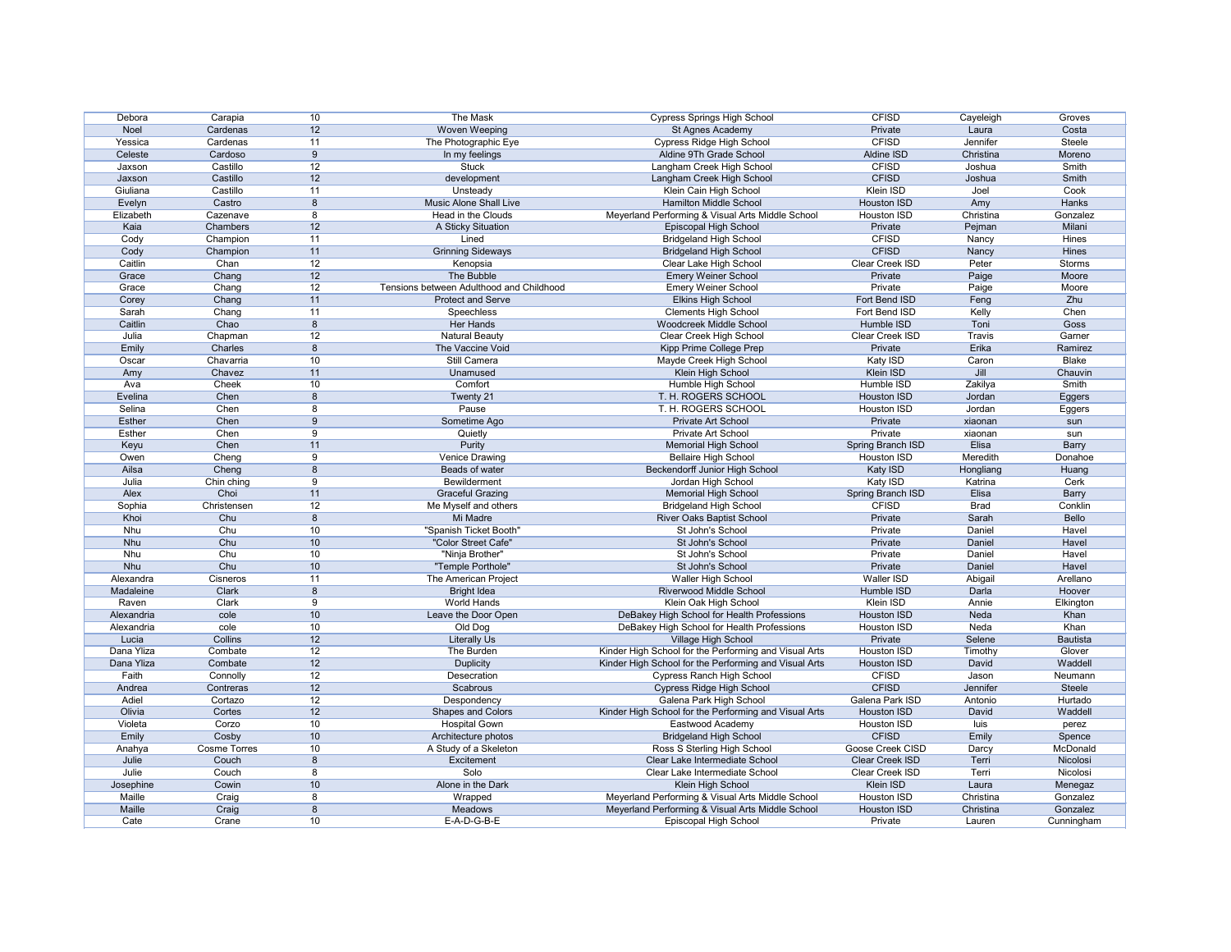| Debora        | Carapia             | 10   | <b>The Mask</b>                          | <b>Cypress Springs High School</b>                    | <b>CFISD</b>             | Cayeleigh     | Groves          |
|---------------|---------------------|------|------------------------------------------|-------------------------------------------------------|--------------------------|---------------|-----------------|
| Noel          | Cardenas            | 12   | Woven Weeping                            | St Agnes Academy                                      | Private                  | Laura         | Costa           |
| Yessica       | Cardenas            | 11   | The Photographic Eye                     | <b>Cypress Ridge High School</b>                      | <b>CFISD</b>             | Jennifer      | Steele          |
| Celeste       | Cardoso             | 9    | In my feelings                           | Aldine 9Th Grade School                               | Aldine ISD               | Christina     | Moreno          |
| Jaxson        | Castillo            | 12   | <b>Stuck</b>                             | Langham Creek High School                             | <b>CFISD</b>             | Joshua        | Smith           |
| Jaxson        | Castillo            | 12   | development                              | Langham Creek High School                             | <b>CFISD</b>             | Joshua        | <b>Smith</b>    |
| Giuliana      | Castillo            | 11   | Unsteady                                 | Klein Cain High School                                | Klein ISD                | Joel          | Cook            |
| Evelyn        | Castro              | 8    | Music Alone Shall Live                   | <b>Hamilton Middle School</b>                         | <b>Houston ISD</b>       | Amy           | Hanks           |
| Elizabeth     | Cazenave            | 8    | Head in the Clouds                       | Meyerland Performing & Visual Arts Middle School      | Houston ISD              | Christina     | Gonzalez        |
| Kaia          | Chambers            | 12   | A Sticky Situation                       | Episcopal High School                                 | Private                  | Pejman        | Milani          |
| Cody          | Champion            | 11   | Lined                                    | <b>Bridgeland High School</b>                         | <b>CFISD</b>             | Nancy         | Hines           |
|               |                     | 11   |                                          |                                                       | <b>CFISD</b>             |               | <b>Hines</b>    |
| Cody          | Champion            |      | <b>Grinning Sideways</b>                 | <b>Bridgeland High School</b>                         |                          | Nancy         |                 |
| Caitlin       | Chan                | 12   | Kenopsia                                 | Clear Lake High School                                | Clear Creek ISD          | Peter         | <b>Storms</b>   |
| Grace         | Chang               | 12   | The Bubble                               | <b>Emery Weiner School</b>                            | Private                  | Paige         | Moore           |
| Grace         | Chang               | 12   | Tensions between Adulthood and Childhood | <b>Emery Weiner School</b>                            | Private                  | Paige         | Moore           |
| Corey         | Chang               | 11   | <b>Protect and Serve</b>                 | <b>Elkins High School</b>                             | Fort Bend ISD            | Feng          | Zhu             |
| Sarah         | Chang               | 11   | Speechless                               | <b>Clements High School</b>                           | Fort Bend ISD            | Kelly         | Chen            |
| Caitlin       | Chao                | 8    | Her Hands                                | <b>Woodcreek Middle School</b>                        | Humble ISD               | Toni          | Goss            |
| Julia         | Chapman             | 12   | <b>Natural Beauty</b>                    | Clear Creek High School                               | <b>Clear Creek ISD</b>   | <b>Travis</b> | Garner          |
| Emily         | Charles             | 8    | The Vaccine Void                         | Kipp Prime College Prep                               | Private                  | Erika         | Ramirez         |
| Oscar         | Chavarria           | 10   | Still Camera                             | Mayde Creek High School                               | Katy ISD                 | Caron         | <b>Blake</b>    |
| Amy           | Chavez              | 11   | Unamused                                 | Klein High School                                     | Klein ISD                | Jill          | Chauvin         |
| Ava           | Cheek               | 10   | Comfort                                  | Humble High School                                    | Humble ISD               | Zakilya       | Smith           |
| Evelina       | Chen                | 8    | Twenty 21                                | T. H. ROGERS SCHOOL                                   | <b>Houston ISD</b>       | Jordan        | Eggers          |
| Selina        | Chen                | 8    | Pause                                    | T. H. ROGERS SCHOOL                                   | Houston ISD              | Jordan        |                 |
|               |                     |      |                                          |                                                       | Private                  |               | Eggers          |
| Esther        | Chen                | 9    | Sometime Ago                             | Private Art School                                    |                          | xiaonan       | sun             |
| Esther        | Chen                | 9    | Quietly                                  | Private Art School                                    | Private                  | xiaonan       | sun             |
| Keyu          | Chen                | 11   | Purity                                   | <b>Memorial High School</b>                           | <b>Spring Branch ISD</b> | <b>Elisa</b>  | <b>Barry</b>    |
| Owen          | Cheng               | 9    | <b>Venice Drawing</b>                    | <b>Bellaire High School</b>                           | Houston ISD              | Meredith      | Donahoe         |
| Ailsa         | Cheng               | 8    | Beads of water                           | Beckendorff Junior High School                        | Katy ISD                 | Hongliang     | Huang           |
| Julia         | Chin ching          | 9    | Bewilderment                             | Jordan High School                                    | Katy ISD                 | Katrina       | Cerk            |
| Alex          | Choi                | 11   | <b>Graceful Grazing</b>                  | <b>Memorial High School</b>                           | Spring Branch ISD        | Elisa         | <b>Barry</b>    |
| Sophia        | Christensen         | 12   | Me Myself and others                     | <b>Bridgeland High School</b>                         | <b>CFISD</b>             | <b>Brad</b>   | Conklin         |
| Khoi          | Chu                 | 8    | Mi Madre                                 | <b>River Oaks Baptist School</b>                      | Private                  | Sarah         | Bello           |
| Nhu           | Chu                 | 10   | "Spanish Ticket Booth"                   | St John's School                                      | Private                  | Daniel        | Havel           |
| <b>Nhu</b>    | Chu                 | 10   | "Color Street Cafe"                      | St John's School                                      | Private                  | Daniel        | Havel           |
| <b>Nhu</b>    | Chu                 | $10$ | "Ninja Brother"                          | St John's School                                      | Private                  | Daniel        | Havel           |
| Nhu           | Chu                 | 10   | "Temple Porthole"                        | St John's School                                      | Private                  | Daniel        | Havel           |
| Alexandra     | Cisneros            | 11   | The American Project                     | Waller High School                                    | Waller ISD               | Abigail       | Arellano        |
| Madaleine     | Clark               | 8    | <b>Bright Idea</b>                       | <b>Riverwood Middle School</b>                        | Humble ISD               |               | Hoover          |
|               |                     | 9    | World Hands                              |                                                       | Klein ISD                | Darla         |                 |
| Raven         | Clark               |      |                                          | Klein Oak High School                                 |                          | Annie         | Elkington       |
| Alexandria    | cole                | 10   | Leave the Door Open                      | DeBakey High School for Health Professions            | Houston ISD              | Neda          | Khan            |
| Alexandria    | cole                | 10   | Old Dog                                  | DeBakey High School for Health Professions            | Houston ISD              | Neda          | Khan            |
| Lucia         | Collins             | 12   | <b>Literally Us</b>                      | Village High School                                   | Private                  | Selene        | <b>Bautista</b> |
| Dana Yliza    | Combate             | 12   | The Burden                               | Kinder High School for the Performing and Visual Arts | Houston ISD              | Timothy       | Glover          |
| Dana Yliza    | Combate             | 12   | <b>Duplicity</b>                         | Kinder High School for the Performing and Visual Arts | Houston ISD              | David         | Waddell         |
| Faith         | Connolly            | 12   | Desecration                              | <b>Cypress Ranch High School</b>                      | <b>CFISD</b>             | Jason         | Neumann         |
| Andrea        | Contreras           | 12   | Scabrous                                 | <b>Cypress Ridge High School</b>                      | <b>CFISD</b>             | Jennifer      | Steele          |
| Adiel         | Cortazo             | 12   | Despondency                              | Galena Park High School                               | Galena Park ISD          | Antonio       | Hurtado         |
| Olivia        | Cortes              | 12   | <b>Shapes and Colors</b>                 | Kinder High School for the Performing and Visual Arts | Houston ISD              | David         | Waddell         |
| Violeta       | Corzo               | 10   | <b>Hospital Gown</b>                     | Eastwood Academy                                      | Houston ISD              | luis          | perez           |
| Emily         | Cosby               | $10$ | Architecture photos                      | <b>Bridgeland High School</b>                         | <b>CFISD</b>             | Emily         | Spence          |
| Anahya        | <b>Cosme Torres</b> | 10   | A Study of a Skeleton                    | Ross S Sterling High School                           | Goose Creek CISD         | Darcy         | McDonald        |
| Julie         | Couch               | 8    | Excitement                               | Clear Lake Intermediate School                        | Clear Creek ISD          | Terri         | Nicolosi        |
| Julie         | Couch               | 8    | Solo                                     | Clear Lake Intermediate School                        | Clear Creek ISD          | Terri         | Nicolosi        |
|               |                     |      |                                          |                                                       |                          |               |                 |
| Josephine     | Cowin               | 10   | Alone in the Dark                        | Klein High School                                     | Klein ISD                | Laura         | Menegaz         |
| Maille        | Craig               | 8    | Wrapped                                  | Meyerland Performing & Visual Arts Middle School      | Houston ISD              | Christina     | Gonzalez        |
| <b>Maille</b> | Craig               | 8    | Meadows                                  | Meyerland Performing & Visual Arts Middle School      | Houston ISD              | Christina     | Gonzalez        |
| Cate          | Crane               | 10   | $E$ -A-D-G-B-E                           | Episcopal High School                                 | Private                  | Lauren        | Cunningham      |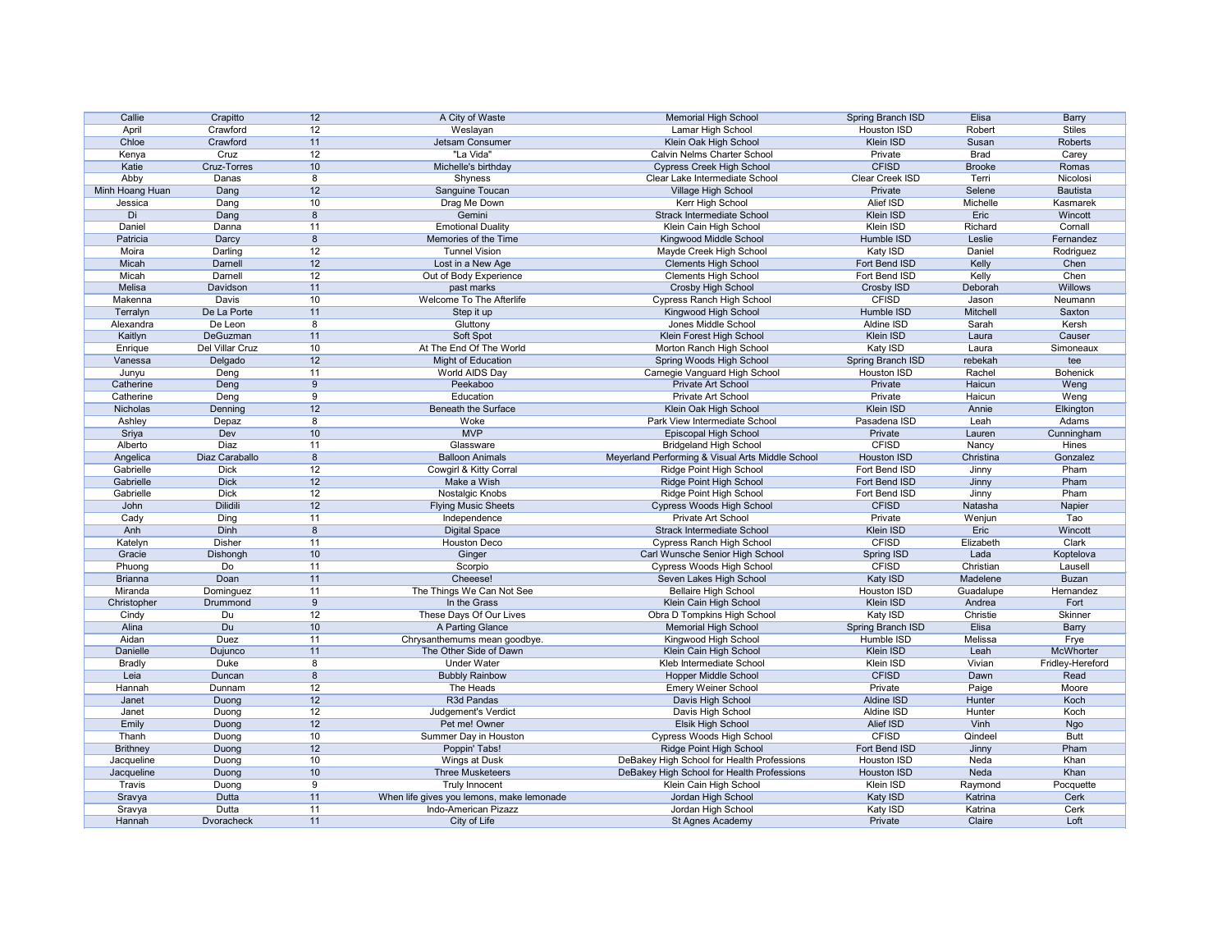| Callie          | Crapitto           | 12   | A City of Waste                           | <b>Memorial High School</b>                      | Spring Branch ISD  | Elisa         | <b>Barry</b>     |
|-----------------|--------------------|------|-------------------------------------------|--------------------------------------------------|--------------------|---------------|------------------|
|                 |                    |      |                                           |                                                  |                    |               |                  |
| April           | Crawford           | 12   | Weslayan                                  | Lamar High School                                | Houston ISD        | Robert        | <b>Stiles</b>    |
| Chloe           | Crawford           | 11   | Jetsam Consumer                           | Klein Oak High School                            | Klein ISD          | Susan         | Roberts          |
| Kenya           | Cruz               | 12   | "La Vida"                                 | <b>Calvin Nelms Charter School</b>               | Private            | <b>Brad</b>   | Carey            |
| Katie           | <b>Cruz-Torres</b> | 10   | Michelle's birthday                       | <b>Cypress Creek High School</b>                 | <b>CFISD</b>       | <b>Brooke</b> | Romas            |
| Abby            | Danas              | 8    | Shyness                                   | Clear Lake Intermediate School                   | Clear Creek ISD    | Terri         | Nicolosi         |
| Minh Hoang Huan | Dang               | 12   | Sanguine Toucan                           | Village High School                              | Private            | Selene        | <b>Bautista</b>  |
| Jessica         | Dang               | 10   | Drag Me Down                              | Kerr High School                                 | Alief ISD          | Michelle      | Kasmarek         |
| Di              | Dang               | 8    | Gemini                                    | <b>Strack Intermediate School</b>                | Klein ISD          | Eric          | Wincott          |
|                 |                    |      |                                           |                                                  |                    |               |                  |
| Daniel          | Danna              | 11   | <b>Emotional Duality</b>                  | Klein Cain High School                           | Klein ISD          | Richard       | Cornall          |
| Patricia        | Darcy              | 8    | Memories of the Time                      | Kingwood Middle School                           | Humble ISD         | Leslie        | Fernandez        |
| Moira           | Darling            | 12   | <b>Tunnel Vision</b>                      | Mayde Creek High School                          | Katy ISD           | Daniel        | Rodriguez        |
| Micah           | Darnell            | 12   | Lost in a New Age                         | <b>Clements High School</b>                      | Fort Bend ISD      | Kelly         | Chen             |
| Micah           | Darnell            | 12   | Out of Body Experience                    | <b>Clements High School</b>                      | Fort Bend ISD      | Kelly         | Chen             |
| Melisa          | Davidson           | 11   | past marks                                | <b>Crosby High School</b>                        | Crosby ISD         | Deborah       | Willows          |
| Makenna         | Davis              | 10   | Welcome To The Afterlife                  | <b>Cypress Ranch High School</b>                 | <b>CFISD</b>       | Jason         | Neumann          |
| Terralyn        | De La Porte        | 11   | Step it up                                | Kingwood High School                             | Humble ISD         | Mitchell      | Saxton           |
|                 | De Leon            |      |                                           | Jones Middle School                              | Aldine ISD         |               |                  |
| Alexandra       |                    | 8    | Gluttony                                  |                                                  |                    | Sarah         | Kersh            |
| Kaitlyn         | DeGuzman           | 11   | Soft Spot                                 | Klein Forest High School                         | <b>Klein ISD</b>   | Laura         | Causer           |
| Enrique         | Del Villar Cruz    | 10   | At The End Of The World                   | Morton Ranch High School                         | Katy ISD           | Laura         | Simoneaux        |
| Vanessa         | Delgado            | 12   | Might of Education                        | Spring Woods High School                         | Spring Branch ISD  | rebekah       | tee              |
| Junyu           | Deng               | 11   | World AIDS Day                            | Carnegie Vanguard High School                    | Houston ISD        | Rachel        | <b>Bohenick</b>  |
| Catherine       | Deng               | 9    | Peekaboo                                  | Private Art School                               | Private            | Haicun        | Weng             |
| Catherine       | Deng               | 9    | Education                                 | Private Art School                               | Private            | Haicun        | Weng             |
| Nicholas        | Denning            | 12   | <b>Beneath the Surface</b>                | Klein Oak High School                            | Klein ISD          | Annie         |                  |
|                 |                    |      |                                           |                                                  |                    |               | Elkington        |
| Ashley          | Depaz              | 8    | Woke                                      | Park View Intermediate School                    | Pasadena ISD       | Leah          | Adams            |
| Sriya           | Dev                | 10   | <b>MVP</b>                                | Episcopal High School                            | Private            | Lauren        | Cunningham       |
| Alberto         | <b>Diaz</b>        | 11   | Glassware                                 | <b>Bridgeland High School</b>                    | <b>CFISD</b>       | Nancy         | <b>Hines</b>     |
| Angelica        | Diaz Caraballo     | 8    | <b>Balloon Animals</b>                    | Meyerland Performing & Visual Arts Middle School | <b>Houston ISD</b> | Christina     | Gonzalez         |
| Gabrielle       | <b>Dick</b>        | 12   | Cowgirl & Kitty Corral                    | Ridge Point High School                          | Fort Bend ISD      | Jinny         | Pham             |
| Gabrielle       | <b>Dick</b>        | 12   | Make a Wish                               | <b>Ridge Point High School</b>                   | Fort Bend ISD      | Jinny         | Pham             |
| Gabrielle       | <b>Dick</b>        | 12   | Nostalgic Knobs                           | Ridge Point High School                          | Fort Bend ISD      | Jinny         | Pham             |
| John            | Dilidili           | 12   | <b>Flying Music Sheets</b>                | <b>Cypress Woods High School</b>                 | <b>CFISD</b>       | Natasha       | Napier           |
|                 |                    |      |                                           |                                                  |                    |               |                  |
| Cady            | Ding               | 11   | Independence                              | Private Art School                               | Private            | Wenjun        | Tao              |
| Anh             | Dinh               | 8    | <b>Digital Space</b>                      | <b>Strack Intermediate School</b>                | Klein ISD          | Eric          | Wincott          |
| Katelyn         | <b>Disher</b>      | 11   | <b>Houston Deco</b>                       | <b>Cypress Ranch High School</b>                 | <b>CFISD</b>       | Elizabeth     | Clark            |
| Gracie          | Dishongh           | 10   | Ginger                                    | Carl Wunsche Senior High School                  | Spring ISD         | Lada          | Koptelova        |
| Phuong          | Do                 | 11   | Scorpio                                   | Cypress Woods High School                        | <b>CFISD</b>       | Christian     | Lausell          |
| <b>Brianna</b>  | Doan               | 11   | Cheeese!                                  | Seven Lakes High School                          | Katy ISD           | Madelene      | <b>Buzan</b>     |
| Miranda         | Dominguez          | 11   | The Things We Can Not See                 | <b>Bellaire High School</b>                      | Houston ISD        | Guadalupe     | Hernandez        |
| Christopher     | Drummond           | 9    | In the Grass                              | Klein Cain High School                           | Klein ISD          | Andrea        | Fort             |
| Cindy           | Du                 | 12   | These Days Of Our Lives                   | Obra D Tompkins High School                      | Katy ISD           | Christie      | Skinner          |
|                 |                    |      |                                           |                                                  |                    |               |                  |
| Alina           | Du                 | 10   | A Parting Glance                          | <b>Memorial High School</b>                      | Spring Branch ISD  | Elisa         | <b>Barry</b>     |
| Aidan           | Duez               | 11   | Chrysanthemums mean goodbye.              | Kingwood High School                             | Humble ISD         | Melissa       | Frye             |
| Danielle        | Dujunco            | 11   | The Other Side of Dawn                    | Klein Cain High School                           | Klein ISD          | Leah          | McWhorter        |
| <b>Bradly</b>   | Duke               | 8    | <b>Under Water</b>                        | Kleb Intermediate School                         | Klein ISD          | Vivian        | Fridley-Hereford |
| Leia            | Duncan             | 8    | <b>Bubbly Rainbow</b>                     | <b>Hopper Middle School</b>                      | <b>CFISD</b>       | Dawn          | Read             |
| Hannah          | Dunnam             | 12   | The Heads                                 | <b>Emery Weiner School</b>                       | Private            | Paige         | Moore            |
| Janet           | Duong              | 12   | R3d Pandas                                | Davis High School                                | Aldine ISD         | Hunter        | Koch             |
| Janet           | Duong              | 12   | Judgement's Verdict                       | Davis High School                                | Aldine ISD         | Hunter        | Koch             |
|                 |                    |      | Pet me! Owner                             |                                                  |                    | Vinh          |                  |
| Emily           | Duong              | 12   |                                           | Elsik High School                                | Alief ISD          |               | Ngo              |
| Thanh           | Duong              | 10   | Summer Day in Houston                     | <b>Cypress Woods High School</b>                 | <b>CFISD</b>       | Qindeel       | <b>Butt</b>      |
| <b>Brithney</b> | Duong              | 12   | Poppin' Tabs!                             | <b>Ridge Point High School</b>                   | Fort Bend ISD      | Jinny         | Pham             |
| Jacqueline      | Duong              | $10$ | Wings at Dusk                             | DeBakey High School for Health Professions       | Houston ISD        | Neda          | Khan             |
| Jacqueline      | Duong              | 10   | <b>Three Musketeers</b>                   | DeBakey High School for Health Professions       | Houston ISD        | Neda          | Khan             |
| Travis          | Duong              | 9    | <b>Truly Innocent</b>                     | Klein Cain High School                           | Klein ISD          | Raymond       | Pocquette        |
| Sravya          | Dutta              | 11   | When life gives you lemons, make lemonade | Jordan High School                               | Katy ISD           | Katrina       | Cerk             |
| Sravya          | Dutta              | 11   | Indo-American Pizazz                      | Jordan High School                               | Katy ISD           | Katrina       | Cerk             |
|                 | Dvoracheck         | 11   | City of Life                              | St Agnes Academy                                 | Private            | Claire        | Loft             |
| Hannah          |                    |      |                                           |                                                  |                    |               |                  |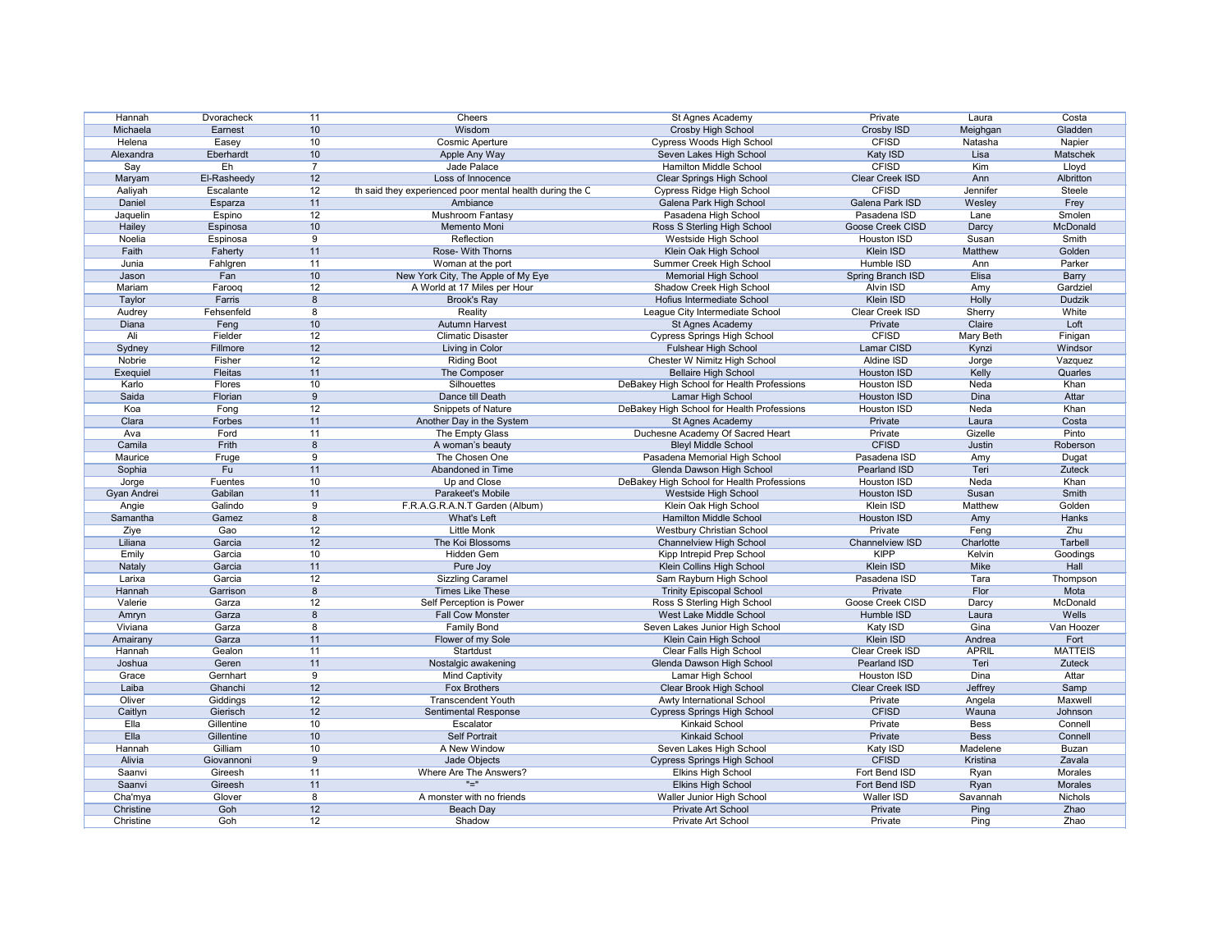| Hannah          | Dvoracheck  | 11             | Cheers                                                   | St Agnes Academy                           | Private                        | Laura        | Costa          |
|-----------------|-------------|----------------|----------------------------------------------------------|--------------------------------------------|--------------------------------|--------------|----------------|
| Michaela        | Earnest     | 10             | Wisdom                                                   | Crosby High School                         | Crosby ISD                     | Meighgan     | Gladden        |
| Helena          | Easey       | 10             | <b>Cosmic Aperture</b>                                   | Cypress Woods High School                  | <b>CFISD</b>                   | Natasha      | Napier         |
| Alexandra       | Eberhardt   | 10             | Apple Any Way                                            | Seven Lakes High School                    | Katy ISD                       | Lisa         | Matschek       |
| Say             | Eh          | $\overline{7}$ | Jade Palace                                              | Hamilton Middle School                     | <b>CFISD</b>                   | Kim          | Lloyd          |
| Maryam          | El-Rasheedy | 12             | Loss of Innocence                                        | <b>Clear Springs High School</b>           | Clear Creek ISD                | Ann          | Albritton      |
| Aaliyah         | Escalante   | 12             | th said they experienced poor mental health during the C | <b>Cypress Ridge High School</b>           | <b>CFISD</b>                   | Jennifer     | Steele         |
| Daniel          | Esparza     | 11             | Ambiance                                                 | Galena Park High School                    | Galena Park ISD                | Wesley       | Frey           |
| Jaquelin        | Espino      | 12             | <b>Mushroom Fantasy</b>                                  | Pasadena High School                       | Pasadena ISD                   | Lane         | Smolen         |
| Hailey          | Espinosa    | 10             | Memento Moni                                             | Ross S Sterling High School                | Goose Creek CISD               | Darcy        | McDonald       |
| Noelia          | Espinosa    | 9              | Reflection                                               | Westside High School                       | <b>Houston ISD</b>             | Susan        | Smith          |
| Faith           | Faherty     | 11             | Rose- With Thorns                                        | Klein Oak High School                      | <b>Klein ISD</b>               | Matthew      | Golden         |
| Junia           | Fahlgren    | 11             | Woman at the port                                        | Summer Creek High School                   | Humble ISD                     | Ann          | Parker         |
|                 | Fan         | 10             |                                                          |                                            |                                | Elisa        |                |
| Jason<br>Mariam |             |                | New York City, The Apple of My Eye                       | <b>Memorial High School</b>                | Spring Branch ISD<br>Alvin ISD |              | <b>Barry</b>   |
|                 | Farooq      | 12             | A World at 17 Miles per Hour                             | Shadow Creek High School                   |                                | Amy          | Gardziel       |
| Taylor          | Farris      | 8              | <b>Brook's Ray</b>                                       | Hofius Intermediate School                 | Klein ISD                      | Holly        | Dudzik         |
| Audrey          | Fehsenfeld  | 8              | Reality                                                  | League City Intermediate School            | Clear Creek ISD                | Sherry       | White          |
| Diana           | Feng        | 10             | <b>Autumn Harvest</b>                                    | St Agnes Academy                           | Private                        | Claire       | Loft           |
| Ali             | Fielder     | 12             | <b>Climatic Disaster</b>                                 | <b>Cypress Springs High School</b>         | <b>CFISD</b>                   | Mary Beth    | Finigan        |
| Sydney          | Fillmore    | 12             | Living in Color                                          | <b>Fulshear High School</b>                | Lamar CISD                     | Kynzi        | Windsor        |
| Nobrie          | Fisher      | 12             | <b>Riding Boot</b>                                       | Chester W Nimitz High School               | Aldine ISD                     | Jorge        | Vazquez        |
| Exequiel        | Fleitas     | 11             | The Composer                                             | <b>Bellaire High School</b>                | <b>Houston ISD</b>             | Kelly        | Quarles        |
| Karlo           | Flores      | 10             | Silhouettes                                              | DeBakey High School for Health Professions | Houston ISD                    | Neda         | Khan           |
| Saida           | Florian     | 9              | Dance till Death                                         | Lamar High School                          | Houston ISD                    | Dina         | Attar          |
| Koa             | Fong        | 12             | <b>Snippets of Nature</b>                                | DeBakey High School for Health Professions | Houston ISD                    | Neda         | Khan           |
| Clara           | Forbes      | 11             | Another Day in the System                                | St Agnes Academy                           | Private                        | Laura        | Costa          |
| Ava             | Ford        | 11             | The Empty Glass                                          | Duchesne Academy Of Sacred Heart           | Private                        | Gizelle      | Pinto          |
| Camila          | Frith       | 8              | A woman's beauty                                         | <b>Bleyl Middle School</b>                 | <b>CFISD</b>                   | Justin       | Roberson       |
| Maurice         | Fruge       | 9              | The Chosen One                                           | Pasadena Memorial High School              | Pasadena ISD                   | Amy          | Dugat          |
| Sophia          | Fu          | 11             | Abandoned in Time                                        | Glenda Dawson High School                  | Pearland ISD                   | Teri         | Zuteck         |
| Jorge           | Fuentes     | 10             | Up and Close                                             | DeBakey High School for Health Professions | Houston ISD                    | Neda         | Khan           |
| Gyan Andrei     | Gabilan     | 11             | Parakeet's Mobile                                        | Westside High School                       | <b>Houston ISD</b>             | Susan        | Smith          |
| Angie           | Galindo     | 9              | F.R.A.G.R.A.N.T Garden (Album)                           | Klein Oak High School                      | Klein ISD                      | Matthew      | Golden         |
| Samantha        | Gamez       | 8              | What's Left                                              | <b>Hamilton Middle School</b>              | Houston ISD                    | Amy          | Hanks          |
|                 |             | 12             | <b>Little Monk</b>                                       |                                            |                                |              | Zhu            |
| Ziye            | Gao         |                |                                                          | <b>Westbury Christian School</b>           | Private                        | Feng         |                |
| Liliana         | Garcia      | 12             | The Koi Blossoms                                         | <b>Channelview High School</b>             | Channelview ISD                | Charlotte    | Tarbell        |
| Emily           | Garcia      | 10             | Hidden Gem                                               | Kipp Intrepid Prep School                  | <b>KIPP</b>                    | Kelvin       | Goodings       |
| Nataly          | Garcia      | 11             | Pure Joy                                                 | Klein Collins High School                  | <b>Klein ISD</b>               | Mike         | Hall           |
| Larixa          | Garcia      | 12             | <b>Sizzling Caramel</b>                                  | Sam Rayburn High School                    | Pasadena ISD                   | Tara         | Thompson       |
| Hannah          | Garrison    | 8              | Times Like These                                         | <b>Trinity Episcopal School</b>            | Private                        | Flor         | Mota           |
| Valerie         | Garza       | 12             | Self Perception is Power                                 | Ross S Sterling High School                | Goose Creek CISD               | Darcy        | McDonald       |
| Amryn           | Garza       | 8              | <b>Fall Cow Monster</b>                                  | West Lake Middle School                    | Humble ISD                     | Laura        | Wells          |
| Viviana         | Garza       | 8              | <b>Family Bond</b>                                       | Seven Lakes Junior High School             | Katy ISD                       | Gina         | Van Hoozer     |
| Amairany        | Garza       | 11             | Flower of my Sole                                        | Klein Cain High School                     | Klein ISD                      | Andrea       | Fort           |
| Hannah          | Gealon      | 11             | Startdust                                                | Clear Falls High School                    | Clear Creek ISD                | <b>APRIL</b> | <b>MATTEIS</b> |
| Joshua          | Geren       | 11             | Nostalgic awakening                                      | Glenda Dawson High School                  | Pearland ISD                   | Teri         | Zuteck         |
| Grace           | Gernhart    | 9              | <b>Mind Captivity</b>                                    | Lamar High School                          | <b>Houston ISD</b>             | Dina         | Attar          |
| Laiba           | Ghanchi     | 12             | Fox Brothers                                             | Clear Brook High School                    | Clear Creek ISD                | Jeffrey      | Samp           |
| Oliver          | Giddings    | 12             | <b>Transcendent Youth</b>                                | <b>Awty International School</b>           | Private                        | Angela       | Maxwell        |
| Caitlyn         | Gierisch    | 12             | <b>Sentimental Response</b>                              | <b>Cypress Springs High School</b>         | <b>CFISD</b>                   | Wauna        | Johnson        |
| Ella            | Gillentine  | 10             | Escalator                                                | <b>Kinkaid School</b>                      | Private                        | Bess         | Connell        |
| Ella            | Gillentine  | 10             | <b>Self Portrait</b>                                     | <b>Kinkaid School</b>                      | Private                        | <b>Bess</b>  | Connell        |
| Hannah          | Gilliam     | $10$           | A New Window                                             | Seven Lakes High School                    | Katy ISD                       | Madelene     | <b>Buzan</b>   |
| Alivia          | Giovannoni  | 9              | Jade Objects                                             | <b>Cypress Springs High School</b>         | <b>CFISD</b>                   | Kristina     | Zavala         |
| Saanvi          | Gireesh     | 11             | Where Are The Answers?                                   | <b>Elkins High School</b>                  | Fort Bend ISD                  | Ryan         | Morales        |
| Saanvi          | Gireesh     | 11             | $"=""$                                                   | <b>Elkins High School</b>                  | Fort Bend ISD                  | Ryan         | Morales        |
| Cha'mya         | Glover      | 8              | A monster with no friends                                | Waller Junior High School                  | Waller ISD                     | Savannah     | Nichols        |
|                 |             |                |                                                          | Private Art School                         | Private                        |              |                |
| Christine       | Goh         | 12             | Beach Day                                                |                                            |                                | Ping         | Zhao           |
| Christine       | Goh         | 12             | Shadow                                                   | Private Art School                         | Private                        | Ping         | Zhao           |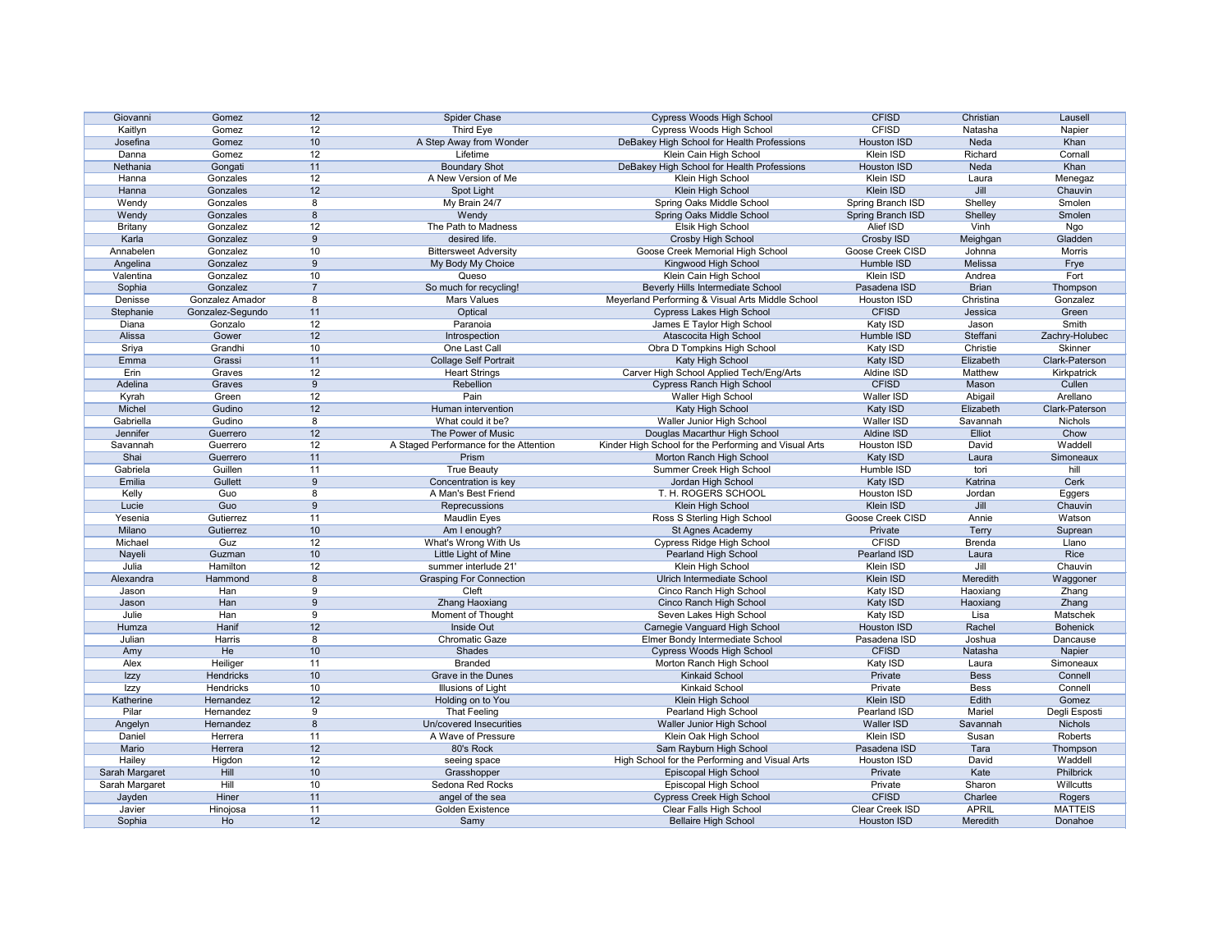| Giovanni       | Gomez            | 12             | Spider Chase                           | <b>Cypress Woods High School</b>                      | <b>CFISD</b>            | Christian     | Lausell         |
|----------------|------------------|----------------|----------------------------------------|-------------------------------------------------------|-------------------------|---------------|-----------------|
| Kaitlyn        | Gomez            | 12             | Third Eye                              | <b>Cypress Woods High School</b>                      | <b>CFISD</b>            | Natasha       | Napier          |
| Josefina       | Gomez            | 10             | A Step Away from Wonder                | DeBakey High School for Health Professions            | Houston ISD             | Neda          | Khan            |
| Danna          | Gomez            | 12             | Lifetime                               | Klein Cain High School                                | Klein ISD               | Richard       | Cornall         |
| Nethania       | Gongati          | 11             | <b>Boundary Shot</b>                   | DeBakey High School for Health Professions            | <b>Houston ISD</b>      | Neda          | Khan            |
| Hanna          | Gonzales         | 12             | A New Version of Me                    | Klein High School                                     | Klein ISD               | Laura         | Menegaz         |
| Hanna          | Gonzales         | 12             | Spot Light                             | Klein High School                                     | Klein ISD               | Jill          | Chauvin         |
| Wendy          | Gonzales         | 8              | My Brain 24/7                          | Spring Oaks Middle School                             | Spring Branch ISD       | Shelley       | Smolen          |
|                | Gonzales         |                |                                        |                                                       |                         |               |                 |
| Wendy          |                  | 8              | Wendy                                  | Spring Oaks Middle School                             | Spring Branch ISD       | Shelley       | Smolen          |
| <b>Britany</b> | Gonzalez         | 12             | The Path to Madness                    | Elsik High School                                     | Alief ISD               | Vinh          | Ngo             |
| Karla          | Gonzalez         | 9              | desired life.                          | <b>Crosby High School</b>                             | Crosby ISD              | Meighgan      | Gladden         |
| Annabelen      | Gonzalez         | 10             | <b>Bittersweet Adversity</b>           | Goose Creek Memorial High School                      | Goose Creek CISD        | Johnna        | Morris          |
| Angelina       | Gonzalez         | 9              | My Body My Choice                      | Kingwood High School                                  | Humble ISD              | Melissa       | Frye            |
| Valentina      | Gonzalez         | 10             | Queso                                  | Klein Cain High School                                | Klein ISD               | Andrea        | Fort            |
| Sophia         | Gonzalez         | $\overline{7}$ | So much for recycling!                 | Beverly Hills Intermediate School                     | Pasadena ISD            | <b>Brian</b>  | Thompson        |
| Denisse        | Gonzalez Amador  | 8              | <b>Mars Values</b>                     | Meyerland Performing & Visual Arts Middle School      | Houston ISD             | Christina     | Gonzalez        |
| Stephanie      | Gonzalez-Segundo | 11             | Optical                                | <b>Cypress Lakes High School</b>                      | <b>CFISD</b>            | Jessica       | Green           |
| Diana          | Gonzalo          | 12             | Paranoia                               | James E Taylor High School                            | Katy ISD                | Jason         | Smith           |
| Alissa         | Gower            | 12             | Introspection                          | Atascocita High School                                | Humble ISD              | Steffani      | Zachry-Holubec  |
| Sriya          | Grandhi          | 10             | One Last Call                          | Obra D Tompkins High School                           | Katy ISD                | Christie      | <b>Skinner</b>  |
| Emma           | Grassi           | 11             | <b>Collage Self Portrait</b>           | Katy High School                                      | Katy ISD                | Elizabeth     | Clark-Paterson  |
| Erin           | Graves           | 12             | <b>Heart Strings</b>                   | Carver High School Applied Tech/Eng/Arts              | Aldine ISD              | Matthew       | Kirkpatrick     |
| Adelina        | Graves           | 9              | Rebellion                              | <b>Cypress Ranch High School</b>                      | <b>CFISD</b>            | Mason         | Cullen          |
| Kyrah          | Green            | 12             | Pain                                   | Waller High School                                    | Waller ISD              | Abigail       | Arellano        |
| Michel         | Gudino           | 12             | Human intervention                     | Katy High School                                      | Katy ISD                | Elizabeth     | Clark-Paterson  |
| Gabriella      | Gudino           | 8              | What could it be?                      | Waller Junior High School                             | Waller ISD              | Savannah      | Nichols         |
| Jennifer       | Guerrero         | 12             | The Power of Music                     | Douglas Macarthur High School                         | Aldine ISD              | Elliot        | Chow            |
|                |                  |                |                                        |                                                       |                         |               |                 |
| Savannah       | Guerrero         | 12             | A Staged Performance for the Attention | Kinder High School for the Performing and Visual Arts | Houston ISD             | David         | Waddell         |
| Shai           | Guerrero         | 11             | Prism                                  | Morton Ranch High School                              | Katy ISD                | Laura         | Simoneaux       |
| Gabriela       | Guillen          | 11             | <b>True Beauty</b>                     | Summer Creek High School                              | Humble ISD              | tori          | hill            |
| Emilia         | Gullett          | 9              | Concentration is key                   | Jordan High School                                    | Katy ISD                | Katrina       | Cerk            |
| Kelly          | Guo              | 8              | A Man's Best Friend                    | T. H. ROGERS SCHOOL                                   | Houston ISD             | Jordan        | Eggers          |
| Lucie          | Guo              | 9              | Reprecussions                          | Klein High School                                     | Klein ISD               | Jill          | Chauvin         |
| Yesenia        | Gutierrez        | 11             | <b>Maudlin Eyes</b>                    | Ross S Sterling High School                           | <b>Goose Creek CISD</b> | Annie         | Watson          |
| Milano         | Gutierrez        | 10             | Am I enough?                           | St Agnes Academy                                      | Private                 | <b>Terry</b>  | Suprean         |
| Michael        | Guz              | 12             | What's Wrong With Us                   | <b>Cypress Ridge High School</b>                      | <b>CFISD</b>            | <b>Brenda</b> | Llano           |
| Nayeli         | Guzman           | 10             | Little Light of Mine                   | Pearland High School                                  | Pearland ISD            | Laura         | Rice            |
| Julia          | Hamilton         | 12             | summer interlude 21'                   | <b>Klein High School</b>                              | Klein ISD               | Jill          | Chauvin         |
| Alexandra      | Hammond          | 8              | <b>Grasping For Connection</b>         | Ulrich Intermediate School                            | Klein ISD               | Meredith      | Waggoner        |
| Jason          | Han              | 9              | Cleft                                  | Cinco Ranch High School                               | Katy ISD                | Haoxiang      | Zhang           |
| Jason          | Han              | 9              | <b>Zhang Haoxiang</b>                  | Cinco Ranch High School                               | Katy ISD                | Haoxiang      | Zhang           |
| Julie          | Han              | 9              | Moment of Thought                      | Seven Lakes High School                               | Katy ISD                | Lisa          | Matschek        |
| Humza          | Hanif            | 12             | <b>Inside Out</b>                      | Carnegie Vanguard High School                         | <b>Houston ISD</b>      | Rachel        | <b>Bohenick</b> |
| Julian         | Harris           | 8              | Chromatic Gaze                         | Elmer Bondy Intermediate School                       | Pasadena ISD            | Joshua        | Dancause        |
| Amy            | He               | 10             | Shades                                 | <b>Cypress Woods High School</b>                      | <b>CFISD</b>            | Natasha       | Napier          |
| Alex           | Heiliger         | 11             | <b>Branded</b>                         | Morton Ranch High School                              | Katy ISD                | Laura         | Simoneaux       |
| Izzy           | Hendricks        | 10             | <b>Grave in the Dunes</b>              | <b>Kinkaid School</b>                                 | Private                 | <b>Bess</b>   | Connell         |
|                | Hendricks        | 10             | Illusions of Light                     | <b>Kinkaid School</b>                                 | Private                 | <b>Bess</b>   | Connell         |
| Izzy           |                  |                |                                        |                                                       |                         |               |                 |
| Katherine      | Hernandez        | 12             | Holding on to You                      | Klein High School                                     | Klein ISD               | Edith         | Gomez           |
| Pilar          | Hernandez        | 9              | <b>That Feeling</b>                    | Pearland High School                                  | Pearland ISD            | Mariel        | Degli Esposti   |
| Angelyn        | Hernandez        | 8              | Un/covered Insecurities                | Waller Junior High School                             | Waller ISD              | Savannah      | <b>Nichols</b>  |
| Daniel         | Herrera          | 11             | A Wave of Pressure                     | Klein Oak High School                                 | Klein ISD               | Susan         | Roberts         |
| Mario          |                  |                | 80's Rock                              | Sam Rayburn High School                               | Pasadena ISD            | Tara          | Thompson        |
| Hailey         | Herrera          | 12             |                                        |                                                       |                         |               |                 |
|                | Higdon           | 12             | seeing space                           | High School for the Performing and Visual Arts        | Houston ISD             | David         | Waddell         |
| Sarah Margaret | Hill             | 10             | Grasshopper                            | Episcopal High School                                 | Private                 | Kate          | Philbrick       |
| Sarah Margaret | Hill             | 10             | Sedona Red Rocks                       | Episcopal High School                                 | Private                 | Sharon        | Willcutts       |
| Jayden         | Hiner            | 11             | angel of the sea                       | <b>Cypress Creek High School</b>                      | <b>CFISD</b>            | Charlee       | Rogers          |
| Javier         | Hinojosa         | 11             | Golden Existence                       | Clear Falls High School                               | Clear Creek ISD         | <b>APRIL</b>  | <b>MATTEIS</b>  |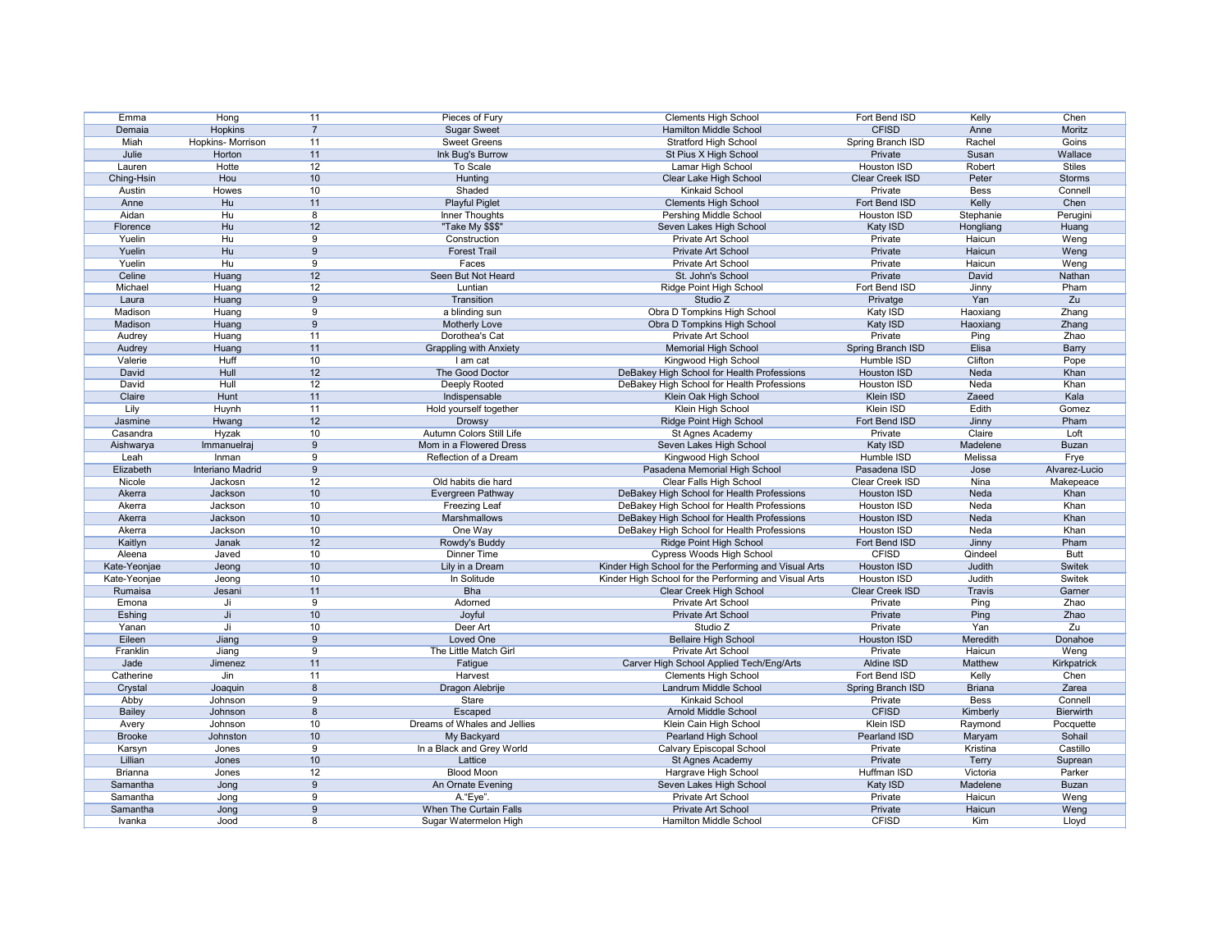| Emma           | Hong              | 11             | Pieces of Fury                | <b>Clements High School</b>                           | Fort Bend ISD          | Kelly         | Chen             |
|----------------|-------------------|----------------|-------------------------------|-------------------------------------------------------|------------------------|---------------|------------------|
| Demaia         | Hopkins           | $\overline{7}$ | <b>Sugar Sweet</b>            | Hamilton Middle School                                | <b>CFISD</b>           | Anne          | Moritz           |
| Miah           | Hopkins- Morrison | 11             | <b>Sweet Greens</b>           | <b>Stratford High School</b>                          | Spring Branch ISD      | Rachel        | Goins            |
| Julie          | Horton            | 11             | Ink Bug's Burrow              | St Pius X High School                                 | Private                | Susan         | Wallace          |
| Lauren         | Hotte             | 12             | To Scale                      | Lamar High School                                     | Houston ISD            | Robert        | <b>Stiles</b>    |
| Ching-Hsin     | Hou               | 10             | Hunting                       | Clear Lake High School                                | Clear Creek ISD        | Peter         | <b>Storms</b>    |
| Austin         | Howes             | 10             | Shaded                        | <b>Kinkaid School</b>                                 | Private                | <b>Bess</b>   | Connell          |
| Anne           | Hu                | 11             | <b>Playful Piglet</b>         | <b>Clements High School</b>                           | Fort Bend ISD          | Kelly         | Chen             |
| Aidan          | Hu                | 8              | Inner Thoughts                | Pershing Middle School                                | Houston ISD            | Stephanie     | Perugini         |
| Florence       | Hu                | 12             | "Take My \$\$\$"              | Seven Lakes High School                               | Katy ISD               | Hongliang     | Huang            |
| Yuelin         | Hu                | 9              | Construction                  | Private Art School                                    | Private                | Haicun        | Weng             |
| Yuelin         | Hu                | 9              | <b>Forest Trail</b>           | Private Art School                                    | Private                | Haicun        | Weng             |
| Yuelin         | Hu                | 9              | Faces                         | Private Art School                                    | Private                | Haicun        | Weng             |
|                |                   | 12             |                               |                                                       | Private                |               | Nathan           |
| Celine         | Huang             |                | Seen But Not Heard            | St. John's School                                     |                        | David         |                  |
| Michael        | Huang             | 12             | Luntian                       | Ridge Point High School                               | Fort Bend ISD          | Jinny         | Pham             |
| Laura          | Huang             | 9              | Transition                    | Studio Z                                              | Privatge               | Yan           | Zu               |
| Madison        | Huang             | 9              | a blinding sun                | Obra D Tompkins High School                           | Katy ISD               | Haoxiang      | Zhang            |
| Madison        | Huang             | 9              | <b>Motherly Love</b>          | Obra D Tompkins High School                           | Katy ISD               | Haoxiang      | Zhang            |
| Audrey         | Huang             | 11             | Dorothea's Cat                | Private Art School                                    | Private                | Ping          | <b>Zhao</b>      |
| Audrey         | Huang             | 11             | <b>Grappling with Anxiety</b> | <b>Memorial High School</b>                           | Spring Branch ISD      | Elisa         | <b>Barry</b>     |
| Valerie        | Huff              | 10             | I am cat                      | Kingwood High School                                  | Humble ISD             | Clifton       | Pope             |
| David          | Hull              | 12             | The Good Doctor               | DeBakey High School for Health Professions            | <b>Houston ISD</b>     | Neda          | Khan             |
| David          | Hull              | 12             | Deeply Rooted                 | DeBakey High School for Health Professions            | Houston ISD            | Neda          | Khan             |
| Claire         | Hunt              | 11             | Indispensable                 | Klein Oak High School                                 | Klein ISD              | Zaeed         | Kala             |
| Lily           | Huynh             | 11             | Hold yourself together        | Klein High School                                     | Klein ISD              | Edith         | Gomez            |
| Jasmine        | Hwang             | 12             | <b>Drowsy</b>                 | Ridge Point High School                               | Fort Bend ISD          | Jinny         | Pham             |
| Casandra       | Hyzak             | 10             | Autumn Colors Still Life      | St Agnes Academy                                      | Private                | Claire        | Loft             |
| Aishwarya      | Immanuelraj       | 9              | Mom in a Flowered Dress       | Seven Lakes High School                               | <b>Katy ISD</b>        | Madelene      | <b>Buzan</b>     |
| Leah           | Inman             | 9              | Reflection of a Dream         | Kingwood High School                                  | Humble ISD             | Melissa       | Frye             |
| Elizabeth      | Interiano Madrid  | 9              |                               | Pasadena Memorial High School                         | Pasadena ISD           | Jose          | Alvarez-Lucio    |
| Nicole         | Jackosn           | 12             | Old habits die hard           | Clear Falls High School                               | Clear Creek ISD        | Nina          | Makepeace        |
| Akerra         | Jackson           | 10             | Evergreen Pathway             | DeBakey High School for Health Professions            | Houston ISD            | Neda          | Khan             |
| Akerra         | Jackson           | 10             | <b>Freezing Leaf</b>          | DeBakey High School for Health Professions            | <b>Houston ISD</b>     | Neda          | Khan             |
| Akerra         | Jackson           | 10             | Marshmallows                  | DeBakey High School for Health Professions            | <b>Houston ISD</b>     | Neda          | Khan             |
| Akerra         | Jackson           | 10             | One Way                       | DeBakey High School for Health Professions            | <b>Houston ISD</b>     | Neda          | Khan             |
|                |                   |                |                               |                                                       | Fort Bend ISD          |               | Pham             |
| Kaitlyn        | Janak             | 12             | Rowdy's Buddy                 | Ridge Point High School                               |                        | Jinny         |                  |
| Aleena         | Javed             | 10             | <b>Dinner Time</b>            | Cypress Woods High School                             | <b>CFISD</b>           | Qindeel       | <b>Butt</b>      |
| Kate-Yeonjae   | Jeong             | 10             | Lily in a Dream               | Kinder High School for the Performing and Visual Arts | <b>Houston ISD</b>     | Judith        | <b>Switek</b>    |
| Kate-Yeonjae   | Jeong             | 10             | In Solitude                   | Kinder High School for the Performing and Visual Arts | Houston ISD            | Judith        | Switek           |
| Rumaisa        | Jesani            | 11             | <b>Bha</b>                    | Clear Creek High School                               | <b>Clear Creek ISD</b> | Travis        | Garner           |
| Emona          | Ji                | 9              | Adorned                       | <b>Private Art School</b>                             | Private                | Ping          | Zhao             |
| Eshing         | Ji                | 10             | Joyful                        | <b>Private Art School</b>                             | Private                | Ping          | Zhao             |
| Yanan          | Ji                | 10             | Deer Art                      | Studio Z                                              | Private                | Yan           | Zu               |
| Eileen         | Jiang             | 9              | Loved One                     | <b>Bellaire High School</b>                           | Houston ISD            | Meredith      | Donahoe          |
| Franklin       | Jiang             | 9              | The Little Match Girl         | Private Art School                                    | Private                | Haicun        | Weng             |
| Jade           | Jimenez           | 11             | Fatigue                       | Carver High School Applied Tech/Eng/Arts              | Aldine ISD             | Matthew       | Kirkpatrick      |
| Catherine      | Jin               | 11             | Harvest                       | <b>Clements High School</b>                           | Fort Bend ISD          | Kelly         | Chen             |
| Crystal        | Joaquin           | 8              | Dragon Alebrije               | Landrum Middle School                                 | Spring Branch ISD      | <b>Briana</b> | Zarea            |
| Abby           | Johnson           | 9              | <b>Stare</b>                  | <b>Kinkaid School</b>                                 | Private                | <b>Bess</b>   | Connell          |
| <b>Bailey</b>  | Johnson           | 8              | Escaped                       | <b>Arnold Middle School</b>                           | <b>CFISD</b>           | Kimberly      | <b>Bierwirth</b> |
| Avery          | Johnson           | 10             | Dreams of Whales and Jellies  | Klein Cain High School                                | <b>Klein ISD</b>       | Raymond       | Pocquette        |
| <b>Brooke</b>  | Johnston          | 10             | My Backyard                   | <b>Pearland High School</b>                           | Pearland ISD           | Maryam        | Sohail           |
| Karsyn         | Jones             | 9              | In a Black and Grey World     | <b>Calvary Episcopal School</b>                       | Private                | Kristina      | Castillo         |
| Lillian        | Jones             | 10             | Lattice                       | St Agnes Academy                                      | Private                | Terry         | Suprean          |
| <b>Brianna</b> | Jones             | 12             | <b>Blood Moon</b>             | Hargrave High School                                  | Huffman ISD            | Victoria      | Parker           |
| Samantha       | Jong              | 9              | An Ornate Evening             | Seven Lakes High School                               | Katy ISD               | Madelene      | <b>Buzan</b>     |
| Samantha       |                   | 9              | A."Eye".                      | Private Art School                                    | Private                | Haicun        | Weng             |
|                | Jong              | 9              | When The Curtain Falls        | Private Art School                                    | Private                |               |                  |
| Samantha       | Jong              |                |                               |                                                       |                        | Haicun        | Weng             |
| Ivanka         | Jood              | 8              | Sugar Watermelon High         | Hamilton Middle School                                | <b>CFISD</b>           | Kim           | Lloyd            |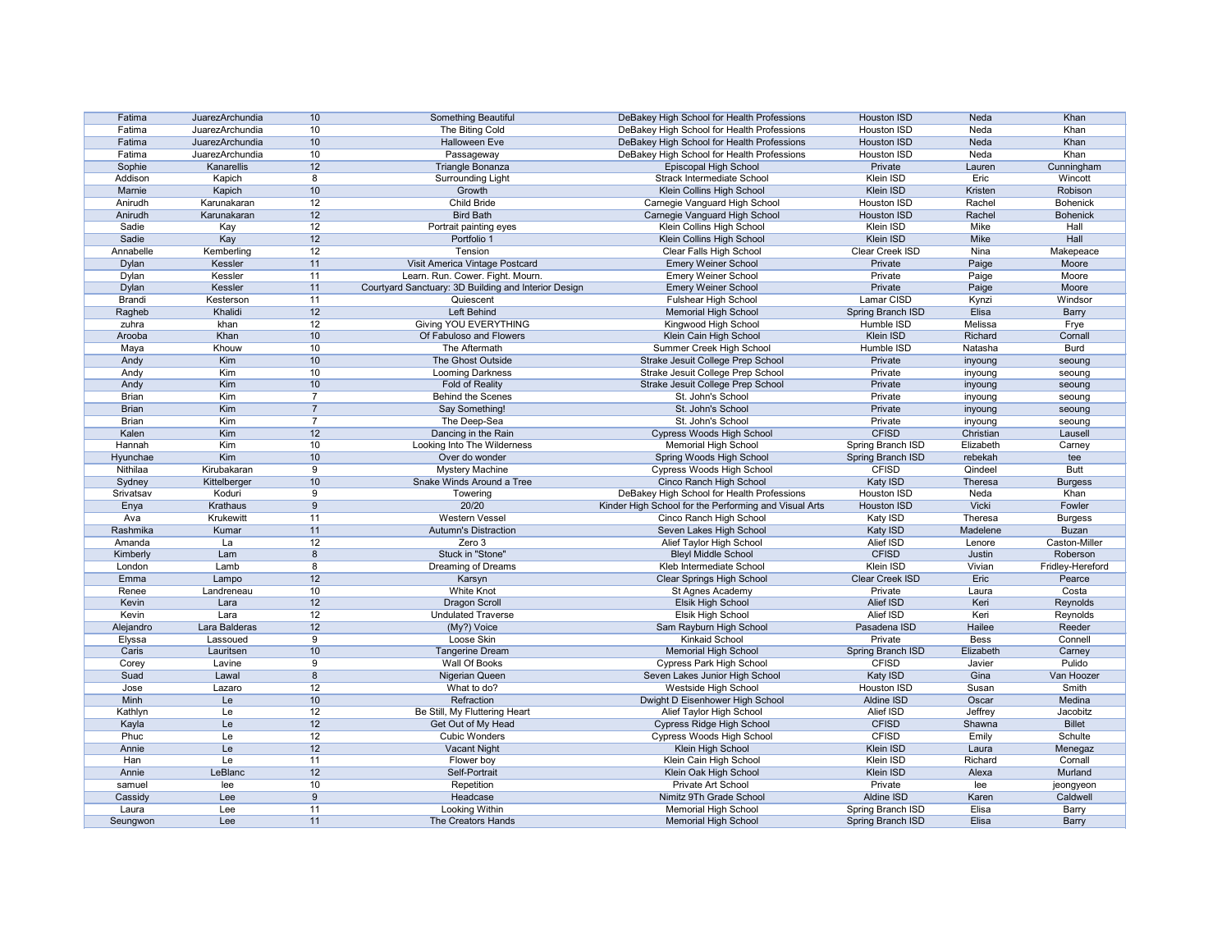| Fatima        | JuarezArchundia | 10             | Something Beautiful                                  | DeBakey High School for Health Professions            | <b>Houston ISD</b> | Neda        | Khan             |
|---------------|-----------------|----------------|------------------------------------------------------|-------------------------------------------------------|--------------------|-------------|------------------|
| Fatima        | JuarezArchundia | 10             | The Biting Cold                                      | DeBakey High School for Health Professions            | Houston ISD        | Neda        | Khan             |
| Fatima        | JuarezArchundia | 10             | <b>Halloween Eve</b>                                 | DeBakey High School for Health Professions            | <b>Houston ISD</b> | Neda        | Khan             |
| Fatima        | JuarezArchundia | 10             | Passageway                                           | DeBakey High School for Health Professions            | Houston ISD        | Neda        | Khan             |
| Sophie        | Kanarellis      | 12             | Triangle Bonanza                                     | Episcopal High School                                 | Private            | Lauren      | Cunningham       |
| Addison       | Kapich          | 8              | <b>Surrounding Light</b>                             | <b>Strack Intermediate School</b>                     | Klein ISD          | Eric        | Wincott          |
| Marnie        | Kapich          | 10             | Growth                                               | Klein Collins High School                             | Klein ISD          | Kristen     | Robison          |
| Anirudh       | Karunakaran     | 12             | Child Bride                                          | Carnegie Vanguard High School                         | <b>Houston ISD</b> | Rachel      | <b>Bohenick</b>  |
| Anirudh       | Karunakaran     | 12             | <b>Bird Bath</b>                                     | Carnegie Vanguard High School                         | <b>Houston ISD</b> | Rachel      | <b>Bohenick</b>  |
| Sadie         | Kay             | 12             | Portrait painting eyes                               | Klein Collins High School                             | Klein ISD          | Mike        | Hall             |
| Sadie         | Kay             | 12             | Portfolio 1                                          | Klein Collins High School                             | Klein ISD          | Mike        | Hall             |
|               |                 | 12             | Tension                                              |                                                       | Clear Creek ISD    | Nina        |                  |
| Annabelle     | Kemberling      |                |                                                      | <b>Clear Falls High School</b>                        |                    |             | Makepeace        |
| <b>Dylan</b>  | Kessler         | 11             | Visit America Vintage Postcard                       | <b>Emery Weiner School</b>                            | Private            | Paige       | Moore            |
| Dylan         | Kessler         | 11             | Learn. Run. Cower. Fight. Mourn.                     | <b>Emery Weiner School</b>                            | Private            | Paige       | Moore            |
| <b>Dylan</b>  | Kessler         | 11             | Courtyard Sanctuary: 3D Building and Interior Design | <b>Emery Weiner School</b>                            | Private            | Paige       | Moore            |
| <b>Brandi</b> | Kesterson       | 11             | Quiescent                                            | <b>Fulshear High School</b>                           | Lamar CISD         | Kynzi       | Windsor          |
| Ragheb        | Khalidi         | 12             | Left Behind                                          | <b>Memorial High School</b>                           | Spring Branch ISD  | Elisa       | <b>Barry</b>     |
| zuhra         | khan            | 12             | <b>Giving YOU EVERYTHING</b>                         | Kingwood High School                                  | Humble ISD         | Melissa     | Frye             |
| Arooba        | Khan            | 10             | Of Fabuloso and Flowers                              | Klein Cain High School                                | <b>Klein ISD</b>   | Richard     | Cornall          |
| Maya          | Khouw           | 10             | The Aftermath                                        | Summer Creek High School                              | Humble ISD         | Natasha     | <b>Burd</b>      |
| Andy          | Kim             | 10             | The Ghost Outside                                    | Strake Jesuit College Prep School                     | Private            | inyoung     | seoung           |
| Andy          | Kim             | 10             | Looming Darkness                                     | Strake Jesuit College Prep School                     | Private            | inyoung     | seoung           |
| Andy          | Kim             | 10             | Fold of Reality                                      | Strake Jesuit College Prep School                     | Private            | inyoung     | seoung           |
| <b>Brian</b>  | Kim             | -7             | <b>Behind the Scenes</b>                             | St. John's School                                     | Private            | inyoung     | seoung           |
| <b>Brian</b>  | Kim             | $\overline{7}$ | Say Something!                                       | St. John's School                                     | Private            |             |                  |
| <b>Brian</b>  | Kim             | $\overline{7}$ |                                                      | St. John's School                                     | Private            | inyoung     | seoung           |
|               |                 |                | The Deep-Sea                                         |                                                       |                    | inyoung     | seoung           |
| Kalen         | Kim             | 12             | Dancing in the Rain                                  | <b>Cypress Woods High School</b>                      | <b>CFISD</b>       | Christian   | Lausell          |
| Hannah        | Kim             | 10             | Looking Into The Wilderness                          | <b>Memorial High School</b>                           | Spring Branch ISD  | Elizabeth   | Carney           |
| Hyunchae      | Kim             | 10             | Over do wonder                                       | Spring Woods High School                              | Spring Branch ISD  | rebekah     | tee              |
| Nithilaa      | Kirubakaran     | 9              | <b>Mystery Machine</b>                               | Cypress Woods High School                             | <b>CFISD</b>       | Qindeel     | <b>Butt</b>      |
| Sydney        | Kittelberger    | 10             | Snake Winds Around a Tree                            | Cinco Ranch High School                               | Katy ISD           | Theresa     | <b>Burgess</b>   |
| Srivatsav     | Koduri          | 9              | Towering                                             | DeBakey High School for Health Professions            | Houston ISD        | Neda        | Khan             |
| Enya          | Krathaus        | 9              | 20/20                                                | Kinder High School for the Performing and Visual Arts | Houston ISD        | Vicki       | Fowler           |
| Ava           | Krukewitt       | 11             | <b>Western Vessel</b>                                | Cinco Ranch High School                               | Katy ISD           | Theresa     | <b>Burgess</b>   |
| Rashmika      | Kumar           | 11             | <b>Autumn's Distraction</b>                          | Seven Lakes High School                               | Katy ISD           | Madelene    | <b>Buzan</b>     |
| Amanda        | La              | 12             | Zero 3                                               | Alief Taylor High School                              | Alief ISD          | Lenore      | Caston-Miller    |
| Kimberly      | Lam             | 8              | Stuck in "Stone"                                     | <b>Bleyl Middle School</b>                            | <b>CFISD</b>       | Justin      | Roberson         |
| London        | Lamb            | 8              | Dreaming of Dreams                                   | Kleb Intermediate School                              | <b>Klein ISD</b>   | Vivian      | Fridley-Hereford |
| Emma          | Lampo           | 12             | Karsyn                                               | <b>Clear Springs High School</b>                      | Clear Creek ISD    | Eric        | Pearce           |
| Renee         | Landreneau      | 10             | <b>White Knot</b>                                    | St Agnes Academy                                      | Private            | Laura       | Costa            |
| Kevin         | Lara            | 12             | <b>Dragon Scroll</b>                                 | Elsik High School                                     | Alief ISD          | Keri        | Reynolds         |
| Kevin         | Lara            | 12             | <b>Undulated Traverse</b>                            | Elsik High School                                     | <b>Alief ISD</b>   | Keri        | Reynolds         |
| Alejandro     | Lara Balderas   |                | (My?) Voice                                          |                                                       | Pasadena ISD       | Hailee      | Reeder           |
|               |                 | 12             |                                                      | Sam Rayburn High School                               |                    |             |                  |
| Elyssa        | Lassoued        | 9              | Loose Skin                                           | <b>Kinkaid School</b>                                 | Private            | <b>Bess</b> | Connell          |
| Caris         | Lauritsen       | 10             | <b>Tangerine Dream</b>                               | <b>Memorial High School</b>                           | Spring Branch ISD  | Elizabeth   | Carney           |
| Corey         | Lavine          | 9              | <b>Wall Of Books</b>                                 | <b>Cypress Park High School</b>                       | <b>CFISD</b>       | Javier      | Pulido           |
| Suad          | Lawal           | 8              | Nigerian Queen                                       | Seven Lakes Junior High School                        | Katy ISD           | Gina        | Van Hoozer       |
| Jose          | Lazaro          | 12             | What to do?                                          | Westside High School                                  | <b>Houston ISD</b> | Susan       | Smith            |
| Minh          | Le              | 10             | Refraction                                           | Dwight D Eisenhower High School                       | Aldine ISD         | Oscar       | Medina           |
| Kathlyn       | Le              | 12             | Be Still, My Fluttering Heart                        | Alief Taylor High School                              | Alief ISD          | Jeffrey     | Jacobitz         |
| Kayla         | Le              | 12             | Get Out of My Head                                   | <b>Cypress Ridge High School</b>                      | <b>CFISD</b>       | Shawna      | <b>Billet</b>    |
| Phuc          | Le              | 12             | <b>Cubic Wonders</b>                                 | <b>Cypress Woods High School</b>                      | <b>CFISD</b>       | Emily       | Schulte          |
| Annie         | Le              | 12             | Vacant Night                                         | Klein High School                                     | Klein ISD          | Laura       | Menegaz          |
| Han           | Le              | 11             | Flower boy                                           | Klein Cain High School                                | Klein ISD          | Richard     | Cornall          |
| Annie         | LeBlanc         | 12             | Self-Portrait                                        | Klein Oak High School                                 | Klein ISD          | Alexa       | Murland          |
| samuel        | lee             | 10             | Repetition                                           | Private Art School                                    | Private            | lee         | jeongyeon        |
| Cassidy       | Lee             | 9              | Headcase                                             | Nimitz 9Th Grade School                               | Aldine ISD         | Karen       | Caldwell         |
|               | Lee             | 11             | Looking Within                                       | <b>Memorial High School</b>                           | Spring Branch ISD  | Elisa       | Barry            |
| Laura         |                 |                |                                                      |                                                       |                    |             |                  |
| Seungwon      | Lee             | 11             | The Creators Hands                                   | <b>Memorial High School</b>                           | Spring Branch ISD  | Elisa       | <b>Barry</b>     |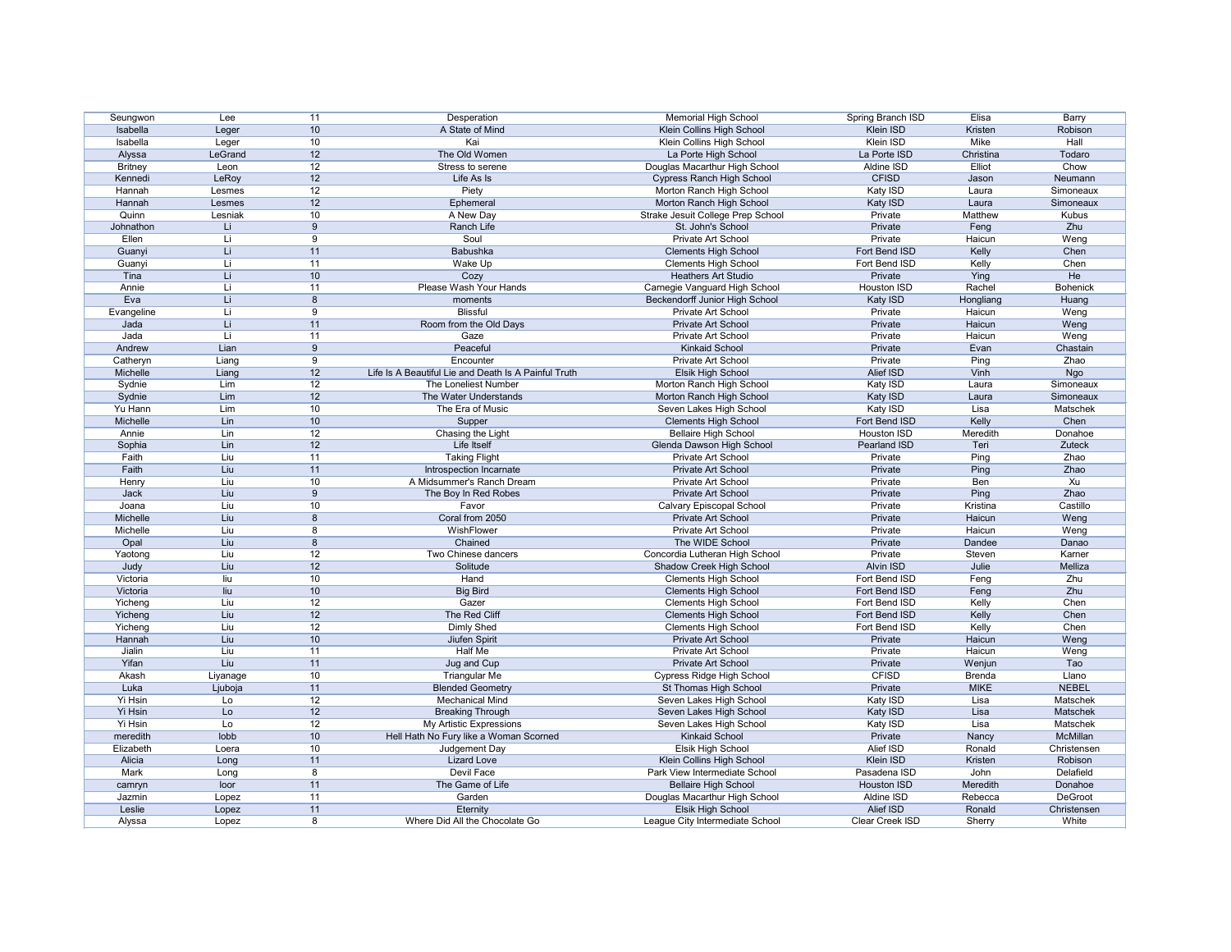| Seungwon       | Lee      | 11   | Desperation                                          | <b>Memorial High School</b>       | Spring Branch ISD   | Elisa         | Barry           |
|----------------|----------|------|------------------------------------------------------|-----------------------------------|---------------------|---------------|-----------------|
| Isabella       | Leger    | 10   | A State of Mind                                      | Klein Collins High School         | Klein ISD           | Kristen       | Robison         |
| Isabella       | Leger    | 10   | Kai                                                  | Klein Collins High School         | Klein ISD           | Mike          | Hall            |
| Alyssa         | LeGrand  | 12   | The Old Women                                        | La Porte High School              | La Porte ISD        | Christina     | Todaro          |
| <b>Britney</b> | Leon     | 12   | Stress to serene                                     | Douglas Macarthur High School     | Aldine ISD          | Elliot        | Chow            |
| Kennedi        | LeRoy    | 12   | Life As Is                                           | <b>Cypress Ranch High School</b>  | <b>CFISD</b>        | Jason         | Neumann         |
| Hannah         | Lesmes   | 12   | Piety                                                | Morton Ranch High School          | Katy ISD            | Laura         | Simoneaux       |
| Hannah         | Lesmes   | 12   | Ephemeral                                            | Morton Ranch High School          | Katy ISD            | Laura         | Simoneaux       |
| Quinn          | Lesniak  | 10   | A New Day                                            | Strake Jesuit College Prep School | Private             | Matthew       | Kubus           |
| Johnathon      | Li.      | 9    | Ranch Life                                           | St. John's School                 | Private             | Feng          | Zhu             |
| Ellen          | Li       | 9    | Soul                                                 | Private Art School                | Private             | Haicun        | Weng            |
| Guanyi         | Li.      | 11   | <b>Babushka</b>                                      | <b>Clements High School</b>       | Fort Bend ISD       | Kelly         | Chen            |
| Guanyi         | Li       | 11   | Wake Up                                              | <b>Clements High School</b>       | Fort Bend ISD       | Kelly         | Chen            |
| Tina           | Li.      | 10   | Cozy                                                 | <b>Heathers Art Studio</b>        | Private             | Ying          | He              |
| Annie          | Li       | 11   | Please Wash Your Hands                               | Carnegie Vanguard High School     | Houston ISD         | Rachel        | <b>Bohenick</b> |
| Eva            | Li       | 8    | moments                                              | Beckendorff Junior High School    | Katy ISD            | Hongliang     | Huang           |
| Evangeline     | Li       | 9    | <b>Blissful</b>                                      | Private Art School                | Private             | Haicun        | Weng            |
| Jada           | Li.      | 11   | Room from the Old Days                               | Private Art School                | Private             | Haicun        | Weng            |
| Jada           | Li       | 11   | Gaze                                                 | <b>Private Art School</b>         | Private             | Haicun        | Weng            |
|                | Lian     |      | Peaceful                                             |                                   |                     |               |                 |
| Andrew         |          | 9    |                                                      | <b>Kinkaid School</b>             | Private             | Evan          | Chastain        |
| Catheryn       | Liang    | 9    | Encounter                                            | Private Art School                | Private             | Ping          | Zhao            |
| Michelle       | Liang    | 12   | Life Is A Beautiful Lie and Death Is A Painful Truth | <b>Elsik High School</b>          | Alief ISD           | Vinh          | Ngo             |
| Sydnie         | Lim      | 12   | The Loneliest Number                                 | Morton Ranch High School          | Katy ISD            | Laura         | Simoneaux       |
| Sydnie         | Lim      | 12   | The Water Understands                                | Morton Ranch High School          | Katy ISD            | Laura         | Simoneaux       |
| Yu Hann        | Lim      | 10   | The Era of Music                                     | Seven Lakes High School           | Katy ISD            | Lisa          | Matschek        |
| Michelle       | Lin      | 10   | Supper                                               | <b>Clements High School</b>       | Fort Bend ISD       | Kelly         | Chen            |
| Annie          | Lin      | 12   | Chasing the Light                                    | <b>Bellaire High School</b>       | Houston ISD         | Meredith      | Donahoe         |
| Sophia         | Lin      | 12   | <b>Life Itself</b>                                   | Glenda Dawson High School         | <b>Pearland ISD</b> | Teri          | <b>Zuteck</b>   |
| Faith          | Liu      | 11   | <b>Taking Flight</b>                                 | Private Art School                | Private             | Ping          | Zhao            |
| Faith          | Liu      | 11   | Introspection Incarnate                              | Private Art School                | Private             | Ping          | Zhao            |
| Henry          | Liu      | 10   | A Midsummer's Ranch Dream                            | Private Art School                | Private             | Ben           | Xu              |
| Jack           | Liu      | 9    | The Boy In Red Robes                                 | Private Art School                | Private             | Ping          | Zhao            |
| Joana          | Liu      | 10   | Favor                                                | Calvary Episcopal School          | Private             | Kristina      | Castillo        |
| Michelle       | Liu      | 8    | Coral from 2050                                      | Private Art School                | Private             | Haicun        | Weng            |
| Michelle       | Liu      | 8    | WishFlower                                           | Private Art School                | Private             | Haicun        | Weng            |
| Opal           | Liu      | 8    | Chained                                              | The WIDE School                   | Private             | Dandee        | Danao           |
| Yaotong        | Liu      | 12   | Two Chinese dancers                                  | Concordia Lutheran High School    | Private             | Steven        | Karner          |
| Judy           | Liu      | 12   | Solitude                                             | <b>Shadow Creek High School</b>   | <b>Alvin ISD</b>    | Julie         | Melliza         |
| Victoria       | liu      | 10   | Hand                                                 | <b>Clements High School</b>       | Fort Bend ISD       | Feng          | Zhu             |
| Victoria       | liu      | $10$ | <b>Big Bird</b>                                      | <b>Clements High School</b>       | Fort Bend ISD       | Feng          | Zhu             |
| Yicheng        | Liu      | 12   | Gazer                                                | <b>Clements High School</b>       | Fort Bend ISD       | Kelly         | Chen            |
| Yicheng        | Liu      | 12   | The Red Cliff                                        | <b>Clements High School</b>       | Fort Bend ISD       | Kelly         | Chen            |
| Yicheng        | Liu      | 12   | Dimly Shed                                           | <b>Clements High School</b>       | Fort Bend ISD       | Kelly         | Chen            |
| Hannah         | Liu      | 10   | Jiufen Spirit                                        | Private Art School                | Private             | Haicun        | Weng            |
| Jialin         | Liu      | 11   | <b>Half Me</b>                                       | Private Art School                | Private             | Haicun        | Weng            |
| Yifan          | Liu      | 11   | Jug and Cup                                          | Private Art School                | Private             | Wenjun        | Tao             |
| Akash          | Liyanage | 10   | <b>Triangular Me</b>                                 | <b>Cypress Ridge High School</b>  | <b>CFISD</b>        | <b>Brenda</b> | Llano           |
| Luka           | Ljuboja  | 11   | <b>Blended Geometry</b>                              | St Thomas High School             | Private             | <b>MIKE</b>   | <b>NEBEL</b>    |
| Yi Hsin        | Lo       | 12   | <b>Mechanical Mind</b>                               | Seven Lakes High School           | Katy ISD            | Lisa          | Matschek        |
| Yi Hsin        | Lo       | 12   | <b>Breaking Through</b>                              | Seven Lakes High School           | Katy ISD            | Lisa          | Matschek        |
| Yi Hsin        | Lo       | 12   | My Artistic Expressions                              | Seven Lakes High School           | Katy ISD            | Lisa          | Matschek        |
| meredith       | lobb     | $10$ | Hell Hath No Fury like a Woman Scorned               | <b>Kinkaid School</b>             | Private             | Nancy         | <b>McMillan</b> |
| Elizabeth      | Loera    | 10   | Judgement Day                                        | Elsik High School                 | Alief ISD           | Ronald        | Christensen     |
| Alicia         | Long     | 11   | <b>Lizard Love</b>                                   | Klein Collins High School         | Klein ISD           | Kristen       | Robison         |
| Mark           | Long     | 8    | <b>Devil Face</b>                                    | Park View Intermediate School     | Pasadena ISD        | John          | Delafield       |
| camryn         | loor     | 11   | The Game of Life                                     | <b>Bellaire High School</b>       | Houston ISD         | Meredith      | Donahoe         |
| Jazmin         | Lopez    | 11   | Garden                                               | Douglas Macarthur High School     | Aldine ISD          | Rebecca       | DeGroot         |
| Leslie         | Lopez    | 11   | Eternity                                             | Elsik High School                 | Alief ISD           | Ronald        | Christensen     |
| Alyssa         | Lopez    | 8    | Where Did All the Chocolate Go                       | League City Intermediate School   | Clear Creek ISD     | Sherry        | White           |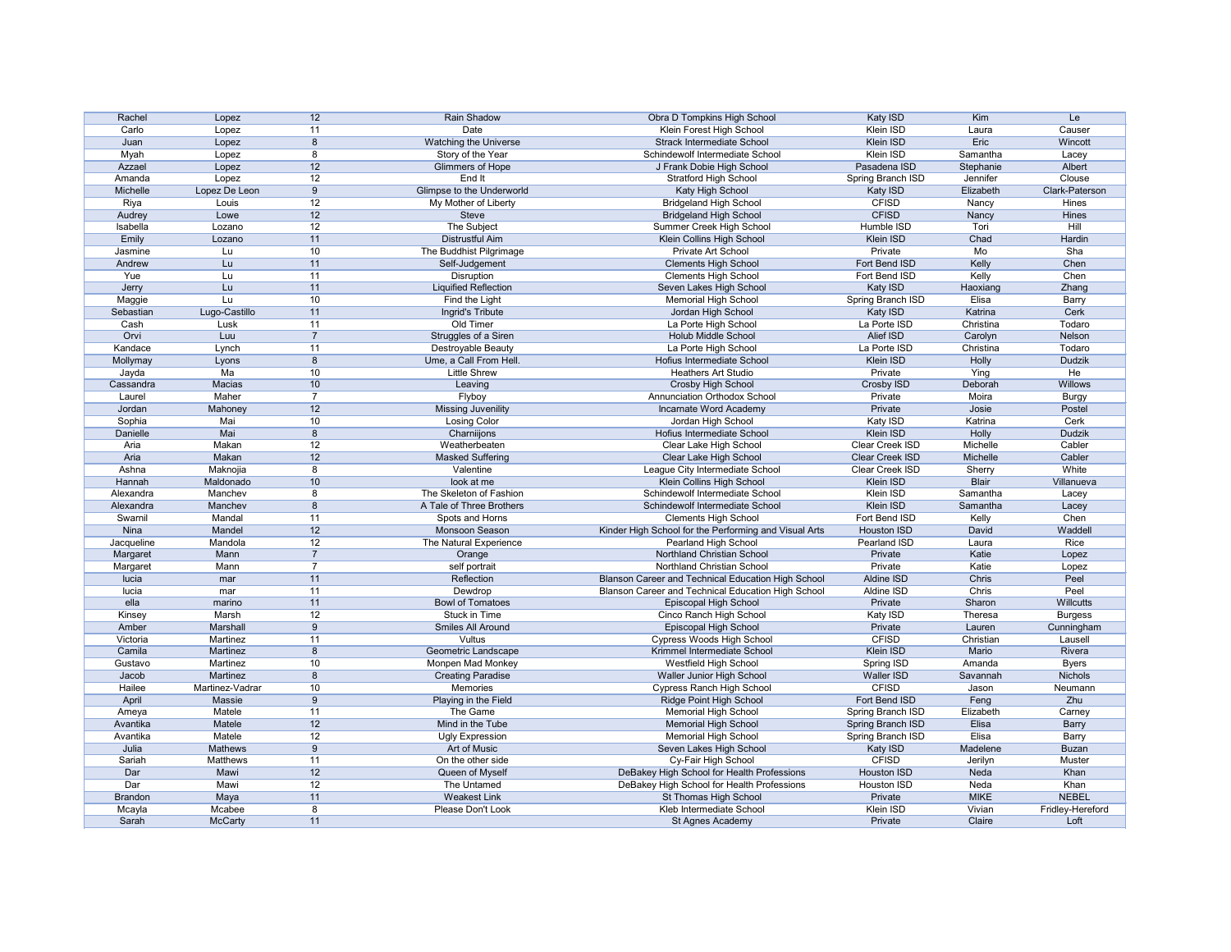| Rachel           | Lopez           | 12               | Rain Shadow                  | Obra D Tompkins High School                           | Katy ISD                 | Kim                | Le                             |
|------------------|-----------------|------------------|------------------------------|-------------------------------------------------------|--------------------------|--------------------|--------------------------------|
| Carlo            | Lopez           | 11               | Date                         | Klein Forest High School                              | Klein ISD                | Laura              | Causer                         |
| Juan             | Lopez           | 8                | <b>Watching the Universe</b> | <b>Strack Intermediate School</b>                     | Klein ISD                | Eric               | Wincott                        |
| Myah             | Lopez           | 8                | Story of the Year            | Schindewolf Intermediate School                       | Klein ISD                | Samantha           | Lacey                          |
| Azzael           | Lopez           | 12               | Glimmers of Hope             | J Frank Dobie High School                             | Pasadena ISD             | Stephanie          | Albert                         |
| Amanda           | Lopez           | 12               | End It                       | <b>Stratford High School</b>                          | Spring Branch ISD        | Jennifer           | Clouse                         |
| Michelle         | Lopez De Leon   | 9                | Glimpse to the Underworld    | Katy High School                                      | Katy ISD                 | Elizabeth          | Clark-Paterson                 |
|                  |                 |                  |                              |                                                       |                          |                    |                                |
| Riya             | Louis           | 12               | My Mother of Liberty         | <b>Bridgeland High School</b>                         | <b>CFISD</b>             | Nancy              | Hines                          |
| Audrey           | Lowe            | 12               | <b>Steve</b>                 | <b>Bridgeland High School</b>                         | <b>CFISD</b>             | Nancy              | Hines                          |
| Isabella         | Lozano          | 12               | The Subject                  | Summer Creek High School                              | Humble ISD               | Tori               | Hill                           |
| Emily            | Lozano          | 11               | <b>Distrustful Aim</b>       | Klein Collins High School                             | <b>Klein ISD</b>         | Chad               | <b>Hardin</b>                  |
| Jasmine          | Lu              | 10               | The Buddhist Pilgrimage      | Private Art School                                    | Private                  | Mo                 | Sha                            |
| Andrew           | Lu              | 11               | Self-Judgement               | <b>Clements High School</b>                           | Fort Bend ISD            | Kelly              | Chen                           |
| Yue              | Lu              | 11               | <b>Disruption</b>            | <b>Clements High School</b>                           | Fort Bend ISD            | Kelly              | Chen                           |
| Jerry            | Lu              | 11               | <b>Liquified Reflection</b>  | Seven Lakes High School                               | Katy ISD                 | Haoxiang           | Zhang                          |
| Maggie           | Lu              | 10               | Find the Light               | <b>Memorial High School</b>                           | Spring Branch ISD        | Elisa              | <b>Barry</b>                   |
| Sebastian        | Lugo-Castillo   | 11               | Ingrid's Tribute             | Jordan High School                                    | Katy ISD                 | Katrina            | Cerk                           |
| Cash             | Lusk            | 11               | Old Timer                    | La Porte High School                                  | La Porte ISD             | Christina          | Todaro                         |
| Orvi             | Luu             | $\overline{7}$   | Struggles of a Siren         | <b>Holub Middle School</b>                            | <b>Alief ISD</b>         | Carolyn            | Nelson                         |
| Kandace          | Lynch           | 11               | Destroyable Beauty           | La Porte High School                                  | La Porte ISD             | Christina          | Todaro                         |
| Mollymay         | Lyons           | $\boldsymbol{8}$ | Ume, a Call From Hell.       | Hofius Intermediate School                            | Klein ISD                | Holly              | Dudzik                         |
| Jayda            | Ma              | 10               | <b>Little Shrew</b>          | <b>Heathers Art Studio</b>                            | Private                  | Ying               | He                             |
| Cassandra        | Macias          | 10               | Leaving                      | <b>Crosby High School</b>                             | Crosby ISD               | Deborah            | Willows                        |
| Laurel           | Maher           | $\overline{7}$   | Flyboy                       | <b>Annunciation Orthodox School</b>                   | Private                  | Moira              | <b>Burgy</b>                   |
| Jordan           | Mahoney         | 12               |                              | Incarnate Word Academy                                | Private                  | Josie              | Postel                         |
|                  | Mai             |                  | <b>Missing Juvenility</b>    |                                                       |                          | Katrina            | Cerk                           |
| Sophia           |                 | 10               | <b>Losing Color</b>          | Jordan High School                                    | Katy ISD                 |                    |                                |
| Danielle         | Mai             | 8                | Charniijons                  | Hofius Intermediate School                            | <b>Klein ISD</b>         | Holly              | <b>Dudzik</b>                  |
| Aria             | Makan           | 12               | Weatherbeaten                | Clear Lake High School                                | <b>Clear Creek ISD</b>   | Michelle           | Cabler                         |
| Aria             | Makan           | 12               | <b>Masked Suffering</b>      | Clear Lake High School                                | <b>Clear Creek ISD</b>   | Michelle           | Cabler                         |
| Ashna            | Maknojia        | 8                | Valentine                    | League City Intermediate School                       | Clear Creek ISD          | Sherry             | White                          |
| Hannah           | Maldonado       | 10               | look at me                   | Klein Collins High School                             | Klein ISD                | <b>Blair</b>       | Villanueva                     |
| Alexandra        | Manchev         | 8                | The Skeleton of Fashion      | Schindewolf Intermediate School                       | Klein ISD                | Samantha           | Lacey                          |
| Alexandra        | Manchev         | 8                | A Tale of Three Brothers     | Schindewolf Intermediate School                       | Klein ISD                | Samantha           | Lacey                          |
| Swarnil          | Mandal          | 11               | Spots and Horns              | <b>Clements High School</b>                           | Fort Bend ISD            | Kelly              | Chen                           |
| Nina             | Mandel          | 12               | Monsoon Season               | Kinder High School for the Performing and Visual Arts | <b>Houston ISD</b>       | David              | Waddell                        |
| Jacqueline       | Mandola         | 12               | The Natural Experience       | Pearland High School                                  | Pearland ISD             | Laura              | Rice                           |
| Margaret         | Mann            |                  | Orange                       | Northland Christian School                            | Private                  | Katie              | Lopez                          |
| Margaret         | Mann            | 7                | self portrait                | Northland Christian School                            | Private                  | Katie              | Lopez                          |
| lucia            | mar             | 11               | Reflection                   | Blanson Career and Technical Education High School    | Aldine ISD               | Chris              | Peel                           |
| lucia            | mar             | 11               | Dewdrop                      | Blanson Career and Technical Education High School    | Aldine ISD               | Chris              | Peel                           |
| ella             | marino          | 11               | <b>Bowl of Tomatoes</b>      | Episcopal High School                                 | Private                  | Sharon             | Willcutts                      |
| Kinsey           | Marsh           | 12               | Stuck in Time                | Cinco Ranch High School                               | Katy ISD                 | Theresa            | <b>Burgess</b>                 |
| Amber            | Marshall        | 9                | Smiles All Around            | Episcopal High School                                 | Private                  | Lauren             | Cunningham                     |
| Victoria         | Martinez        | 11               | Vultus                       | Cypress Woods High School                             | <b>CFISD</b>             | Christian          | Lausell                        |
| Camila           | Martinez        | $\boldsymbol{8}$ | Geometric Landscape          | Krimmel Intermediate School                           | <b>Klein ISD</b>         | Mario              | Rivera                         |
|                  | Martinez        |                  |                              | Westfield High School                                 |                          |                    |                                |
| Gustavo<br>Jacob | Martinez        | 10<br>8          | Monpen Mad Monkey            | Waller Junior High School                             | Spring ISD<br>Waller ISD | Amanda<br>Savannah | <b>Byers</b><br><b>Nichols</b> |
|                  |                 |                  | <b>Creating Paradise</b>     |                                                       |                          |                    |                                |
| Hailee           | Martinez-Vadrar | 10               | Memories                     | <b>Cypress Ranch High School</b>                      | <b>CFISD</b>             | Jason              | Neumann                        |
| April            | Massie          | 9                | Playing in the Field         | <b>Ridge Point High School</b>                        | Fort Bend ISD            | Feng               | Zhu                            |
| Ameya            | Matele          | 11               | The Game                     | <b>Memorial High School</b>                           | Spring Branch ISD        | Elizabeth          | Carney                         |
| Avantika         | Matele          | 12               | Mind in the Tube             | <b>Memorial High School</b>                           | Spring Branch ISD        | Elisa              | <b>Barry</b>                   |
| Avantika         | Matele          | 12               | <b>Ugly Expression</b>       | <b>Memorial High School</b>                           | Spring Branch ISD        | Elisa              | Barry                          |
| Julia            | Mathews         | 9                | <b>Art of Music</b>          | Seven Lakes High School                               | Katy ISD                 | Madelene           | <b>Buzan</b>                   |
| Sariah           | Matthews        | 11               | On the other side            | Cy-Fair High School                                   | <b>CFISD</b>             | Jerilyn            | Muster                         |
| Dar              | Mawi            | 12               | Queen of Myself              | DeBakey High School for Health Professions            | <b>Houston ISD</b>       | Neda               | Khan                           |
| Dar              | Mawi            | 12               | The Untamed                  | DeBakey High School for Health Professions            | Houston ISD              | Neda               | Khan                           |
| <b>Brandon</b>   | Maya            | 11               | <b>Weakest Link</b>          | St Thomas High School                                 | Private                  | <b>MIKE</b>        | <b>NEBEL</b>                   |
| Mcayla           | Mcabee          | 8                | Please Don't Look            | Kleb Intermediate School                              | Klein ISD                | Vivian             | Fridley-Hereford               |
| Sarah            | <b>McCarty</b>  | 11               |                              | St Agnes Academy                                      | Private                  | Claire             | Loft                           |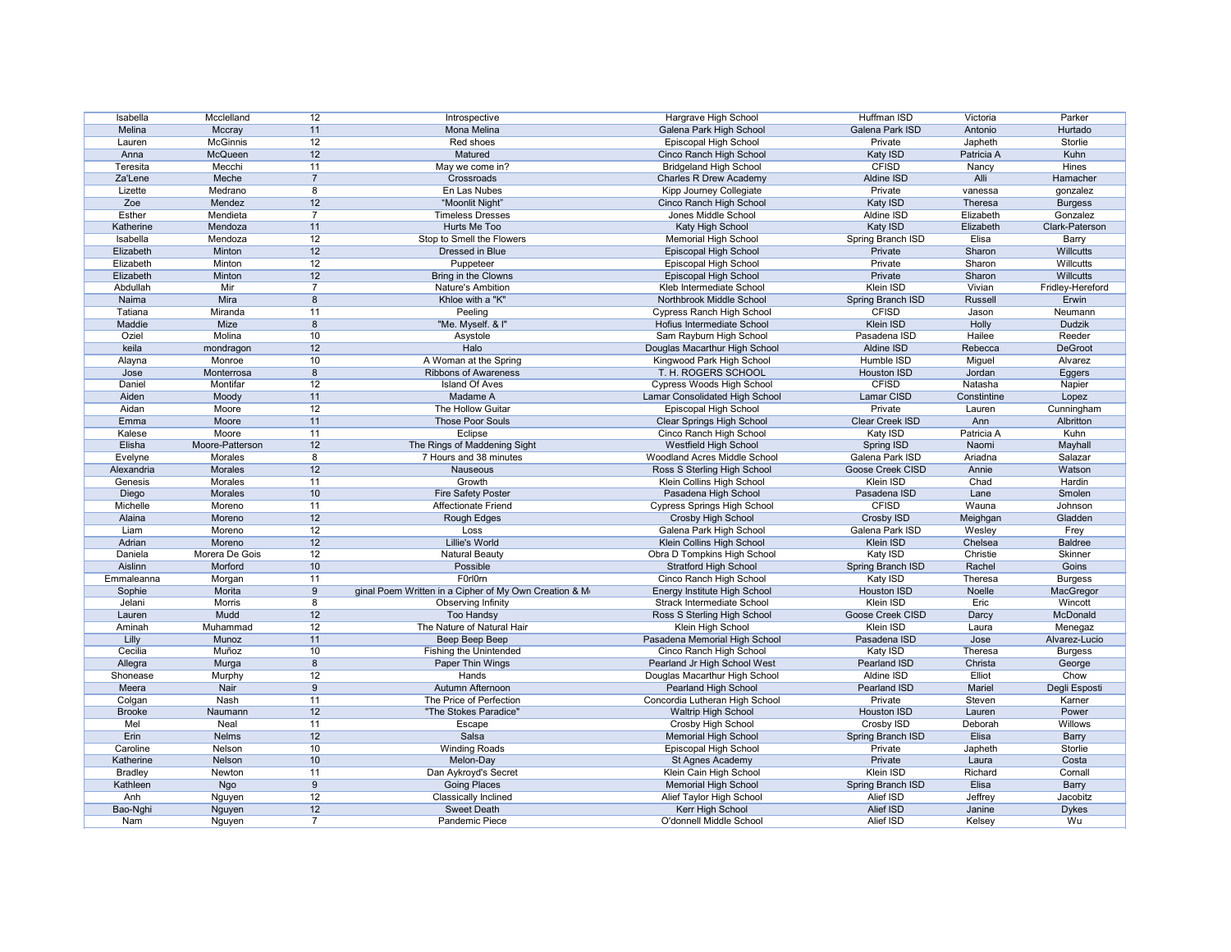| Isabella       | Mcclelland      | 12             | Introspective                                          | Hargrave High School                | Huffman ISD        | Victoria      | Parker           |
|----------------|-----------------|----------------|--------------------------------------------------------|-------------------------------------|--------------------|---------------|------------------|
| Melina         | Mccray          | 11             | Mona Melina                                            | Galena Park High School             | Galena Park ISD    | Antonio       | Hurtado          |
| Lauren         | <b>McGinnis</b> | 12             | Red shoes                                              | Episcopal High School               | Private            | Japheth       | Storlie          |
| Anna           | McQueen         | 12             | Matured                                                | Cinco Ranch High School             | Katy ISD           | Patricia A    | Kuhn             |
| Teresita       | Mecchi          | 11             | May we come in?                                        | <b>Bridgeland High School</b>       | <b>CFISD</b>       | Nancy         | <b>Hines</b>     |
| Za'Lene        | Meche           | $\overline{7}$ | Crossroads                                             | <b>Charles R Drew Academy</b>       | Aldine ISD         | Alli          | Hamacher         |
| Lizette        | Medrano         | 8              | En Las Nubes                                           | Kipp Journey Collegiate             | Private            | vanessa       | gonzalez         |
| Zoe            | Mendez          | 12             | "Moonlit Night"                                        | Cinco Ranch High School             | Katy ISD           | Theresa       | <b>Burgess</b>   |
| Esther         | Mendieta        | 7              | <b>Timeless Dresses</b>                                | Jones Middle School                 | Aldine ISD         | Elizabeth     | Gonzalez         |
| Katherine      | Mendoza         | 11             | Hurts Me Too                                           | Katy High School                    | Katy ISD           | Elizabeth     | Clark-Paterson   |
| Isabella       | Mendoza         | 12             | Stop to Smell the Flowers                              | <b>Memorial High School</b>         | Spring Branch ISD  | Elisa         | <b>Barry</b>     |
| Elizabeth      | Minton          | 12             | Dressed in Blue                                        | Episcopal High School               | Private            | Sharon        | <b>Willcutts</b> |
| Elizabeth      | Minton          | 12             | Puppeteer                                              | Episcopal High School               | Private            | Sharon        | Willcutts        |
| Elizabeth      | Minton          | 12             | Bring in the Clowns                                    | Episcopal High School               | Private            | Sharon        | Willcutts        |
| Abdullah       | Mir             | $\overline{7}$ | Nature's Ambition                                      | Kleb Intermediate School            | Klein ISD          | Vivian        | Fridley-Hereford |
| Naima          | Mira            | 8              | Khloe with a "K"                                       | Northbrook Middle School            | Spring Branch ISD  | Russell       | Erwin            |
| Tatiana        | Miranda         | 11             | Peeling                                                | <b>Cypress Ranch High School</b>    | <b>CFISD</b>       | Jason         | Neumann          |
| Maddie         | Mize            | 8              | "Me. Myself. & I"                                      | Hofius Intermediate School          | Klein ISD          | Holly         | Dudzik           |
| Oziel          | Molina          | 10             | Asystole                                               | Sam Rayburn High School             | Pasadena ISD       | Hailee        | Reeder           |
| keila          | mondragon       | 12             | Halo                                                   | Douglas Macarthur High School       | Aldine ISD         | Rebecca       | DeGroot          |
|                | Monroe          | 10             | A Woman at the Spring                                  | Kingwood Park High School           | Humble ISD         |               | Alvarez          |
| Alayna         |                 | 8              | <b>Ribbons of Awareness</b>                            | T. H. ROGERS SCHOOL                 | <b>Houston ISD</b> | Miguel        |                  |
| Jose           | Monterrosa      |                |                                                        |                                     | <b>CFISD</b>       | Jordan        | Eggers           |
| Daniel         | Montifar        | 12             | <b>Island Of Aves</b>                                  | <b>Cypress Woods High School</b>    |                    | Natasha       | Napier           |
| Aiden          | Moody           | 11             | Madame A                                               | Lamar Consolidated High School      | Lamar CISD         | Constintine   | Lopez            |
| Aidan          | Moore           | 12             | The Hollow Guitar                                      | Episcopal High School               | Private            | Lauren        | Cunningham       |
| Emma           | Moore           | 11             | Those Poor Souls                                       | <b>Clear Springs High School</b>    | Clear Creek ISD    | Ann           | Albritton        |
| Kalese         | Moore           | 11             | Eclipse                                                | Cinco Ranch High School             | Katy ISD           | Patricia A    | Kuhn             |
| Elisha         | Moore-Patterson | 12             | The Rings of Maddening Sight                           | <b>Westfield High School</b>        | <b>Spring ISD</b>  | Naomi         | <b>Mayhall</b>   |
| Evelyne        | Morales         | 8              | 7 Hours and 38 minutes                                 | <b>Woodland Acres Middle School</b> | Galena Park ISD    | Ariadna       | Salazar          |
| Alexandria     | Morales         | 12             | Nauseous                                               | Ross S Sterling High School         | Goose Creek CISD   | Annie         | Watson           |
| Genesis        | <b>Morales</b>  | 11             | Growth                                                 | Klein Collins High School           | Klein ISD          | Chad          | Hardin           |
| Diego          | Morales         | 10             | <b>Fire Safety Poster</b>                              | Pasadena High School                | Pasadena ISD       | Lane          | Smolen           |
| Michelle       | Moreno          | 11             | <b>Affectionate Friend</b>                             | <b>Cypress Springs High School</b>  | <b>CFISD</b>       | Wauna         | Johnson          |
| Alaina         | Moreno          | 12             | <b>Rough Edges</b>                                     | <b>Crosby High School</b>           | Crosby ISD         | Meighgan      | Gladden          |
| Liam           | Moreno          | 12             | Loss                                                   | Galena Park High School             | Galena Park ISD    | Wesley        | Frey             |
| Adrian         | Moreno          | 12             | Lillie's World                                         | Klein Collins High School           | Klein ISD          | Chelsea       | <b>Baldree</b>   |
| Daniela        | Morera De Gois  | 12             | <b>Natural Beauty</b>                                  | Obra D Tompkins High School         | Katy ISD           | Christie      | Skinner          |
| Aislinn        | Morford         | 10             | Possible                                               | <b>Stratford High School</b>        | Spring Branch ISD  | Rachel        | Goins            |
| Emmaleanna     | Morgan          | 11             | F0rl0rn                                                | Cinco Ranch High School             | Katy ISD           | Theresa       | <b>Burgess</b>   |
| Sophie         | Morita          | 9              | iginal Poem Written in a Cipher of My Own Creation & M | Energy Institute High School        | Houston ISD        | Noelle        | MacGregor        |
| Jelani         | Morris          | 8              | Observing Infinity                                     | <b>Strack Intermediate School</b>   | Klein ISD          | Eric          | Wincott          |
| Lauren         | Mudd            | 12             | <b>Too Handsy</b>                                      | Ross S Sterling High School         | Goose Creek CISD   | Darcy         | McDonald         |
| Aminah         | Muhammad        | 12             | The Nature of Natural Hair                             | Klein High School                   | Klein ISD          | Laura         | Menegaz          |
| Lilly          | Munoz           | 11             | Beep Beep Beep                                         | Pasadena Memorial High School       | Pasadena ISD       | Jose          | Alvarez-Lucio    |
| Cecilia        | Muñoz           | 10             | Fishing the Unintended                                 | Cinco Ranch High School             | Katy ISD           | Theresa       | <b>Burgess</b>   |
| Allegra        | Murga           | 8              | Paper Thin Wings                                       | Pearland Jr High School West        | Pearland ISD       | Christa       | George           |
| Shonease       | Murphy          | 12             | <b>Hands</b>                                           | Douglas Macarthur High School       | Aldine ISD         | <b>Elliot</b> | Chow             |
| Meera          | Nair            | 9              | Autumn Afternoon                                       | Pearland High School                | Pearland ISD       | Mariel        | Degli Esposti    |
| Colgan         | Nash            | 11             | The Price of Perfection                                | Concordia Lutheran High School      | Private            | Steven        | Karner           |
| <b>Brooke</b>  | Naumann         | 12             | "The Stokes Paradice"                                  | <b>Waltrip High School</b>          | Houston ISD        | Lauren        | Power            |
| Mel            | Neal            | 11             | Escape                                                 | <b>Crosby High School</b>           | Crosby ISD         | Deborah       | Willows          |
| Erin           | <b>Nelms</b>    | 12             | Salsa                                                  | <b>Memorial High School</b>         | Spring Branch ISD  | Elisa         | <b>Barry</b>     |
| Caroline       | Nelson          | 10             | <b>Winding Roads</b>                                   | Episcopal High School               | Private            | Japheth       | Storlie          |
| Katherine      | Nelson          | 10             | Melon-Day                                              | St Agnes Academy                    | Private            | Laura         | Costa            |
| <b>Bradley</b> | Newton          | 11             | Dan Aykroyd's Secret                                   | Klein Cain High School              | Klein ISD          | Richard       | Cornall          |
| Kathleen       | <b>Ngo</b>      | 9              | <b>Going Places</b>                                    | <b>Memorial High School</b>         | Spring Branch ISD  | Elisa         | <b>Barry</b>     |
| Anh            | Nguyen          | 12             | <b>Classically Inclined</b>                            | Alief Taylor High School            | Alief ISD          | Jeffrey       | Jacobitz         |
| Bao-Nghi       | Nguyen          | 12             | Sweet Death                                            | Kerr High School                    | Alief ISD          | Janine        | <b>Dykes</b>     |
| Nam            | Nguyen          | $\overline{7}$ | Pandemic Piece                                         | O'donnell Middle School             | Alief ISD          | Kelsey        | Wu               |
|                |                 |                |                                                        |                                     |                    |               |                  |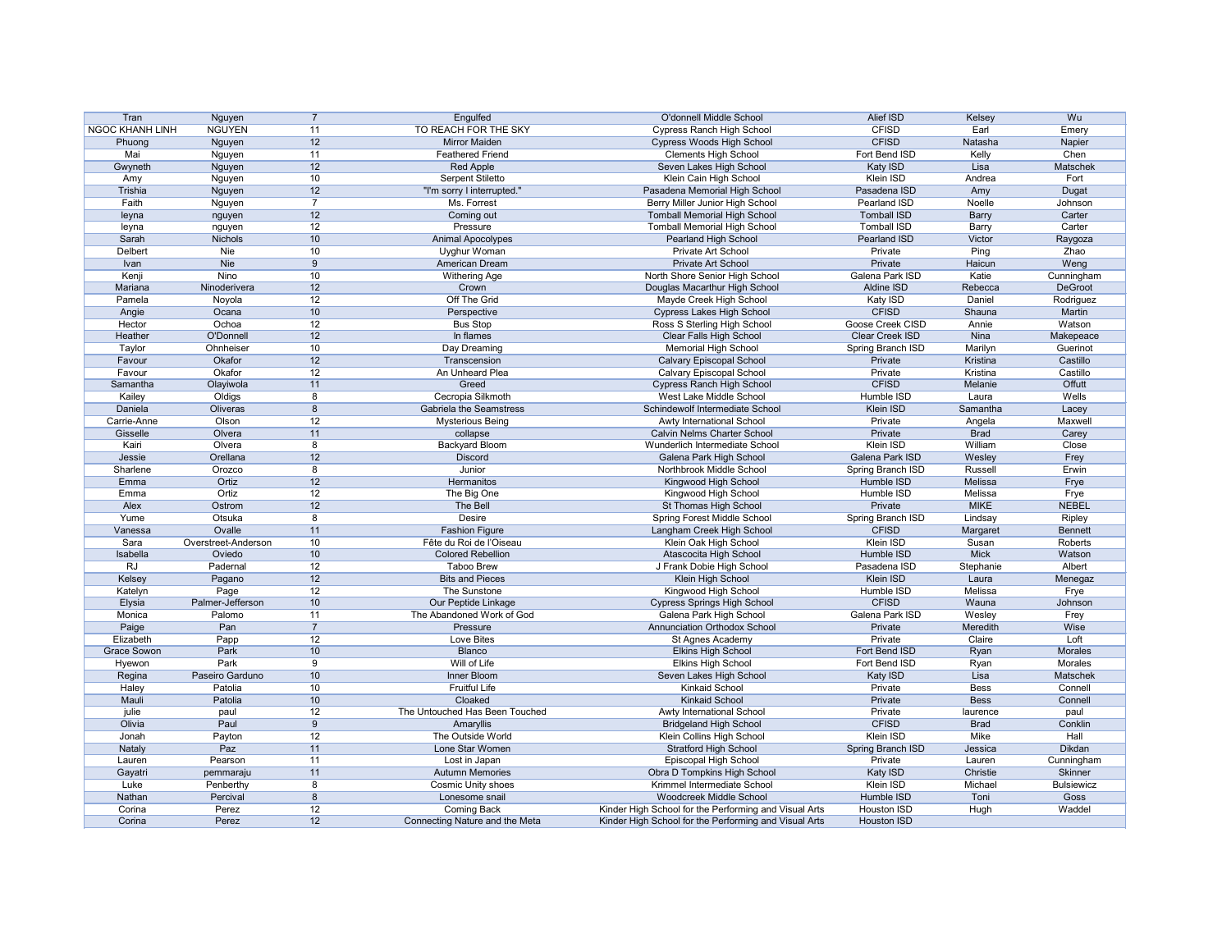| Tran                   | Nguyen              |                | Engulfed                       | O'donnell Middle School                               | Alief ISD              | Kelsey                 | Wu                |
|------------------------|---------------------|----------------|--------------------------------|-------------------------------------------------------|------------------------|------------------------|-------------------|
| <b>NGOC KHANH LINH</b> | <b>NGUYEN</b>       | 11             | TO REACH FOR THE SKY           | <b>Cypress Ranch High School</b>                      | <b>CFISD</b>           | Earl                   | Emery             |
| Phuong                 | Nguyen              | 12             | <b>Mirror Maiden</b>           | <b>Cypress Woods High School</b>                      | <b>CFISD</b>           | Natasha                | Napier            |
| Mai                    | Nguyen              | 11             | <b>Feathered Friend</b>        | <b>Clements High School</b>                           | Fort Bend ISD          | Kelly                  | Chen              |
| Gwyneth                | Nguyen              | 12             | <b>Red Apple</b>               | Seven Lakes High School                               | Katy ISD               | Lisa                   | Matschek          |
| Amy                    | Nguyen              | 10             | <b>Serpent Stiletto</b>        | Klein Cain High School                                | Klein ISD              | Andrea                 | Fort              |
| Trishia                | Nguyen              | 12             | "I'm sorry I interrupted."     | Pasadena Memorial High School                         | Pasadena ISD           | Amy                    | Dugat             |
| Faith                  | Nguyen              | -7             | Ms. Forrest                    | Berry Miller Junior High School                       | Pearland ISD           | Noelle                 | Johnson           |
| leyna                  | nguyen              | 12             | Coming out                     | <b>Tomball Memorial High School</b>                   | <b>Tomball ISD</b>     | <b>Barry</b>           | Carter            |
|                        |                     | 12             | Pressure                       | <b>Tomball Memorial High School</b>                   | <b>Tomball ISD</b>     |                        | Carter            |
| leyna                  | nguyen              | 10             |                                |                                                       |                        | <b>Barry</b><br>Victor |                   |
| Sarah                  | <b>Nichols</b>      |                | Animal Apocolypes              | Pearland High School                                  | Pearland ISD           |                        | Raygoza           |
| Delbert                | Nie                 | 10             | Uyghur Woman                   | Private Art School                                    | Private                | Ping                   | Zhao              |
| Ivan                   | Nie                 | 9              | American Dream                 | Private Art School                                    | Private                | Haicun                 | Weng              |
| Kenji                  | Nino                | 10             | <b>Withering Age</b>           | North Shore Senior High School                        | Galena Park ISD        | Katie                  | Cunningham        |
| Mariana                | Ninoderivera        | 12             | Crown                          | Douglas Macarthur High School                         | Aldine ISD             | Rebecca                | DeGroot           |
| Pamela                 | Noyola              | 12             | Off The Grid                   | Mayde Creek High School                               | Katy ISD               | Daniel                 | Rodriguez         |
| Angie                  | Ocana               | 10             | Perspective                    | <b>Cypress Lakes High School</b>                      | <b>CFISD</b>           | Shauna                 | Martin            |
| Hector                 | Ochoa               | 12             | <b>Bus Stop</b>                | Ross S Sterling High School                           | Goose Creek CISD       | Annie                  | Watson            |
| Heather                | O'Donnell           | 12             | In flames                      | <b>Clear Falls High School</b>                        | <b>Clear Creek ISD</b> | Nina                   | Makepeace         |
| Taylor                 | Ohnheiser           | 10             | Day Dreaming                   | <b>Memorial High School</b>                           | Spring Branch ISD      | Marilyn                | Guerinot          |
| Favour                 | Okafor              | 12             | Transcension                   | <b>Calvary Episcopal School</b>                       | Private                | Kristina               | Castillo          |
| Favour                 | Okafor              | 12             | An Unheard Plea                | <b>Calvary Episcopal School</b>                       | Private                | Kristina               | Castillo          |
| Samantha               | Olayiwola           | 11             | Greed                          | <b>Cypress Ranch High School</b>                      | <b>CFISD</b>           | Melanie                | <b>Offutt</b>     |
|                        |                     | 8              | Cecropia Silkmoth              | West Lake Middle School                               |                        |                        | Wells             |
| Kailey                 | Oldigs              |                |                                |                                                       | Humble ISD             | Laura                  |                   |
| Daniela                | Oliveras            | 8              | <b>Gabriela the Seamstress</b> | Schindewolf Intermediate School                       | Klein ISD              | Samantha               | Lacey             |
| Carrie-Anne            | Olson               | 12             | <b>Mysterious Being</b>        | Awty International School                             | Private                | Angela                 | Maxwell           |
| Gisselle               | Olvera              | 11             | collapse                       | Calvin Nelms Charter School                           | Private                | <b>Brad</b>            | Carey             |
| Kairi                  | Olvera              | 8              | Backyard Bloom                 | Wunderlich Intermediate School                        | <b>Klein ISD</b>       | William                | Close             |
| Jessie                 | Orellana            | 12             | <b>Discord</b>                 | Galena Park High School                               | Galena Park ISD        | Wesley                 | Frey              |
| Sharlene               | Orozco              | 8              | Junior                         | Northbrook Middle School                              | Spring Branch ISD      | Russell                | Erwin             |
| Emma                   | Ortiz               | 12             | Hermanitos                     | Kingwood High School                                  | Humble ISD             | Melissa                | Frye              |
| Emma                   | Ortiz               | 12             | The Big One                    | Kingwood High School                                  | Humble ISD             | Melissa                | Frye              |
| Alex                   | Ostrom              | 12             | The Bell                       | St Thomas High School                                 | Private                | <b>MIKE</b>            | <b>NEBEL</b>      |
| Yume                   | Otsuka              | 8              | <b>Desire</b>                  | Spring Forest Middle School                           | Spring Branch ISD      | Lindsay                | Ripley            |
| Vanessa                | Ovalle              | 11             | <b>Fashion Figure</b>          | Langham Creek High School                             | <b>CFISD</b>           | Margaret               | <b>Bennett</b>    |
| Sara                   | Overstreet-Anderson | 10             | Fête du Roi de l'Oiseau        | Klein Oak High School                                 | Klein ISD              | Susan                  | Roberts           |
| Isabella               | Oviedo              | 10             | <b>Colored Rebellion</b>       | Atascocita High School                                | Humble ISD             | <b>Mick</b>            | Watson            |
| <b>RJ</b>              | Padernal            | 12             | <b>Taboo Brew</b>              | J Frank Dobie High School                             | Pasadena ISD           | Stephanie              | Albert            |
|                        |                     |                |                                |                                                       |                        |                        |                   |
| Kelsey                 | Pagano              | 12             | <b>Bits and Pieces</b>         | Klein High School                                     | Klein ISD              | Laura                  | Menegaz           |
| Katelyn                | Page                | 12             | The Sunstone                   | Kingwood High School                                  | Humble ISD             | Melissa                | Frye              |
| Elysia                 | Palmer-Jefferson    | 10             | Our Peptide Linkage            | <b>Cypress Springs High School</b>                    | <b>CFISD</b>           | Wauna                  | Johnson           |
| Monica                 | Palomo              | 11             | The Abandoned Work of God      | Galena Park High School                               | Galena Park ISD        | Wesley                 | Frey              |
| Paige                  | Pan                 | $\overline{7}$ | Pressure                       | <b>Annunciation Orthodox School</b>                   | Private                | Meredith               | Wise              |
| Elizabeth              | Papp                | 12             | Love Bites                     | St Agnes Academy                                      | Private                | Claire                 | Loft              |
| Grace Sowon            | Park                | 10             | Blanco                         | <b>Elkins High School</b>                             | Fort Bend ISD          | Ryan                   | Morales           |
| Hyewon                 | Park                | 9              | Will of Life                   | <b>Elkins High School</b>                             | Fort Bend ISD          | Ryan                   | Morales           |
| Regina                 | Paseiro Garduno     | 10             | <b>Inner Bloom</b>             | Seven Lakes High School                               | Katy ISD               | Lisa                   | Matschek          |
| Haley                  | Patolia             | 10             | <b>Fruitful Life</b>           | <b>Kinkaid School</b>                                 | Private                | Bess                   | Connell           |
| Mauli                  | Patolia             | 10             | Cloaked                        | <b>Kinkaid School</b>                                 | Private                | <b>Bess</b>            | Connell           |
| julie                  | paul                | 12             | The Untouched Has Been Touched | Awty International School                             | Private                | laurence               | paul              |
| Olivia                 | Paul                | 9              | Amaryllis                      | <b>Bridgeland High School</b>                         | <b>CFISD</b>           | <b>Brad</b>            | Conklin           |
| Jonah                  | Payton              | 12             | The Outside World              | Klein Collins High School                             | Klein ISD              | Mike                   | Hall              |
|                        |                     |                | Lone Star Women                |                                                       |                        |                        | <b>Dikdan</b>     |
| Nataly                 | Paz                 | 11             |                                | <b>Stratford High School</b>                          | Spring Branch ISD      | Jessica                |                   |
| Lauren                 | Pearson             | 11             | Lost in Japan                  | Episcopal High School                                 | Private                | Lauren                 | Cunningham        |
| Gayatri                | pemmaraju           | 11             | <b>Autumn Memories</b>         | Obra D Tompkins High School                           | Katy ISD               | Christie               | <b>Skinner</b>    |
| Luke                   | Penberthy           | 8              | <b>Cosmic Unity shoes</b>      | Krimmel Intermediate School                           | Klein ISD              | Michael                | <b>Bulsiewicz</b> |
| Nathan                 | Percival            | 8              | Lonesome snail                 | Woodcreek Middle School                               | Humble ISD             | Toni                   | Goss              |
| Corina                 | Perez               | 12             | <b>Coming Back</b>             | Kinder High School for the Performing and Visual Arts | Houston ISD            | Hugh                   | Waddel            |
| Corina                 | Perez               | 12             | Connecting Nature and the Meta | Kinder High School for the Performing and Visual Arts | Houston ISD            |                        |                   |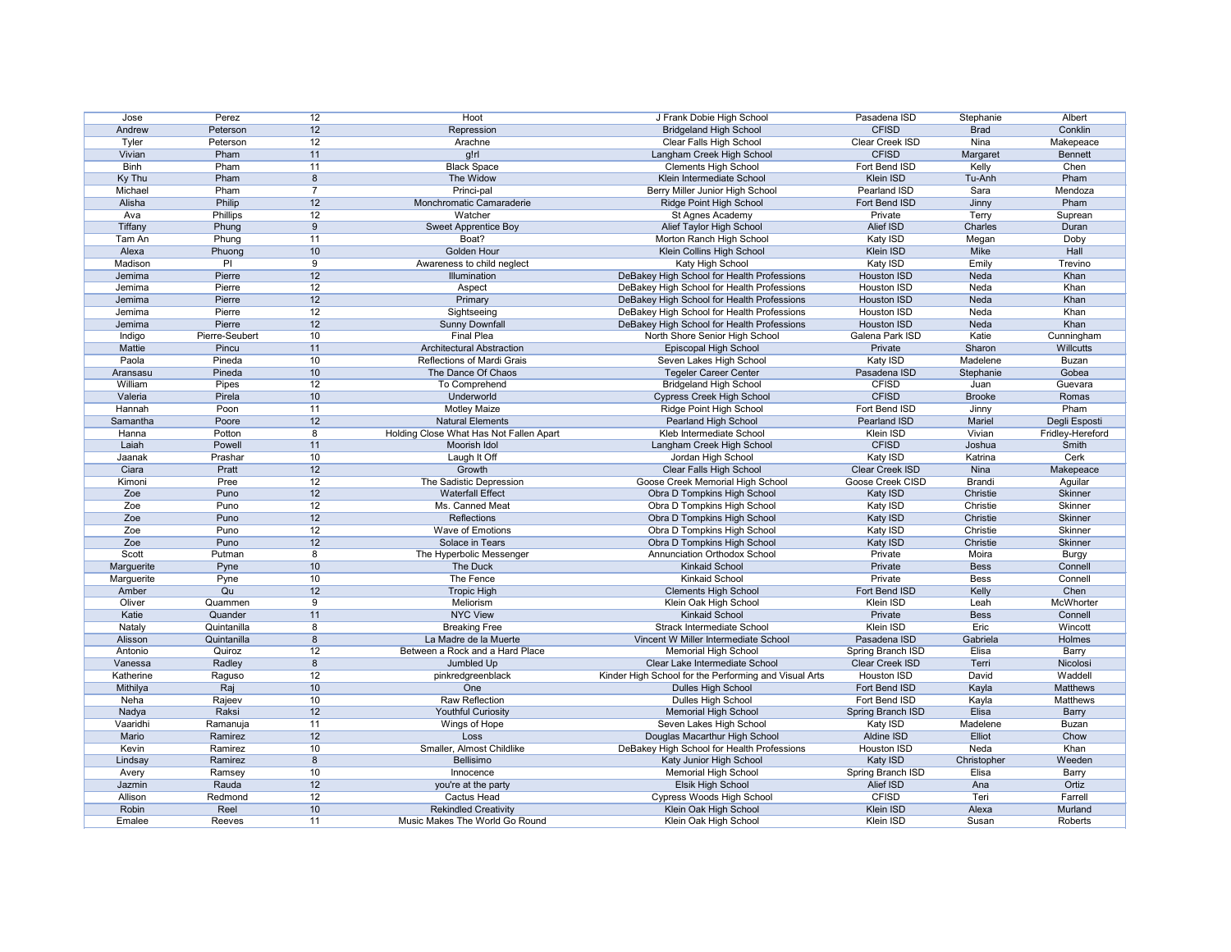| Jose        | Perez          | 12 | Hoot                                    | J Frank Dobie High School                             | Pasadena ISD       | Stephanie     | Albert           |
|-------------|----------------|----|-----------------------------------------|-------------------------------------------------------|--------------------|---------------|------------------|
| Andrew      | Peterson       | 12 | Repression                              | <b>Bridgeland High School</b>                         | <b>CFISD</b>       | <b>Brad</b>   | Conklin          |
| Tyler       | Peterson       | 12 | Arachne                                 | Clear Falls High School                               | Clear Creek ISD    | Nina          | Makepeace        |
| Vivian      | Pham           | 11 | $g!$ rl                                 | Langham Creek High School                             | <b>CFISD</b>       | Margaret      | <b>Bennett</b>   |
| <b>Binh</b> | Pham           | 11 | <b>Black Space</b>                      | <b>Clements High School</b>                           | Fort Bend ISD      | Kelly         | Chen             |
| Ky Thu      | Pham           | 8  | The Widow                               | Klein Intermediate School                             | <b>Klein ISD</b>   | Tu-Anh        | Pham             |
| Michael     | Pham           | 7  | Princi-pal                              | Berry Miller Junior High School                       | Pearland ISD       | Sara          | Mendoza          |
| Alisha      | Philip         | 12 | Monchromatic Camaraderie                | <b>Ridge Point High School</b>                        | Fort Bend ISD      | Jinny         | Pham             |
| Ava         | Phillips       | 12 | Watcher                                 | St Agnes Academy                                      | Private            | Terry         | Suprean          |
| Tiffany     | Phung          | 9  |                                         | Alief Taylor High School                              | Alief ISD          | Charles       | Duran            |
|             |                | 11 | Sweet Apprentice Boy<br>Boat?           |                                                       |                    |               |                  |
| Tam An      | Phung          |    |                                         | Morton Ranch High School                              | Katy ISD           | Megan         | Doby             |
| Alexa       | Phuong         | 10 | <b>Golden Hour</b>                      | Klein Collins High School                             | Klein ISD          | Mike          | Hall             |
| Madison     | PI             | 9  | Awareness to child neglect              | Katy High School                                      | Katy ISD           | Emily         | Trevino          |
| Jemima      | Pierre         | 12 | Illumination                            | DeBakey High School for Health Professions            | Houston ISD        | Neda          | Khan             |
| Jemima      | Pierre         | 12 | Aspect                                  | DeBakey High School for Health Professions            | <b>Houston ISD</b> | Neda          | Khan             |
| Jemima      | Pierre         | 12 | Primary                                 | DeBakey High School for Health Professions            | <b>Houston ISD</b> | Neda          | Khan             |
| Jemima      | Pierre         | 12 | Sightseeing                             | DeBakey High School for Health Professions            | <b>Houston ISD</b> | Neda          | Khan             |
| Jemima      | Pierre         | 12 | <b>Sunny Downfall</b>                   | DeBakey High School for Health Professions            | Houston ISD        | Neda          | Khan             |
| Indigo      | Pierre-Seubert | 10 | <b>Final Plea</b>                       | North Shore Senior High School                        | Galena Park ISD    | Katie         | Cunningham       |
| Mattie      | Pincu          | 11 | <b>Architectural Abstraction</b>        | Episcopal High School                                 | Private            | Sharon        | <b>Willcutts</b> |
| Paola       | Pineda         | 10 | Reflections of Mardi Grais              | Seven Lakes High School                               | Katy ISD           | Madelene      | <b>Buzan</b>     |
| Aransasu    | Pineda         | 10 | The Dance Of Chaos                      | <b>Tegeler Career Center</b>                          | Pasadena ISD       | Stephanie     | Gobea            |
| William     | Pipes          | 12 | To Comprehend                           | <b>Bridgeland High School</b>                         | <b>CFISD</b>       | Juan          | Guevara          |
| Valeria     | Pirela         | 10 | Underworld                              | <b>Cypress Creek High School</b>                      | <b>CFISD</b>       | <b>Brooke</b> | Romas            |
| Hannah      | Poon           | 11 | <b>Motley Maize</b>                     | Ridge Point High School                               | Fort Bend ISD      | Jinny         | Pham             |
| Samantha    | Poore          | 12 | <b>Natural Elements</b>                 | Pearland High School                                  | Pearland ISD       | Mariel        | Degli Esposti    |
| Hanna       | Potton         | 8  | Holding Close What Has Not Fallen Apart | Kleb Intermediate School                              | Klein ISD          | Vivian        | Fridley-Hereford |
| Laiah       | Powell         | 11 | Moorish Idol                            | Langham Creek High School                             | <b>CFISD</b>       | Joshua        | <b>Smith</b>     |
|             |                |    |                                         |                                                       |                    |               |                  |
| Jaanak      | Prashar        | 10 | Laugh It Off                            | Jordan High School                                    | Katy ISD           | Katrina       | Cerk             |
| Ciara       | Pratt          | 12 | Growth                                  | Clear Falls High School                               | Clear Creek ISD    | Nina          | Makepeace        |
| Kimoni      | Pree           | 12 | The Sadistic Depression                 | Goose Creek Memorial High School                      | Goose Creek CISD   | <b>Brandi</b> | Aguilar          |
| Zoe         | Puno           | 12 | <b>Waterfall Effect</b>                 | Obra D Tompkins High School                           | Katy ISD           | Christie      | Skinner          |
| Zoe         | Puno           | 12 | Ms. Canned Meat                         | Obra D Tompkins High School                           | Katy ISD           | Christie      | Skinner          |
| Zoe         | Puno           | 12 | Reflections                             | Obra D Tompkins High School                           | Katy ISD           | Christie      | Skinner          |
| Zoe         | Puno           | 12 | Wave of Emotions                        | Obra D Tompkins High School                           | Katy ISD           | Christie      | Skinner          |
| Zoe         | Puno           | 12 | Solace in Tears                         | Obra D Tompkins High School                           | Katy ISD           | Christie      | <b>Skinner</b>   |
| Scott       | Putman         |    | The Hyperbolic Messenger                | Annunciation Orthodox School                          | Private            | Moira         | <b>Burgy</b>     |
| Marguerite  | Pyne           | 10 | The Duck                                | <b>Kinkaid School</b>                                 | Private            | <b>Bess</b>   | Connell          |
| Marguerite  | Pyne           | 10 | The Fence                               | Kinkaid School                                        | Private            | <b>Bess</b>   | Connell          |
| Amber       | Qu             | 12 | <b>Tropic High</b>                      | <b>Clements High School</b>                           | Fort Bend ISD      | Kelly         | Chen             |
| Oliver      | Quammen        | 9  | Meliorism                               | Klein Oak High School                                 | Klein ISD          | Leah          | McWhorter        |
| Katie       | Quander        | 11 | <b>NYC View</b>                         | <b>Kinkaid School</b>                                 | Private            | <b>Bess</b>   | Connell          |
| Nataly      | Quintanilla    | 8  | <b>Breaking Free</b>                    | <b>Strack Intermediate School</b>                     | Klein ISD          | Eric          | Wincott          |
| Alisson     | Quintanilla    | 8  | La Madre de la Muerte                   | Vincent W Miller Intermediate School                  | Pasadena ISD       | Gabriela      | Holmes           |
| Antonio     | Quiroz         | 12 | Between a Rock and a Hard Place         | <b>Memorial High School</b>                           | Spring Branch ISD  | Elisa         | Barry            |
| Vanessa     | Radley         | 8  | Jumbled Up                              | Clear Lake Intermediate School                        | Clear Creek ISD    | Terri         | Nicolosi         |
| Katherine   | Raguso         | 12 | pinkredgreenblack                       | Kinder High School for the Performing and Visual Arts | Houston ISD        | David         | Waddell          |
| Mithilya    | Raj            | 10 | One                                     | Dulles High School                                    | Fort Bend ISD      | Kayla         | Matthews         |
| Neha        |                | 10 | Raw Reflection                          | Dulles High School                                    | Fort Bend ISD      |               | Matthews         |
|             | Rajeev         |    |                                         |                                                       |                    | Kayla         |                  |
| Nadya       | Raksi          | 12 | <b>Youthful Curiosity</b>               | <b>Memorial High School</b>                           | Spring Branch ISD  | Elisa         | <b>Barry</b>     |
| Vaaridhi    | Ramanuja       | 11 | Wings of Hope                           | Seven Lakes High School                               | Katy ISD           | Madelene      | <b>Buzan</b>     |
| Mario       | Ramirez        | 12 | Loss                                    | Douglas Macarthur High School                         | Aldine ISD         | Elliot        | Chow             |
| Kevin       | Ramirez        | 10 | Smaller, Almost Childlike               | DeBakey High School for Health Professions            | Houston ISD        | Neda          | Khan             |
| Lindsay     | Ramirez        | 8  | Bellisimo                               | Katy Junior High School                               | Katy ISD           | Christopher   | Weeden           |
| Avery       | Ramsey         | 10 | Innocence                               | <b>Memorial High School</b>                           | Spring Branch ISD  | Elisa         | <b>Barry</b>     |
| Jazmin      | Rauda          | 12 | you're at the party                     | Elsik High School                                     | Alief ISD          | Ana           | Ortiz            |
| Allison     | Redmond        | 12 | Cactus Head                             | <b>Cypress Woods High School</b>                      | <b>CFISD</b>       | Teri          | Farrell          |
| Robin       | Reel           | 10 | <b>Rekindled Creativity</b>             | Klein Oak High School                                 | <b>Klein ISD</b>   | Alexa         | Murland          |
| Emalee      | Reeves         | 11 | Music Makes The World Go Round          | Klein Oak High School                                 | Klein ISD          | Susan         | Roberts          |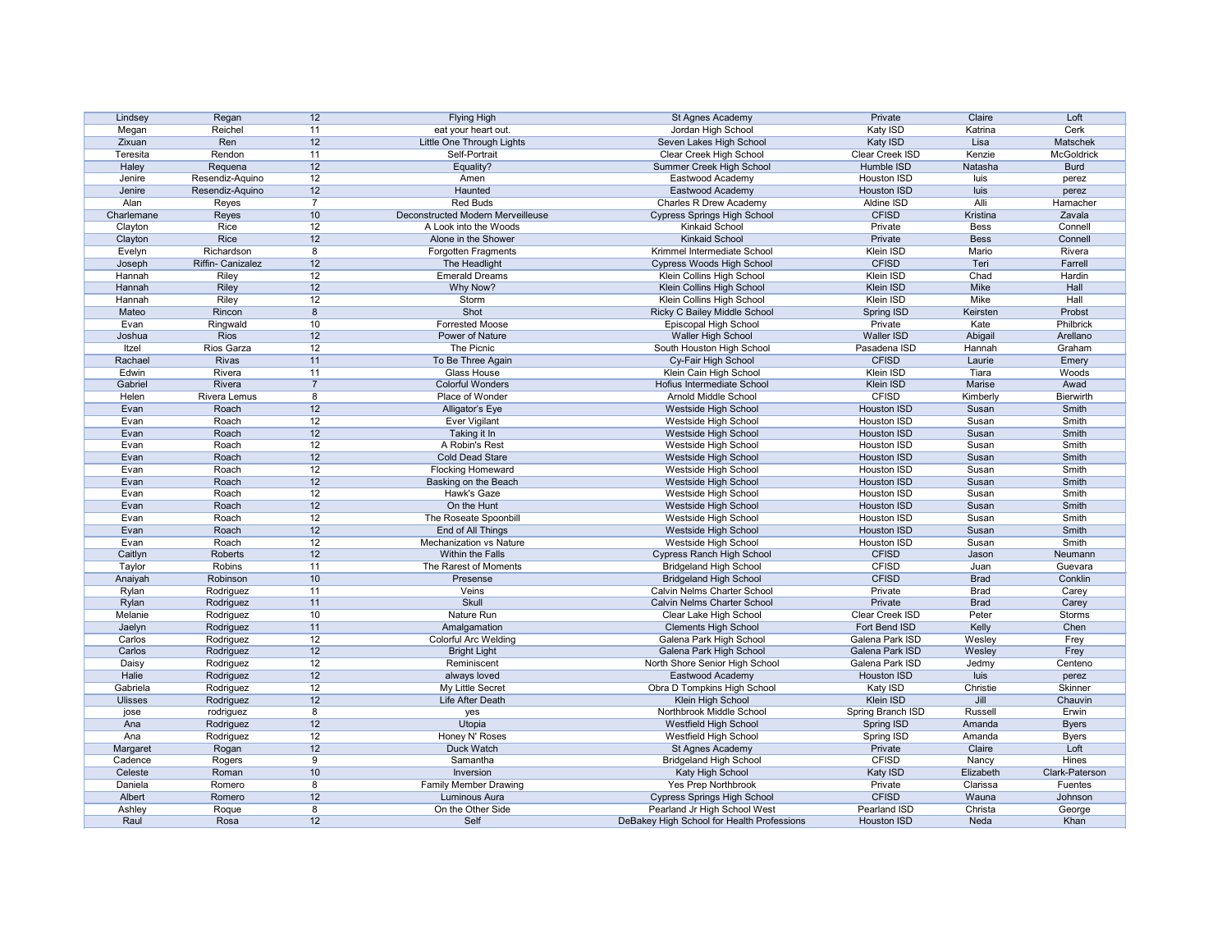| Lindsey        | Regan             | 12             | <b>Flying High</b>                | St Agnes Academy                           | Private            | Claire         | Loft              |
|----------------|-------------------|----------------|-----------------------------------|--------------------------------------------|--------------------|----------------|-------------------|
| Megan          | Reichel           | 11             | eat your heart out.               | Jordan High School                         | Katy ISD           | Katrina        | Cerk              |
| Zixuan         | Ren               | 12             | Little One Through Lights         | Seven Lakes High School                    | Katy ISD           | Lisa           | Matschek          |
| Teresita       | Rendon            | 11             | Self-Portrait                     | Clear Creek High School                    | Clear Creek ISD    | Kenzie         | <b>McGoldrick</b> |
| Haley          | Requena           | 12             | Equality?                         | Summer Creek High School                   | Humble ISD         | Natasha        | <b>Burd</b>       |
| Jenire         | Resendiz-Aquino   | 12             | Amen                              | Eastwood Academy                           | Houston ISD        | luis           | perez             |
| Jenire         | Resendiz-Aquino   | 12             | Haunted                           | Eastwood Academy                           | Houston ISD        | luis           | perez             |
| Alan           | Reyes             | $\overline{ }$ | <b>Red Buds</b>                   | <b>Charles R Drew Academy</b>              | Aldine ISD         | Alli           | Hamacher          |
| Charlemane     | Reyes             | 10             | Deconstructed Modern Merveilleuse | <b>Cypress Springs High School</b>         | <b>CFISD</b>       | Kristina       | Zavala            |
| Clayton        | Rice              | 12             | A Look into the Woods             | <b>Kinkaid School</b>                      | Private            | <b>Bess</b>    | Connell           |
| Clayton        | Rice              | 12             | Alone in the Shower               | <b>Kinkaid School</b>                      | Private            | <b>Bess</b>    | Connell           |
| Evelyn         | Richardson        | 8              | Forgotten Fragments               | Krimmel Intermediate School                | Klein ISD          | Mario          | Rivera            |
|                | Riffin- Canizalez | 12             | The Headlight                     |                                            | <b>CFISD</b>       | Teri           | Farrell           |
| Joseph         |                   |                |                                   | <b>Cypress Woods High School</b>           |                    |                |                   |
| Hannah         | Riley             | 12             | <b>Emerald Dreams</b>             | Klein Collins High School                  | Klein ISD          | Chad           | Hardin            |
| Hannah         | Riley             | 12             | Why Now?                          | Klein Collins High School                  | Klein ISD          | Mike           | Hall              |
| Hannah         | Riley             | 12             | Storm                             | Klein Collins High School                  | Klein ISD          | <b>Mike</b>    | Hall              |
| Mateo          | Rincon            | 8              | Shot                              | Ricky C Bailey Middle School               | <b>Spring ISD</b>  | Keirsten       | Probst            |
| Evan           | Ringwald          | 10             | <b>Forrested Moose</b>            | Episcopal High School                      | Private            | Kate           | Philbrick         |
| Joshua         | <b>Rios</b>       | 12             | <b>Power of Nature</b>            | Waller High School                         | <b>Waller ISD</b>  | Abigail        | Arellano          |
| Itzel          | Rios Garza        | 12             | The Picnic                        | South Houston High School                  | Pasadena ISD       | Hannah         | Graham            |
| Rachael        | <b>Rivas</b>      | 11             | To Be Three Again                 | Cy-Fair High School                        | <b>CFISD</b>       | Laurie         | Emery             |
| Edwin          | Rivera            | 11             | <b>Glass House</b>                | Klein Cain High School                     | Klein ISD          | Tiara          | Woods             |
| Gabriel        | Rivera            | $\overline{7}$ | Colorful Wonders                  | Hofius Intermediate School                 | Klein ISD          | Marise         | Awad              |
| Helen          | Rivera Lemus      | 8              | Place of Wonder                   | Arnold Middle School                       | <b>CFISD</b>       | Kimberly       | <b>Bierwirth</b>  |
| Evan           | Roach             | 12             | Alligator's Eye                   | Westside High School                       | Houston ISD        | Susan          | Smith             |
| Evan           | Roach             | 12             | <b>Ever Vigilant</b>              | Westside High School                       | Houston ISD        | Susan          | Smith             |
| Evan           | Roach             | 12             | Taking it In                      | Westside High School                       | Houston ISD        | Susan          | Smith             |
| Evan           | Roach             | 12             | A Robin's Rest                    | Westside High School                       | Houston ISD        | Susan          | Smith             |
| Evan           | Roach             | 12             | <b>Cold Dead Stare</b>            |                                            | Houston ISD        | Susan          | Smith             |
|                |                   |                |                                   | Westside High School                       |                    |                |                   |
| Evan           | Roach             | 12             | <b>Flocking Homeward</b>          | Westside High School                       | Houston ISD        | Susan          | Smith             |
| Evan           | Roach             | 12             | Basking on the Beach              | Westside High School                       | <b>Houston ISD</b> | Susan          | Smith             |
| Evan           | Roach             | 12             | Hawk's Gaze                       | Westside High School                       | Houston ISD        | Susan          | Smith             |
| Evan           | Roach             | 12             | On the Hunt                       | Westside High School                       | Houston ISD        | Susan          | Smith             |
| Evan           | Roach             | 12             | The Roseate Spoonbill             | Westside High School                       | Houston ISD        | Susan          | Smith             |
| Evan           | Roach             | 12             | End of All Things                 | Westside High School                       | Houston ISD        | Susan          | Smith             |
| Evan           | Roach             | 12             | Mechanization vs Nature           | Westside High School                       | Houston ISD        | Susan          | Smith             |
| Caitlyn        | Roberts           | 12             | Within the Falls                  | <b>Cypress Ranch High School</b>           | <b>CFISD</b>       | Jason          | Neumann           |
| Taylor         | Robins            | 11             | The Rarest of Moments             | <b>Bridgeland High School</b>              | <b>CFISD</b>       | Juan           | Guevara           |
| Anaiyah        | Robinson          | 10             | Presense                          | <b>Bridgeland High School</b>              | <b>CFISD</b>       | <b>Brad</b>    | Conklin           |
| Rylan          | Rodriguez         | 11             | Veins                             | Calvin Nelms Charter School                | Private            | <b>Brad</b>    | Carey             |
| Rylan          | Rodriguez         | 11             | Skull                             | Calvin Nelms Charter School                | Private            | <b>Brad</b>    | Carey             |
| Melanie        | Rodriguez         | 10             | Nature Run                        | Clear Lake High School                     | Clear Creek ISD    | Peter          | Storms            |
| Jaelyn         | Rodriguez         | 11             | Amalgamation                      | <b>Clements High School</b>                | Fort Bend ISD      | Kelly          | Chen              |
| Carlos         | Rodriguez         | 12             | Colorful Arc Welding              | Galena Park High School                    | Galena Park ISD    | Wesley         | Frey              |
| Carlos         | Rodriguez         | 12             | <b>Bright Light</b>               | Galena Park High School                    | Galena Park ISD    | Wesley         | Frey              |
| Daisy          | Rodriguez         | 12             | Reminiscent                       | North Shore Senior High School             | Galena Park ISD    | Jedmy          | Centeno           |
| Halie          |                   | 12             |                                   | Eastwood Academy                           | Houston ISD        | luis           |                   |
|                | Rodriguez         |                | always loved                      |                                            |                    |                | perez             |
| Gabriela       | Rodriguez         | 12             | My Little Secret                  | Obra D Tompkins High School                | Katy ISD           | Christie       | Skinner           |
| <b>Ulisses</b> | Rodriguez         | 12             | Life After Death                  | Klein High School                          | Klein ISD          | Jill           | Chauvin           |
| jose           | rodriguez         | 8              | yes                               | Northbrook Middle School                   | Spring Branch ISD  | <b>Russell</b> | Erwin             |
| Ana            | Rodriguez         | 12             | Utopia                            | <b>Westfield High School</b>               | Spring ISD         | Amanda         | <b>Byers</b>      |
| Ana            | Rodriguez         | 12             | Honey N' Roses                    | Westfield High School                      | Spring ISD         | Amanda         | <b>Byers</b>      |
| Margaret       | Rogan             | 12             | Duck Watch                        | St Agnes Academy                           | Private            | Claire         | Loft              |
| Cadence        | Rogers            | 9              | Samantha                          | <b>Bridgeland High School</b>              | <b>CFISD</b>       | Nancy          | Hines             |
| Celeste        | Roman             | 10             | Inversion                         | Katy High School                           | Katy ISD           | Elizabeth      | Clark-Paterson    |
| Daniela        | Romero            | 8              | <b>Family Member Drawing</b>      | Yes Prep Northbrook                        | Private            | Clarissa       | <b>Fuentes</b>    |
| Albert         | Romero            | 12             | Luminous Aura                     | <b>Cypress Springs High School</b>         | <b>CFISD</b>       | Wauna          | Johnson           |
| Ashley         | Roque             | 8              | On the Other Side                 | Pearland Jr High School West               | Pearland ISD       | Christa        | George            |
| Raul           | Rosa              | 12             | Self                              | DeBakey High School for Health Professions | Houston ISD        | Neda           | Khan              |
|                |                   |                |                                   |                                            |                    |                |                   |

| Private            | Claire         | Loft                    |
|--------------------|----------------|-------------------------|
| Katy ISD           | Katrina        | Cerk                    |
| Katy ISD           | Lisa           | Matschek                |
| Clear Creek ISD    | Kenzie         | <b>McGoldrick</b>       |
| Humble ISD         | Natasha        | <b>Burd</b>             |
| <b>Houston ISD</b> | luis           | perez                   |
| <b>Houston ISD</b> | luis           | perez                   |
| <b>Aldine ISD</b>  | Alli           | Hamacher                |
| <b>CFISD</b>       | Kristina       | Zavala                  |
| Private            | <b>Bess</b>    | Connell                 |
| Private            | <b>Bess</b>    | Connell                 |
| Klein ISD          | Mario          | Rivera                  |
| <b>CFISD</b>       | Teri           | Farrell                 |
| Klein ISD          | Chad           | Hardin                  |
| Klein ISD          | <b>Mike</b>    | Hall                    |
| Klein ISD          | <b>Mike</b>    | Hall                    |
| Spring ISD         | Keirsten       | Probst                  |
| Private            | Kate           | <b>Philbrick</b>        |
| <b>Waller ISD</b>  | Abigail        | Arellano                |
| Pasadena ISD       | Hannah         | Graham                  |
| <b>CFISD</b>       | Laurie         | Emery                   |
| Klein ISD          | Tiara          | Woods                   |
| Klein ISD          | Marise         | Awad                    |
| <b>CFISD</b>       | Kimberly       | <b>Bierwirth</b>        |
| <b>Houston ISD</b> | Susan          | Smith                   |
| Houston ISD        | Susan          | Smith                   |
| <b>Houston ISD</b> | Susan          | Smith                   |
| Houston ISD        | Susan          | Smith                   |
| <b>Houston ISD</b> | Susan          | Smith                   |
| <b>Houston ISD</b> | Susan          | Smith                   |
| <b>Houston ISD</b> | Susan          | Smith                   |
| Houston ISD        | Susan          | Smith                   |
| Houston ISD        | Susan          | Smith                   |
| Houston ISD        | Susan          | Smith                   |
| <b>Houston ISD</b> | Susan          | Smith                   |
| Houston ISD        | Susan          | Smith                   |
| <b>CFISD</b>       | Jason          | Neumann                 |
| <b>CFISD</b>       | Juan           | Guevara                 |
| <b>CFISD</b>       | <b>Brad</b>    | Conklin                 |
| Private            | <b>Brad</b>    | Carey                   |
| Private            | <b>Brad</b>    | Carey                   |
| Clear Creek ISD    | Peter          | Storms                  |
| Fort Bend ISD      | Kelly          | Chen                    |
| Galena Park ISD    | Wesley         | Frey                    |
| Galena Park ISD    | Wesley         | Frey                    |
| Galena Park ISD    | Jedmy          | Centeno                 |
| <b>Houston ISD</b> | luis           |                         |
| Katy ISD           | Christie       | perez<br><b>Skinner</b> |
| Klein ISD          | Jill           | Chauvin                 |
|                    | <b>Russell</b> | Erwin                   |
| pring Branch ISD   |                |                         |
| Spring ISD         | Amanda         | <b>Byers</b>            |
| Spring ISD         | Amanda         | <b>Byers</b>            |
| Private            | Claire         | Loft                    |
| <b>CFISD</b>       | Nancy          | Hines                   |
| Katy ISD           | Elizabeth      | Clark-Paterson          |
| Private            | Clarissa       | <b>Fuentes</b>          |
| <b>CFISD</b>       | Wauna          | Johnson                 |
| Pearland ISD       | Christa        | George                  |
| <b>Houston ISD</b> | Neda           | Khan                    |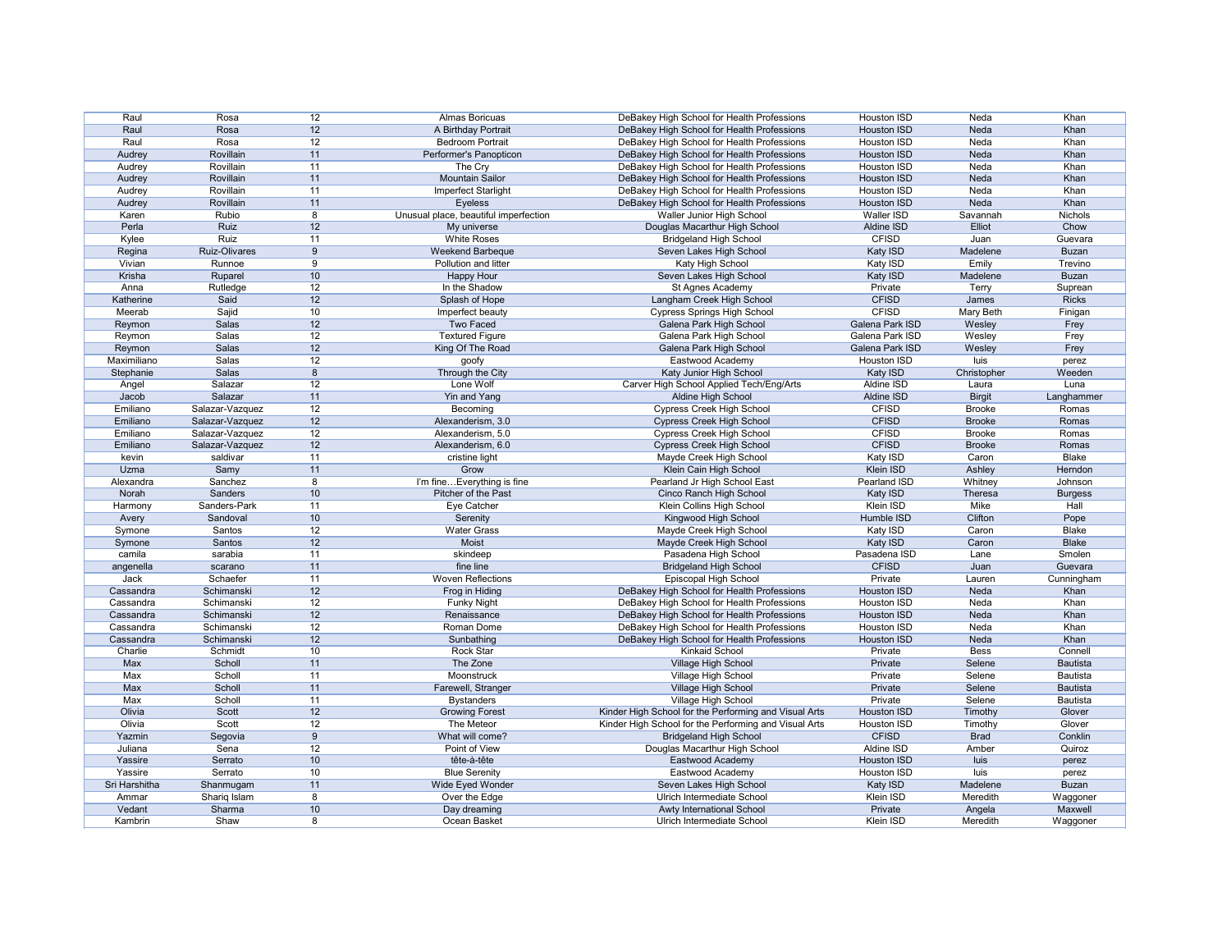| Raul          | Rosa            | 12               | Almas Boricuas                        | DeBakey High School for Health Professions            | Houston ISD        | Neda          | Khan            |
|---------------|-----------------|------------------|---------------------------------------|-------------------------------------------------------|--------------------|---------------|-----------------|
| Raul          | Rosa            | 12               | A Birthday Portrait                   | DeBakey High School for Health Professions            | <b>Houston ISD</b> | Neda          | Khan            |
| Raul          | Rosa            | 12               | <b>Bedroom Portrait</b>               | DeBakey High School for Health Professions            | <b>Houston ISD</b> | Neda          | Khan            |
| Audrey        | Rovillain       | 11               | Performer's Panopticon                | DeBakey High School for Health Professions            | <b>Houston ISD</b> | Neda          | Khan            |
| Audrey        | Rovillain       | 11               | The Cry                               | DeBakey High School for Health Professions            | Houston ISD        | Neda          | Khan            |
| Audrey        | Rovillain       | 11               | <b>Mountain Sailor</b>                | DeBakey High School for Health Professions            | <b>Houston ISD</b> | Neda          | Khan            |
| Audrey        | Rovillain       | 11               | Imperfect Starlight                   | DeBakey High School for Health Professions            | Houston ISD        | Neda          | Khan            |
| Audrey        | Rovillain       | 11               | Eyeless                               | DeBakey High School for Health Professions            | <b>Houston ISD</b> | Neda          | Khan            |
| Karen         | Rubio           | 8                | Unusual place, beautiful imperfection | Waller Junior High School                             | Waller ISD         | Savannah      | <b>Nichols</b>  |
| Perla         | Ruiz            | 12               | My universe                           | Douglas Macarthur High School                         | Aldine ISD         | Elliot        | Chow            |
| Kylee         | Ruiz            | 11               | <b>White Roses</b>                    | <b>Bridgeland High School</b>                         | <b>CFISD</b>       | Juan          | Guevara         |
|               | Ruiz-Olivares   | 9                | Weekend Barbeque                      | Seven Lakes High School                               | Katy ISD           | Madelene      | <b>Buzan</b>    |
| Regina        |                 | 9                |                                       |                                                       |                    |               |                 |
| Vivian        | Runnoe          |                  | Pollution and litter                  | Katy High School                                      | Katy ISD           | Emily         | Trevino         |
| Krisha        | Ruparel         | 10               | <b>Happy Hour</b>                     | Seven Lakes High School                               | Katy ISD           | Madelene      | <b>Buzan</b>    |
| Anna          | Rutledge        | 12               | In the Shadow                         | St Agnes Academy                                      | Private            | Terry         | Suprean         |
| Katherine     | Said            | 12               | Splash of Hope                        | Langham Creek High School                             | <b>CFISD</b>       | James         | <b>Ricks</b>    |
| Meerab        | Sajid           | 10               | Imperfect beauty                      | <b>Cypress Springs High School</b>                    | <b>CFISD</b>       | Mary Beth     | Finigan         |
| Reymon        | Salas           | 12               | <b>Two Faced</b>                      | Galena Park High School                               | Galena Park ISD    | Wesley        | Frey            |
| Reymon        | Salas           | 12               | <b>Textured Figure</b>                | Galena Park High School                               | Galena Park ISD    | Wesley        | Frey            |
| Reymon        | Salas           | 12               | King Of The Road                      | Galena Park High School                               | Galena Park ISD    | Wesley        | Frey            |
| Maximiliano   | Salas           | 12               | goofy                                 | Eastwood Academy                                      | Houston ISD        | luis          | perez           |
| Stephanie     | Salas           | 8                | Through the City                      | Katy Junior High School                               | Katy ISD           | Christopher   | Weeden          |
| Angel         | Salazar         | 12               | Lone Wolf                             | Carver High School Applied Tech/Eng/Arts              | Aldine ISD         | Laura         | Luna            |
| Jacob         | Salazar         | 11               | Yin and Yang                          | Aldine High School                                    | Aldine ISD         | <b>Birgit</b> | Langhammer      |
| Emiliano      | Salazar-Vazquez | 12               | Becoming                              | <b>Cypress Creek High School</b>                      | <b>CFISD</b>       | <b>Brooke</b> | Romas           |
| Emiliano      | Salazar-Vazquez | 12               | Alexanderism, 3.0                     | <b>Cypress Creek High School</b>                      | <b>CFISD</b>       | <b>Brooke</b> | Romas           |
| Emiliano      | Salazar-Vazquez | 12               | Alexanderism, 5.0                     | <b>Cypress Creek High School</b>                      | <b>CFISD</b>       | <b>Brooke</b> | Romas           |
| Emiliano      | Salazar-Vazquez | 12               | Alexanderism, 6.0                     | <b>Cypress Creek High School</b>                      | <b>CFISD</b>       | <b>Brooke</b> | Romas           |
| kevin         | saldivar        | 11               | cristine light                        | Mayde Creek High School                               | Katy ISD           | Caron         | Blake           |
| Uzma          | Samy            | 11               | Grow                                  | Klein Cain High School                                | Klein ISD          | Ashley        | Herndon         |
| Alexandra     | Sanchez         | 8                | I'm fineEverything is fine            | Pearland Jr High School East                          | Pearland ISD       | Whitney       | Johnson         |
| Norah         | Sanders         | 10 <sup>°</sup>  | Pitcher of the Past                   |                                                       |                    |               |                 |
|               | Sanders-Park    |                  |                                       | Cinco Ranch High School                               | Katy ISD           | Theresa       | <b>Burgess</b>  |
| Harmony       |                 | 11               | Eye Catcher                           | Klein Collins High School                             | Klein ISD          | Mike          | Hall            |
| Avery         | Sandoval        | 10               | Serenity                              | Kingwood High School                                  | Humble ISD         | Clifton       | Pope            |
| Symone        | Santos          | 12               | <b>Water Grass</b>                    | Mayde Creek High School                               | Katy ISD           | Caron         | Blake           |
| Symone        | Santos          | 12               | Moist                                 | Mayde Creek High School                               | <b>Katy ISD</b>    | Caron         | <b>Blake</b>    |
| camila        | sarabia         | 11               | skindeep                              | Pasadena High School                                  | Pasadena ISD       | Lane          | Smolen          |
| angenella     | scarano         | 11               | fine line                             | <b>Bridgeland High School</b>                         | <b>CFISD</b>       | Juan          | Guevara         |
| Jack          | Schaefer        | 11               | <b>Woven Reflections</b>              | Episcopal High School                                 | Private            | Lauren        | Cunningham      |
| Cassandra     | Schimanski      | 12               | Frog in Hiding                        | DeBakey High School for Health Professions            | <b>Houston ISD</b> | Neda          | Khan            |
| Cassandra     | Schimanski      | 12               | <b>Funky Night</b>                    | DeBakey High School for Health Professions            | Houston ISD        | Neda          | Khan            |
| Cassandra     | Schimanski      | 12               | Renaissance                           | DeBakey High School for Health Professions            | <b>Houston ISD</b> | Neda          | Khan            |
| Cassandra     | Schimanski      | 12               | Roman Dome                            | DeBakey High School for Health Professions            | Houston ISD        | Neda          | Khan            |
| Cassandra     | Schimanski      | 12               | Sunbathing                            | DeBakey High School for Health Professions            | <b>Houston ISD</b> | Neda          | Khan            |
| Charlie       | Schmidt         | 10               | Rock Star                             | <b>Kinkaid School</b>                                 | Private            | <b>Bess</b>   | Connell         |
| Max           | Scholl          | 11               | The Zone                              | Village High School                                   | Private            | Selene        | <b>Bautista</b> |
| <b>Max</b>    | Scholl          | 11               | Moonstruck                            | <b>Village High School</b>                            | Private            | Selene        | Bautista        |
| Max           | Scholl          | 11               | Farewell, Stranger                    | Village High School                                   | Private            | Selene        | <b>Bautista</b> |
| Max           | Scholl          | 11               | <b>Bystanders</b>                     | Village High School                                   | Private            | Selene        | <b>Bautista</b> |
| Olivia        |                 |                  |                                       |                                                       | <b>Houston ISD</b> |               | Glover          |
|               | Scott           | 12               | <b>Growing Forest</b>                 | Kinder High School for the Performing and Visual Arts |                    | Timothy       |                 |
| Olivia        | Scott           | 12               | The Meteor                            | Kinder High School for the Performing and Visual Arts | Houston ISD        | Timothy       | Glover          |
| Yazmin        | Segovia         | $\boldsymbol{9}$ | What will come?                       | <b>Bridgeland High School</b>                         | <b>CFISD</b>       | <b>Brad</b>   | Conklin         |
| Juliana       | Sena            | 12               | Point of View                         | Douglas Macarthur High School                         | Aldine ISD         | Amber         | Quiroz          |
| Yassire       | Serrato         | 10               | tête-à-tête                           | Eastwood Academy                                      | <b>Houston ISD</b> | luis          | perez           |
| Yassire       | Serrato         | 10               | <b>Blue Serenity</b>                  | Eastwood Academy                                      | Houston ISD        | luis          | perez           |
| Sri Harshitha | Shanmugam       | 11               | Wide Eyed Wonder                      | Seven Lakes High School                               | Katy ISD           | Madelene      | <b>Buzan</b>    |
| Ammar         | Shariq Islam    | 8                | Over the Edge                         | Ulrich Intermediate School                            | Klein ISD          | Meredith      | Waggoner        |
| Vedant        | Sharma          | 10               | Day dreaming                          | Awty International School                             | Private            | Angela        | Maxwell         |
| Kambrin       | Shaw            | 8                | Ocean Basket                          | Ulrich Intermediate School                            | Klein ISD          | Meredith      | Waggoner        |

| <b>Houston ISD</b>     | Neda           | Khan            |
|------------------------|----------------|-----------------|
| <b>Houston ISD</b>     | Neda           | Khan            |
| Houston ISD            | <b>Neda</b>    | Khan            |
| <b>Houston ISD</b>     | Neda           | Khan            |
| Houston ISD            | Neda           | Khan            |
| <b>Houston ISD</b>     | Neda           | Khan            |
| Houston ISD            | Neda           | Khan            |
| Houston ISD            | Neda           | Khan            |
| <b>Waller ISD</b>      | Savannah       | <b>Nichols</b>  |
| <b>Aldine ISD</b>      | Elliot         | Chow            |
|                        |                |                 |
| <b>CFISD</b>           | Juan           | Guevara         |
| Katy ISD               | Madelene       | <b>Buzan</b>    |
| Katy ISD               | Emily          | Trevino         |
| Katy ISD               | Madelene       | <b>Buzan</b>    |
| Private                | Terry          | Suprean         |
| <b>CFISD</b>           | James          | <b>Ricks</b>    |
| <b>CFISD</b>           | Mary Beth      | Finigan         |
| Galena Park ISD        | Wesley         | Frey            |
| Galena Park ISD        | Wesley         | Frey            |
| <b>Galena Park ISD</b> | Wesley         | Frey            |
| <b>Houston ISD</b>     | luis           | perez           |
| Katy ISD               | Christopher    | Weeden          |
| Aldine ISD             |                |                 |
|                        | Laura          | Luna            |
| <b>Aldine ISD</b>      | <b>Birgit</b>  | Langhammer      |
| <b>CFISD</b>           | <b>Brooke</b>  | Romas           |
| <b>CFISD</b>           | <b>Brooke</b>  | Romas           |
| <b>CFISD</b>           | <b>Brooke</b>  | Romas           |
| <b>CFISD</b>           | <b>Brooke</b>  | Romas           |
| Katy ISD               | Caron          | <b>Blake</b>    |
| <b>Klein ISD</b>       | Ashley         | Herndon         |
| Pearland ISD           | Whitney        | Johnson         |
| Katy ISD               | <b>Theresa</b> | <b>Burgess</b>  |
| Klein ISD              | Mike           | Hall            |
| Humble ISD             | Clifton        | Pope            |
| Katy ISD               | Caron          | <b>Blake</b>    |
| <b>Katy ISD</b>        | Caron          | <b>Blake</b>    |
|                        |                |                 |
| Pasadena ISD           | Lane           | Smolen          |
| <b>CFISD</b>           | Juan           | Guevara         |
| Private                | Lauren         | Cunningham      |
| <b>Houston ISD</b>     | Neda           | Khan            |
| <b>Houston ISD</b>     | Neda           | Khan            |
| <b>Houston ISD</b>     | <b>Neda</b>    | Khan            |
| <b>Houston ISD</b>     | <b>Neda</b>    | Khan            |
| <b>Houston ISD</b>     | Neda           | Khan            |
| Private                | <b>Bess</b>    | Connell         |
| Private                | Selene         | <b>Bautista</b> |
| Private                | Selene         | <b>Bautista</b> |
|                        |                |                 |
| Private                | Selene         | <b>Bautista</b> |
| Private                | Selene         | <b>Bautista</b> |
| Houston ISD            | Timothy        | Glover          |
| Houston ISD            | Timothy        | Glover          |
| <b>CFISD</b>           | <b>Brad</b>    | Conklin         |
| Aldine ISD             | Amber          | Quiroz          |
| <b>Houston ISD</b>     | luis           | perez           |
| <b>Houston ISD</b>     | luis           | perez           |
| Katy ISD               | Madelene       | Buzan           |
| Klein ISD              | Meredith       | Waggoner        |
| Private                | Angela         | Maxwell         |
|                        | Meredith       |                 |
| Klein ISD              |                | Waggoner        |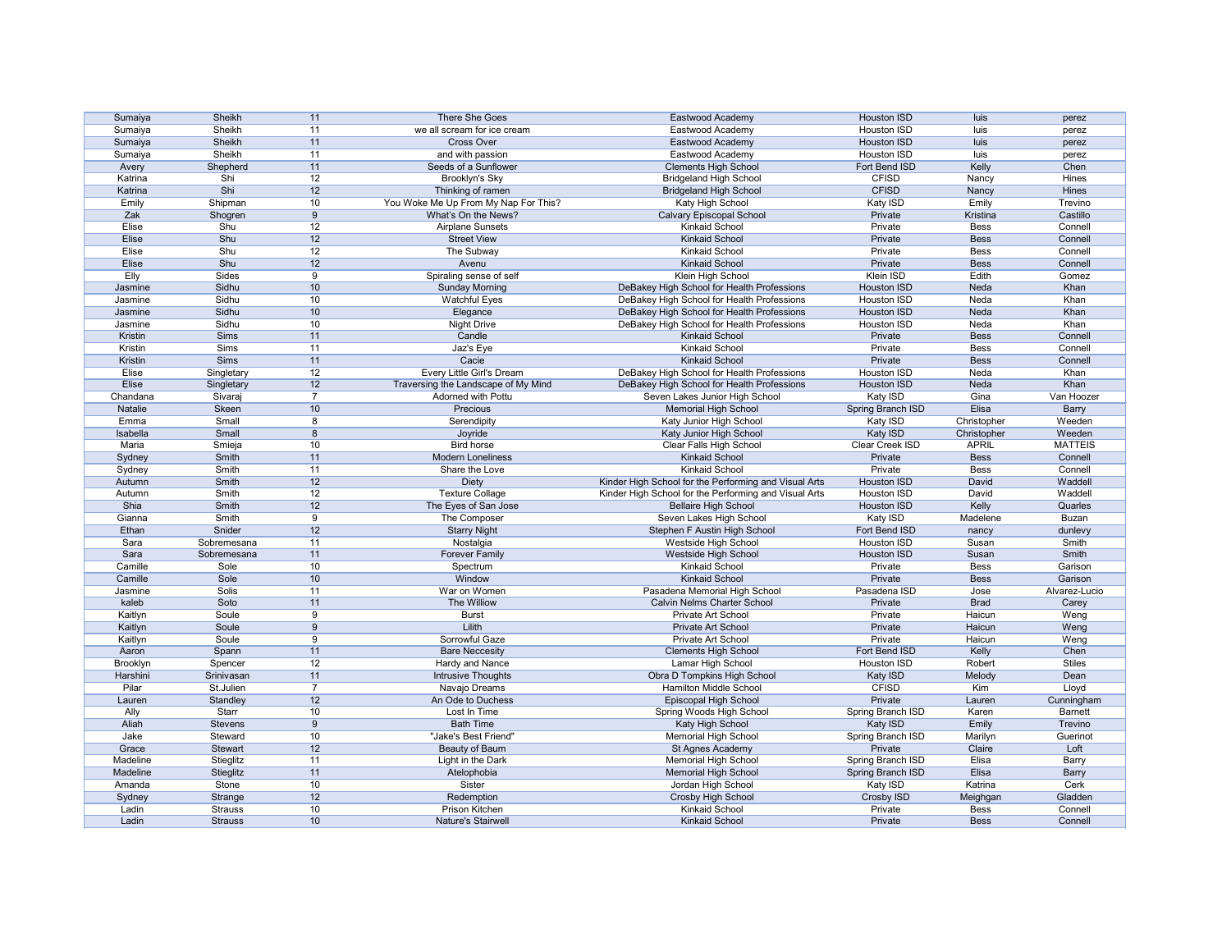| Sumaiya  | Sheikh         | 11             | There She Goes                       | Eastwood Academy                                      | <b>Houston ISD</b> | luis         | perez          |
|----------|----------------|----------------|--------------------------------------|-------------------------------------------------------|--------------------|--------------|----------------|
| Sumaiya  | Sheikh         | 11             | we all scream for ice cream          | Eastwood Academy                                      | Houston ISD        | luis         | perez          |
| Sumaiya  | Sheikh         | 11             | Cross Over                           | Eastwood Academy                                      | <b>Houston ISD</b> | luis         | perez          |
| Sumaiya  | Sheikh         | 11             | and with passion                     | Eastwood Academy                                      | Houston ISD        | luis         | perez          |
| Avery    | Shepherd       | 11             | Seeds of a Sunflower                 | <b>Clements High School</b>                           | Fort Bend ISD      | Kelly        | Chen           |
| Katrina  | Shi            | 12             | Brooklyn's Sky                       | <b>Bridgeland High School</b>                         | <b>CFISD</b>       | Nancy        | Hines          |
| Katrina  | Shi            | 12             | Thinking of ramen                    | <b>Bridgeland High School</b>                         | <b>CFISD</b>       | Nancy        | Hines          |
| Emily    | Shipman        | 10             | You Woke Me Up From My Nap For This? | Katy High School                                      |                    | Emily        | Trevino        |
|          |                |                |                                      |                                                       | Katy ISD           |              |                |
| Zak      | Shogren        | 9              | What's On the News?                  | <b>Calvary Episcopal School</b>                       | Private            | Kristina     | Castillo       |
| Elise    | Shu            | 12             | <b>Airplane Sunsets</b>              | Kinkaid School                                        | Private            | <b>Bess</b>  | Connell        |
| Elise    | Shu            | 12             | <b>Street View</b>                   | <b>Kinkaid School</b>                                 | Private            | <b>Bess</b>  | Connell        |
| Elise    | Shu            | 12             | The Subway                           | Kinkaid School                                        | Private            | <b>Bess</b>  | Connell        |
| Elise    | Shu            | 12             | Avenu                                | <b>Kinkaid School</b>                                 | Private            | <b>Bess</b>  | Connell        |
| Elly     | Sides          | 9              | Spiraling sense of self              | Klein High School                                     | Klein ISD          | Edith        | Gomez          |
| Jasmine  | Sidhu          | 10             | <b>Sunday Morning</b>                | DeBakey High School for Health Professions            | <b>Houston ISD</b> | Neda         | Khan           |
| Jasmine  | Sidhu          | 10             | <b>Watchful Eyes</b>                 | DeBakey High School for Health Professions            | Houston ISD        | Neda         | Khan           |
| Jasmine  | Sidhu          | 10             | Elegance                             | DeBakey High School for Health Professions            | Houston ISD        | Neda         | Khan           |
| Jasmine  | Sidhu          | 10             | <b>Night Drive</b>                   | DeBakey High School for Health Professions            | Houston ISD        | Neda         | Khan           |
| Kristin  | Sims           | 11             | Candle                               | <b>Kinkaid School</b>                                 | Private            | <b>Bess</b>  | Connell        |
| Kristin  | Sims           | 11             | Jaz's Eye                            | <b>Kinkaid School</b>                                 | Private            | <b>Bess</b>  | Connell        |
| Kristin  | Sims           | 11             | Cacie                                | <b>Kinkaid School</b>                                 | Private            | <b>Bess</b>  | Connell        |
| Elise    | Singletary     | 12             | Every Little Girl's Dream            | DeBakey High School for Health Professions            | Houston ISD        | Neda         | Khan           |
| Elise    | Singletary     | 12             | Traversing the Landscape of My Mind  | DeBakey High School for Health Professions            | <b>Houston ISD</b> | Neda         | Khan           |
| Chandana | Sivaraj        | 7              | Adorned with Pottu                   | Seven Lakes Junior High School                        | Katy ISD           | Gina         | Van Hoozer     |
| Natalie  | Skeen          | 10             | Precious                             | <b>Memorial High School</b>                           | Spring Branch ISD  | Elisa        | <b>Barry</b>   |
| Emma     | Small          | 8              | Serendipity                          | Katy Junior High School                               | Katy ISD           | Christopher  | Weeden         |
| Isabella | Small          | 8              | Joyride                              | Katy Junior High School                               | Katy ISD           | Christopher  | Weeden         |
| Maria    |                | 10             | <b>Bird horse</b>                    |                                                       |                    | <b>APRIL</b> |                |
|          | Smieja         |                |                                      | Clear Falls High School                               | Clear Creek ISD    |              | <b>MATTEIS</b> |
| Sydney   | Smith          | 11             | <b>Modern Loneliness</b>             | <b>Kinkaid School</b>                                 | Private            | <b>Bess</b>  | Connell        |
| Sydney   | Smith          | 11             | Share the Love                       | <b>Kinkaid School</b>                                 | Private            | Bess         | Connell        |
| Autumn   | Smith          | 12             | <b>Diety</b>                         | Kinder High School for the Performing and Visual Arts | <b>Houston ISD</b> | David        | Waddell        |
| Autumn   | Smith          | 12             | <b>Texture Collage</b>               | Kinder High School for the Performing and Visual Arts | Houston ISD        | David        | Waddell        |
| Shia     | Smith          | 12             | The Eyes of San Jose                 | <b>Bellaire High School</b>                           | Houston ISD        | Kelly        | Quarles        |
| Gianna   | Smith          | 9              | The Composer                         | Seven Lakes High School                               | Katy ISD           | Madelene     | Buzan          |
| Ethan    | Snider         | 12             | <b>Starry Night</b>                  | Stephen F Austin High School                          | Fort Bend ISD      | nancy        | dunlevy        |
| Sara     | Sobremesana    | 11             | Nostalgia                            | Westside High School                                  | Houston ISD        | Susan        | Smith          |
| Sara     | Sobremesana    | 11             | <b>Forever Family</b>                | Westside High School                                  | Houston ISD        | Susan        | Smith          |
| Camille  | Sole           | 10             | Spectrum                             | Kinkaid School                                        | Private            | <b>Bess</b>  | Garison        |
| Camille  | Sole           | 10             | Window                               | <b>Kinkaid School</b>                                 | Private            | <b>Bess</b>  | Garison        |
| Jasmine  | Solis          | 11             | War on Women                         | Pasadena Memorial High School                         | Pasadena ISD       | Jose         | Alvarez-Lucio  |
| kaleb    | Soto           | 11             | The Williow                          | <b>Calvin Nelms Charter School</b>                    | Private            | <b>Brad</b>  | Carey          |
| Kaitlyn  | Soule          | 9              | <b>Burst</b>                         | Private Art School                                    | Private            | Haicun       | Weng           |
| Kaitlyn  | Soule          | 9              | Lilith                               | Private Art School                                    | Private            | Haicun       | Weng           |
| Kaitlyn  | Soule          | 9              | Sorrowful Gaze                       | Private Art School                                    | Private            | Haicun       | Weng           |
| Aaron    | Spann          | 11             | <b>Bare Neccesity</b>                | <b>Clements High School</b>                           | Fort Bend ISD      | Kelly        | Chen           |
| Brooklyn | Spencer        | 12             | Hardy and Nance                      | Lamar High School                                     | Houston ISD        | Robert       | <b>Stiles</b>  |
| Harshini | Srinivasan     | 11             | Intrusive Thoughts                   | Obra D Tompkins High School                           | <b>Katy ISD</b>    | Melody       | Dean           |
| Pilar    | St.Julien      | $\overline{7}$ | Navajo Dreams                        | Hamilton Middle School                                | <b>CFISD</b>       | Kim          | Lloyd          |
|          |                |                |                                      |                                                       |                    |              |                |
| Lauren   | Standley       | 12             | An Ode to Duchess                    | Episcopal High School                                 | Private            | Lauren       | Cunningham     |
| Ally     | Starr          | 10             | Lost In Time                         | Spring Woods High School                              | Spring Branch ISD  | Karen        | <b>Barnett</b> |
| Aliah    | Stevens        | 9              | <b>Bath Time</b>                     | <b>Katy High School</b>                               | Katy ISD           | Emily        | Trevino        |
| Jake     | Steward        | 10             | "Jake's Best Friend"                 | <b>Memorial High School</b>                           | Spring Branch ISD  | Marilyn      | Guerinot       |
| Grace    | <b>Stewart</b> | 12             | Beauty of Baum                       | St Agnes Academy                                      | Private            | Claire       | Loft           |
| Madeline | Stieglitz      | 11             | Light in the Dark                    | <b>Memorial High School</b>                           | Spring Branch ISD  | Elisa        | Barry          |
| Madeline | Stieglitz      | 11             | Atelophobia                          | <b>Memorial High School</b>                           | Spring Branch ISD  | Elisa        | <b>Barry</b>   |
| Amanda   | Stone          | 10             | Sister                               | Jordan High School                                    | Katy ISD           | Katrina      | Cerk           |
| Sydney   | Strange        | 12             | Redemption                           | Crosby High School                                    | Crosby ISD         | Meighgan     | Gladden        |
| Ladin    | <b>Strauss</b> | 10             | Prison Kitchen                       | Kinkaid School                                        | Private            | Bess         | Connell        |
| Ladin    | <b>Strauss</b> | 10             | Nature's Stairwell                   | <b>Kinkaid School</b>                                 | Private            | <b>Bess</b>  | Connell        |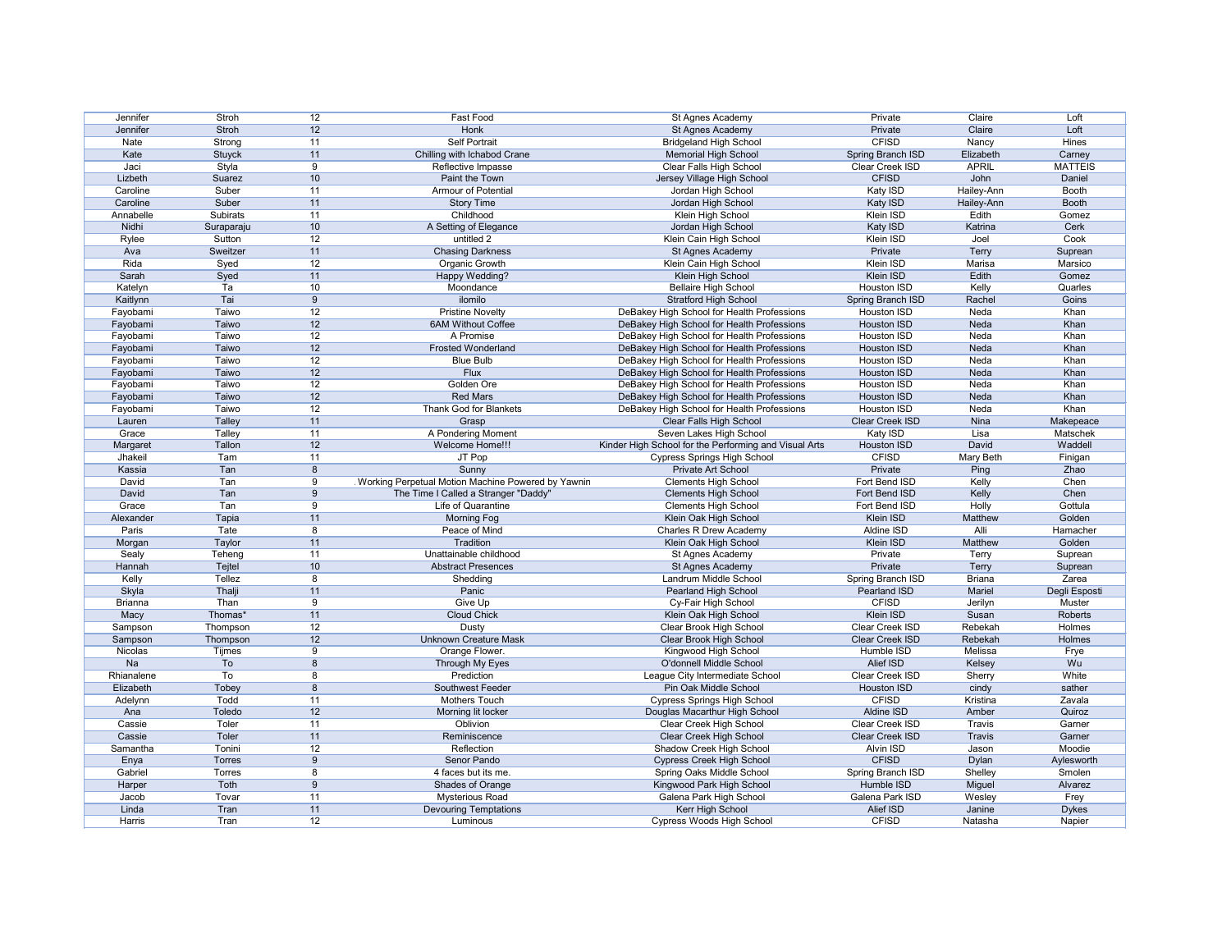| Jennifer        | Stroh         | 12               | Fast Food                                            | St Agnes Academy                                      | Private                   | Claire            | Loft                   |
|-----------------|---------------|------------------|------------------------------------------------------|-------------------------------------------------------|---------------------------|-------------------|------------------------|
| Jennifer        | <b>Stroh</b>  | 12               | <b>Honk</b>                                          | St Agnes Academy                                      | Private                   | Claire            | Loft                   |
| Nate            | Strong        | 11               | <b>Self Portrait</b>                                 | <b>Bridgeland High School</b>                         | <b>CFISD</b>              | Nancy             | Hines                  |
| Kate            | <b>Stuyck</b> | 11               | Chilling with Ichabod Crane                          | <b>Memorial High School</b>                           | Spring Branch ISD         | Elizabeth         | Carney                 |
| Jaci            | Styla         | 9                | Reflective Impasse                                   | Clear Falls High School                               | Clear Creek ISD           | <b>APRIL</b>      | <b>MATTEIS</b>         |
| Lizbeth         | Suarez        | 10               | Paint the Town                                       | Jersey Village High School                            | <b>CFISD</b>              | John              | Daniel                 |
|                 |               |                  |                                                      |                                                       |                           |                   |                        |
| Caroline        | Suber         | 11               | <b>Armour of Potential</b>                           | Jordan High School                                    | Katy ISD                  | Hailey-Ann        | Booth                  |
| Caroline        | Suber         | 11               | <b>Story Time</b>                                    | Jordan High School                                    | Katy ISD                  | Hailey-Ann        | <b>Booth</b>           |
| Annabelle       | Subirats      | 11               | Childhood                                            | Klein High School                                     | Klein ISD                 | Edith             | Gomez                  |
| Nidhi           | Suraparaju    | 10               | A Setting of Elegance                                | Jordan High School                                    | Katy ISD                  | Katrina           | Cerk                   |
| Rylee           | Sutton        | 12               | untitled 2                                           | Klein Cain High School                                | Klein ISD                 | Joel              | Cook                   |
| Ava             | Sweitzer      | 11               | <b>Chasing Darkness</b>                              | St Agnes Academy                                      | Private                   | Terry             | Suprean                |
| Rida            | Syed          | 12               | Organic Growth                                       | Klein Cain High School                                | Klein ISD                 | Marisa            | Marsico                |
| Sarah           | Syed          | 11               | Happy Wedding?                                       | Klein High School                                     | <b>Klein ISD</b>          | Edith             | Gomez                  |
| Katelyn         | Ta            | 10               | Moondance                                            | <b>Bellaire High School</b>                           | <b>Houston ISD</b>        | Kelly             | Quarles                |
| Kaitlynn        | Tai           | 9                | ilomilo                                              | <b>Stratford High School</b>                          | Spring Branch ISD         | Rachel            | Goins                  |
| Fayobami        | Taiwo         | 12               | <b>Pristine Novelty</b>                              | DeBakey High School for Health Professions            | Houston ISD               | Neda              | Khan                   |
| Fayobami        | Taiwo         | 12               | <b>6AM Without Coffee</b>                            | DeBakey High School for Health Professions            | Houston ISD               | Neda              | Khan                   |
| Fayobami        | <b>Taiwo</b>  | 12               | A Promise                                            | DeBakey High School for Health Professions            | <b>Houston ISD</b>        | Neda              | Khan                   |
| Fayobami        | Taiwo         | 12               | <b>Frosted Wonderland</b>                            | DeBakey High School for Health Professions            | Houston ISD               | Neda              | Khan                   |
|                 |               |                  | <b>Blue Bulb</b>                                     |                                                       |                           |                   | Khan                   |
| Fayobami        | Taiwo         | 12               |                                                      | DeBakey High School for Health Professions            | Houston ISD               | Neda              |                        |
| Fayobami        | Taiwo         | 12               | <b>Flux</b>                                          | DeBakey High School for Health Professions            | Houston ISD               | Neda              | Khan                   |
| Fayobami        | Taiwo         | 12               | Golden Ore                                           | DeBakey High School for Health Professions            | Houston ISD               | Neda              | Khan                   |
| Fayobami        | Taiwo         | 12               | <b>Red Mars</b>                                      | DeBakey High School for Health Professions            | Houston ISD               | Neda              | Khan                   |
| Fayobami        | Taiwo         | 12               | Thank God for Blankets                               | DeBakey High School for Health Professions            | Houston ISD               | Neda              | Khan                   |
| Lauren          | <b>Talley</b> | 11               | Grasp                                                | Clear Falls High School                               | Clear Creek ISD           | Nina              | Makepeace              |
| Grace           | Talley        | 11               | A Pondering Moment                                   | Seven Lakes High School                               | Katy ISD                  | Lisa              | Matschek               |
| Margaret        | Tallon        | 12               | Welcome Home!!!                                      | Kinder High School for the Performing and Visual Arts | Houston ISD               | David             | Waddell                |
| Jhakeil         | Tam           | 11               | JT Pop                                               | <b>Cypress Springs High School</b>                    | <b>CFISD</b>              | Mary Beth         | Finigan                |
| Kassia          | Tan           | $\boldsymbol{8}$ | Sunny                                                | Private Art School                                    | Private                   | Ping              | Zhao                   |
| David           | Tan           | 9                | . Working Perpetual Motion Machine Powered by Yawnin | <b>Clements High School</b>                           | Fort Bend ISD             | Kelly             | Chen                   |
| David           | Tan           | 9                | The Time I Called a Stranger "Daddy"                 | <b>Clements High School</b>                           | Fort Bend ISD             | Kelly             | Chen                   |
| Grace           | Tan           | 9                | Life of Quarantine                                   | <b>Clements High School</b>                           | Fort Bend ISD             | Holly             | Gottula                |
| Alexander       | Tapia         | 11               | <b>Morning Fog</b>                                   | Klein Oak High School                                 | Klein ISD                 | Matthew           | Golden                 |
| Paris           | Tate          | 8                | Peace of Mind                                        | <b>Charles R Drew Academy</b>                         | Aldine ISD                | Alli              | Hamacher               |
| Morgan          | Taylor        | 11               | Tradition                                            | Klein Oak High School                                 | Klein ISD                 | Matthew           | Golden                 |
|                 |               | 11               | Unattainable childhood                               | St Agnes Academy                                      | Private                   |                   |                        |
| Sealy           | Teheng        |                  |                                                      |                                                       |                           | Terry             | Suprean                |
| Hannah          | Tejtel        | 10               | <b>Abstract Presences</b>                            | St Agnes Academy                                      | Private                   | Terry             | Suprean                |
| Kelly           | Tellez        | 8                | Shedding                                             | Landrum Middle School                                 | Spring Branch ISD         | <b>Briana</b>     | Zarea                  |
| Skyla           | Thalji        | 11               | Panic                                                | <b>Pearland High School</b>                           | Pearland ISD              | Mariel            | Degli Esposti          |
| <b>Brianna</b>  | Than          | 9                | Give Up                                              | Cy-Fair High School                                   | <b>CFISD</b>              | Jerilyn           | Muster                 |
| Macy            | Thomas*       | 11               | <b>Cloud Chick</b>                                   | Klein Oak High School                                 | Klein ISD                 | Susan             | Roberts                |
| Sampson         | Thompson      | 12               | Dusty                                                | Clear Brook High School                               | Clear Creek ISD           | Rebekah           | Holmes                 |
| Sampson         | Thompson      | 12               | <b>Unknown Creature Mask</b>                         | <b>Clear Brook High School</b>                        | Clear Creek ISD           | Rebekah           | Holmes                 |
| Nicolas         | Tijmes        | 9                | Orange Flower.                                       | Kingwood High School                                  | Humble ISD                | Melissa           | Frye                   |
| Na              | To            | 8                | Through My Eyes                                      | O'donnell Middle School                               | Alief ISD                 | Kelsey            | Wu                     |
| Rhianalene      | To            | 8                | Prediction                                           | League City Intermediate School                       | Clear Creek ISD           | Sherry            | White                  |
| Elizabeth       | Tobey         | 8                | Southwest Feeder                                     | Pin Oak Middle School                                 | Houston ISD               | cindy             | sather                 |
| Adelynn         | Todd          | 11               | Mothers Touch                                        | <b>Cypress Springs High School</b>                    | <b>CFISD</b>              | Kristina          | Zavala                 |
| Ana             | Toledo        | 12               | Morning lit locker                                   | Douglas Macarthur High School                         | Aldine ISD                | Amber             | Quiroz                 |
| Cassie          | Toler         | 11               | Oblivion                                             | Clear Creek High School                               | Clear Creek ISD           | Travis            | Garner                 |
| Cassie          | Toler         | 11               | Reminiscence                                         | Clear Creek High School                               | Clear Creek ISD           | <b>Travis</b>     | Garner                 |
| Samantha        | Tonini        | 12               | Reflection                                           | Shadow Creek High School                              | Alvin ISD                 | Jason             | Moodie                 |
|                 |               |                  | Senor Pando                                          |                                                       | <b>CFISD</b>              |                   |                        |
| Enya            | <b>Torres</b> | 9                |                                                      | <b>Cypress Creek High School</b>                      |                           | <b>Dylan</b>      | Aylesworth             |
| Gabriel         | <b>Torres</b> | 8                | 4 faces but its me.                                  | Spring Oaks Middle School                             | Spring Branch ISD         | Shelley           | Smolen                 |
| Harper          | Toth          | 9                | Shades of Orange                                     | Kingwood Park High School                             | Humble ISD                | Miguel            | Alvarez                |
| Jacob           |               |                  |                                                      |                                                       |                           |                   |                        |
|                 | Tovar         | 11               | <b>Mysterious Road</b>                               | Galena Park High School                               | Galena Park ISD           | Wesley            | Frey                   |
| Linda<br>Harris | Tran<br>Tran  | 11<br>12         | <b>Devouring Temptations</b>                         | Kerr High School<br>Cypress Woods High School         | Alief ISD<br><b>CFISD</b> | Janine<br>Natasha | <b>Dykes</b><br>Napier |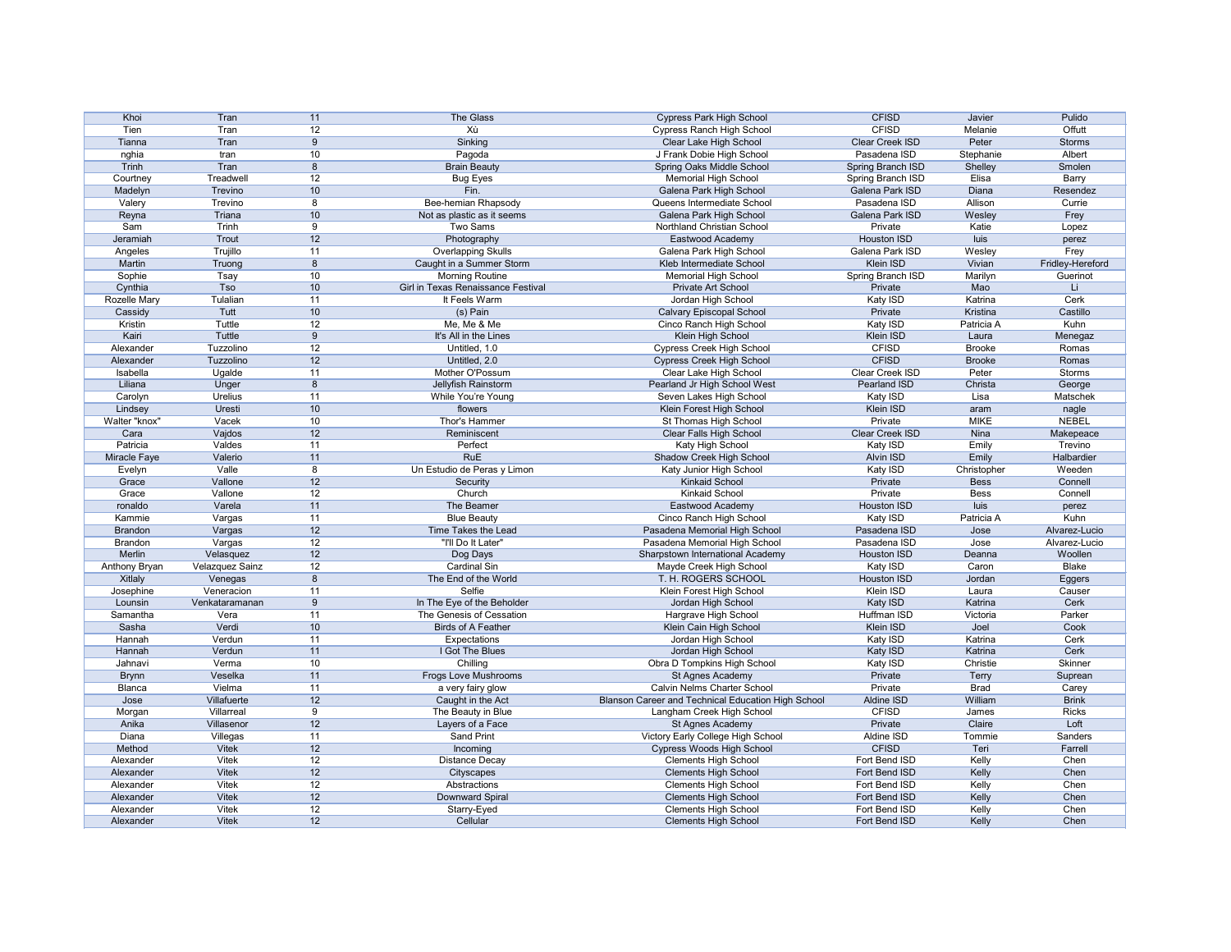| Khoi                | Tran                   | 11 | The Glass                          | <b>Cypress Park High School</b>                    | <b>CFISD</b>           | Javier        | Pulido           |
|---------------------|------------------------|----|------------------------------------|----------------------------------------------------|------------------------|---------------|------------------|
| Tien                | Tran                   | 12 | Хù                                 | <b>Cypress Ranch High School</b>                   | <b>CFISD</b>           | Melanie       | Offutt           |
|                     |                        |    | Sinking                            |                                                    |                        | Peter         |                  |
| Tianna              | Tran                   | 9  |                                    | Clear Lake High School                             | Clear Creek ISD        |               | <b>Storms</b>    |
| nghia               | tran                   | 10 | Pagoda                             | J Frank Dobie High School                          | Pasadena ISD           | Stephanie     | Albert           |
| Trinh               | Tran                   | 8  | <b>Brain Beauty</b>                | Spring Oaks Middle School                          | Spring Branch ISD      | Shelley       | Smolen           |
| Courtney            | Treadwell              | 12 | <b>Bug Eyes</b>                    | <b>Memorial High School</b>                        | Spring Branch ISD      | Elisa         | Barry            |
| Madelyn             | Trevino                | 10 | Fin.                               | Galena Park High School                            | Galena Park ISD        | Diana         | Resendez         |
| Valery              | Trevino                | 8  | Bee-hemian Rhapsody                | Queens Intermediate School                         | Pasadena ISD           | Allison       | Currie           |
| Reyna               | Triana                 | 10 | Not as plastic as it seems         | Galena Park High School                            | Galena Park ISD        | Wesley        | Frey             |
| Sam                 | Trinh                  | 9  | Two Sams                           | Northland Christian School                         | Private                | Katie         | Lopez            |
| Jeramiah            | Trout                  | 12 | Photography                        | Eastwood Academy                                   | <b>Houston ISD</b>     | luis          | perez            |
| Angeles             | Trujillo               | 11 | <b>Overlapping Skulls</b>          | Galena Park High School                            | Galena Park ISD        | Wesley        | Frey             |
| Martin              | Truong                 | 8  | Caught in a Summer Storm           | Kleb Intermediate School                           | Klein ISD              | Vivian        | Fridley-Hereford |
|                     |                        | 10 |                                    |                                                    |                        |               |                  |
| Sophie              | Tsay                   |    | <b>Morning Routine</b>             | <b>Memorial High School</b>                        | Spring Branch ISD      | Marilyn       | Guerinot         |
| Cynthia             | <b>Tso</b>             | 10 | Girl in Texas Renaissance Festival | Private Art School                                 | Private                | Mao           | Li               |
| <b>Rozelle Mary</b> | Tulalian               | 11 | It Feels Warm                      | Jordan High School                                 | Katy ISD               | Katrina       | Cerk             |
| Cassidy             | Tutt                   | 10 | (s) Pain                           | <b>Calvary Episcopal School</b>                    | Private                | Kristina      | Castillo         |
| Kristin             | Tuttle                 | 12 | Me, Me & Me                        | Cinco Ranch High School                            | Katy ISD               | Patricia A    | Kuhn             |
| Kairi               | <b>Tuttle</b>          | 9  | It's All in the Lines              | Klein High School                                  | <b>Klein ISD</b>       | Laura         | Menegaz          |
| Alexander           | Tuzzolino              | 12 | Untitled, 1.0                      | <b>Cypress Creek High School</b>                   | <b>CFISD</b>           | <b>Brooke</b> | Romas            |
| Alexander           | Tuzzolino              | 12 | Untitled, 2.0                      | <b>Cypress Creek High School</b>                   | <b>CFISD</b>           | <b>Brooke</b> | Romas            |
| Isabella            | Ugalde                 | 11 | Mother O'Possum                    | Clear Lake High School                             | Clear Creek ISD        | Peter         | Storms           |
| Liliana             | Unger                  | 8  | Jellyfish Rainstorm                | Pearland Jr High School West                       | Pearland ISD           | Christa       | George           |
| Carolyn             | <b>Urelius</b>         | 11 | While You're Young                 | Seven Lakes High School                            | Katy ISD               | Lisa          | Matschek         |
|                     |                        |    |                                    |                                                    | Klein ISD              |               |                  |
| Lindsey             | Uresti                 | 10 | flowers                            | Klein Forest High School                           |                        | aram          | nagle            |
| Walter "knox"       | Vacek                  | 10 | Thor's Hammer                      | St Thomas High School                              | Private                | <b>MIKE</b>   | <b>NEBEL</b>     |
| Cara                | Vajdos                 | 12 | Reminiscent                        | Clear Falls High School                            | <b>Clear Creek ISD</b> | Nina          | Makepeace        |
| Patricia            | Valdes                 | 11 | Perfect                            | Katy High School                                   | Katy ISD               | Emily         | Trevino          |
| Miracle Faye        | Valerio                | 11 | <b>RuE</b>                         | Shadow Creek High School                           | Alvin ISD              | Emily         | Halbardier       |
| Evelyn              | Valle                  | 8  | Un Estudio de Peras y Limon        | Katy Junior High School                            | Katy ISD               | Christopher   | Weeden           |
| Grace               | Vallone                | 12 | Security                           | <b>Kinkaid School</b>                              | Private                | <b>Bess</b>   | Connell          |
| Grace               | Vallone                | 12 | Church                             | <b>Kinkaid School</b>                              | Private                | <b>Bess</b>   | Connell          |
| ronaldo             | Varela                 | 11 | The Beamer                         | Eastwood Academy                                   | Houston ISD            | luis          | perez            |
| Kammie              | Vargas                 | 11 | <b>Blue Beauty</b>                 | Cinco Ranch High School                            | Katy ISD               | Patricia A    | Kuhn             |
| <b>Brandon</b>      | Vargas                 | 12 | Time Takes the Lead                | Pasadena Memorial High School                      | Pasadena ISD           | Jose          | Alvarez-Lucio    |
| <b>Brandon</b>      | Vargas                 | 12 | "I'll Do It Later"                 | Pasadena Memorial High School                      | Pasadena ISD           | Jose          | Alvarez-Lucio    |
| Merlin              | Velasquez              | 12 | Dog Days                           | Sharpstown International Academy                   | Houston ISD            | Deanna        | Woollen          |
|                     |                        |    |                                    |                                                    |                        |               |                  |
| Anthony Bryan       | <b>Velazquez Sainz</b> | 12 | <b>Cardinal Sin</b>                | Mayde Creek High School                            | Katy ISD               | Caron         | Blake            |
| Xitlaly             | Venegas                | 8  | The End of the World               | T. H. ROGERS SCHOOL                                | <b>Houston ISD</b>     | Jordan        | Eggers           |
| Josephine           | Veneracion             | 11 | Selfie                             | Klein Forest High School                           | Klein ISD              | Laura         | Causer           |
| Lounsin             | Venkataramanan         | 9  | In The Eye of the Beholder         | Jordan High School                                 | Katy ISD               | Katrina       | Cerk             |
| Samantha            | Vera                   | 11 | The Genesis of Cessation           | Hargrave High School                               | Huffman ISD            | Victoria      | Parker           |
| Sasha               | Verdi                  | 10 | <b>Birds of A Feather</b>          | Klein Cain High School                             | Klein ISD              | Joel          | Cook             |
| Hannah              | Verdun                 | 11 | Expectations                       | Jordan High School                                 | Katy ISD               | Katrina       | Cerk             |
| Hannah              | Verdun                 | 11 | I Got The Blues                    | Jordan High School                                 | Katy ISD               | Katrina       | Cerk             |
| Jahnavi             | Verma                  | 10 | Chilling                           | Obra D Tompkins High School                        | Katy ISD               | Christie      | Skinner          |
| <b>Brynn</b>        | Veselka                | 11 | Frogs Love Mushrooms               | St Agnes Academy                                   | Private                | <b>Terry</b>  | Suprean          |
| Blanca              | Vielma                 | 11 | a very fairy glow                  | <b>Calvin Nelms Charter School</b>                 | Private                | <b>Brad</b>   | Carey            |
| Jose                | Villafuerte            | 12 | Caught in the Act                  | Blanson Career and Technical Education High School | Aldine ISD             | William       | <b>Brink</b>     |
|                     |                        |    |                                    |                                                    |                        |               |                  |
| Morgan              | Villarreal             | 9  | The Beauty in Blue                 | Langham Creek High School                          | <b>CFISD</b>           | James         | <b>Ricks</b>     |
| Anika               | Villasenor             | 12 | Layers of a Face                   | St Agnes Academy                                   | Private                | Claire        | Loft             |
| Diana               | Villegas               | 11 | <b>Sand Print</b>                  | Victory Early College High School                  | Aldine ISD             | Tommie        | Sanders          |
| Method              | <b>Vitek</b>           | 12 | Incoming                           | <b>Cypress Woods High School</b>                   | <b>CFISD</b>           | Teri          | Farrell          |
| Alexander           | Vitek                  | 12 | <b>Distance Decay</b>              | <b>Clements High School</b>                        | Fort Bend ISD          | Kelly         | Chen             |
| Alexander           | <b>Vitek</b>           | 12 | Cityscapes                         | <b>Clements High School</b>                        | Fort Bend ISD          | Kelly         | Chen             |
| Alexander           | Vitek                  | 12 | Abstractions                       | <b>Clements High School</b>                        | Fort Bend ISD          | Kelly         | Chen             |
| Alexander           | <b>Vitek</b>           | 12 | Downward Spiral                    | <b>Clements High School</b>                        | Fort Bend ISD          | Kelly         | Chen             |
| Alexander           | Vitek                  | 12 | Starry-Eyed                        | <b>Clements High School</b>                        | Fort Bend ISD          | Kelly         | Chen             |
| Alexander           | <b>Vitek</b>           | 12 | Cellular                           | <b>Clements High School</b>                        | Fort Bend ISD          | Kelly         | Chen             |
|                     |                        |    |                                    |                                                    |                        |               |                  |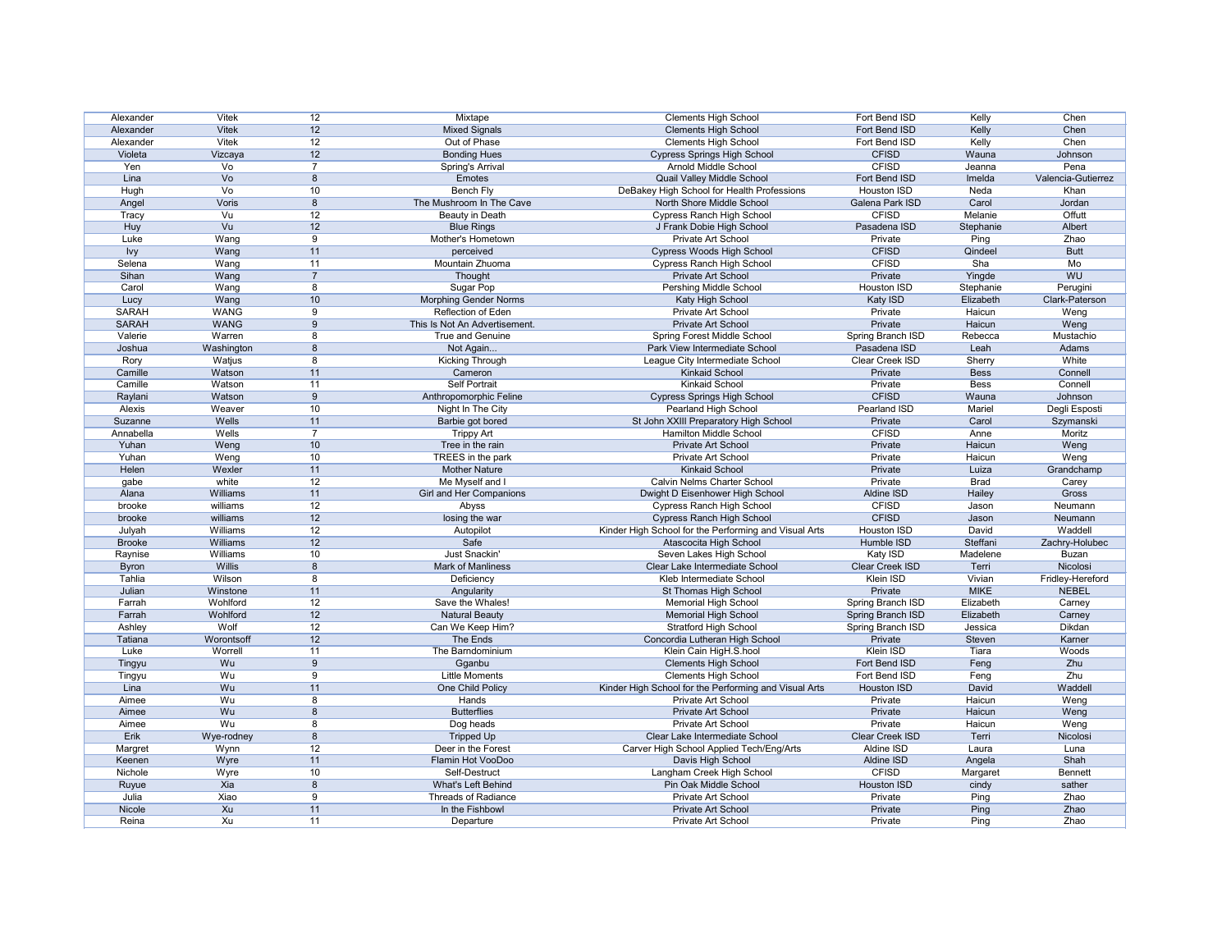| Alexander     | Vitek         | 12             | Mixtape                       | <b>Clements High School</b>                           | Fort Bend ISD            | Kelly       | Chen               |
|---------------|---------------|----------------|-------------------------------|-------------------------------------------------------|--------------------------|-------------|--------------------|
| Alexander     | <b>Vitek</b>  | 12             | <b>Mixed Signals</b>          | <b>Clements High School</b>                           | Fort Bend ISD            | Kelly       | Chen               |
| Alexander     | <b>Vitek</b>  | 12             | Out of Phase                  | <b>Clements High School</b>                           | Fort Bend ISD            | Kelly       | Chen               |
| Violeta       | Vizcaya       | 12             | <b>Bonding Hues</b>           | <b>Cypress Springs High School</b>                    | <b>CFISD</b>             | Wauna       | Johnson            |
| Yen           | Vo            | $\overline{7}$ | Spring's Arrival              | <b>Arnold Middle School</b>                           | <b>CFISD</b>             | Jeanna      | Pena               |
| Lina          | Vo            | 8              | Emotes                        | Quail Valley Middle School                            | Fort Bend ISD            | Imelda      | Valencia-Gutierrez |
| Hugh          | Vo            | 10             | Bench Fly                     | DeBakey High School for Health Professions            | Houston ISD              | Neda        | Khan               |
| Angel         | Voris         | 8              | The Mushroom In The Cave      | North Shore Middle School                             | Galena Park ISD          | Carol       | Jordan             |
| Tracy         | Vu            | 12             | Beauty in Death               | <b>Cypress Ranch High School</b>                      | <b>CFISD</b>             | Melanie     | Offutt             |
| Huy           | Vu            | 12             | <b>Blue Rings</b>             | J Frank Dobie High School                             | Pasadena ISD             | Stephanie   | Albert             |
| Luke          | Wang          | 9              | Mother's Hometown             | Private Art School                                    | Private                  | Ping        | Zhao               |
| <b>Ivy</b>    | Wang          | 11             | perceived                     | <b>Cypress Woods High School</b>                      | <b>CFISD</b>             | Qindeel     | <b>Butt</b>        |
| Selena        | Wang          | 11             | Mountain Zhuoma               | <b>Cypress Ranch High School</b>                      | <b>CFISD</b>             | Sha         | Mo                 |
| Sihan         | Wang          | $\overline{7}$ | Thought                       | Private Art School                                    | Private                  | Yingde      | WU                 |
| Carol         | Wang          | 8              | Sugar Pop                     | Pershing Middle School                                | <b>Houston ISD</b>       | Stephanie   | Perugini           |
|               |               |                |                               |                                                       |                          | Elizabeth   |                    |
| Lucy          | Wang          | 10             | <b>Morphing Gender Norms</b>  | Katy High School                                      | Katy ISD                 |             | Clark-Paterson     |
| <b>SARAH</b>  | <b>WANG</b>   | -9             | <b>Reflection of Eden</b>     | <b>Private Art School</b>                             | Private                  | Haicun      | Weng               |
| <b>SARAH</b>  | <b>WANG</b>   | 9              | This Is Not An Advertisement. | Private Art School                                    | Private                  | Haicun      | Weng               |
| Valerie       | Warren        | 8              | True and Genuine              | Spring Forest Middle School                           | Spring Branch ISD        | Rebecca     | Mustachio          |
| Joshua        | Washington    | 8              | Not Again                     | Park View Intermediate School                         | Pasadena ISD             | Leah        | Adams              |
| Rory          | Watjus        | 8              | Kicking Through               | League City Intermediate School                       | Clear Creek ISD          | Sherry      | White              |
| Camille       | Watson        | 11             | Cameron                       | <b>Kinkaid School</b>                                 | Private                  | <b>Bess</b> | Connell            |
| Camille       | Watson        | 11             | <b>Self Portrait</b>          | <b>Kinkaid School</b>                                 | Private                  | <b>Bess</b> | Connell            |
| Raylani       | Watson        | 9              | Anthropomorphic Feline        | <b>Cypress Springs High School</b>                    | <b>CFISD</b>             | Wauna       | Johnson            |
| Alexis        | Weaver        | 10             | Night In The City             | Pearland High School                                  | Pearland ISD             | Mariel      | Degli Esposti      |
| Suzanne       | Wells         | 11             | Barbie got bored              | St John XXIII Preparatory High School                 | Private                  | Carol       | Szymanski          |
| Annabella     | Wells         | $\overline{7}$ | <b>Trippy Art</b>             | Hamilton Middle School                                | <b>CFISD</b>             | Anne        | Moritz             |
| Yuhan         | Weng          | 10             | Tree in the rain              | Private Art School                                    | Private                  | Haicun      | Weng               |
| Yuhan         | Weng          | 10             | TREES in the park             | Private Art School                                    | Private                  | Haicun      | Weng               |
| Helen         | Wexler        | 11             | <b>Mother Nature</b>          | <b>Kinkaid School</b>                                 | Private                  | Luiza       | Grandchamp         |
| gabe          | white         | 12             | Me Myself and I               | <b>Calvin Nelms Charter School</b>                    | Private                  | <b>Brad</b> | Carey              |
| Alana         | Williams      | 11             | Girl and Her Companions       | Dwight D Eisenhower High School                       | Aldine ISD               | Hailey      | Gross              |
| brooke        | williams      | 12             | Abyss                         | <b>Cypress Ranch High School</b>                      | <b>CFISD</b>             | Jason       | Neumann            |
| brooke        | williams      | 12             | losing the war                | <b>Cypress Ranch High School</b>                      | <b>CFISD</b>             | Jason       | Neumann            |
| Julyah        | Williams      | 12             |                               | Kinder High School for the Performing and Visual Arts | <b>Houston ISD</b>       | David       | Waddell            |
| <b>Brooke</b> | Williams      | 12             | Autopilot<br>Safe             |                                                       | Humble ISD               | Steffani    | Zachry-Holubec     |
|               | Williams      |                | Just Snackin'                 | Atascocita High School                                |                          | Madelene    |                    |
| Raynise       |               | 10             |                               | Seven Lakes High School                               | Katy ISD                 |             | <b>Buzan</b>       |
| <b>Byron</b>  | <b>Willis</b> | 8              | Mark of Manliness             | Clear Lake Intermediate School                        | Clear Creek ISD          | Terri       | Nicolosi           |
| Tahlia        | Wilson        | 8              | Deficiency                    | Kleb Intermediate School                              | Klein ISD                | Vivian      | Fridley-Hereford   |
| Julian        | Winstone      | 11             | Angularity                    | St Thomas High School                                 | Private                  | <b>MIKE</b> | <b>NEBEL</b>       |
| Farrah        | Wohlford      | 12             | Save the Whales!              | Memorial High School                                  | Spring Branch ISD        | Elizabeth   | Carney             |
| Farrah        | Wohlford      | 12             | <b>Natural Beauty</b>         | <b>Memorial High School</b>                           | <b>Spring Branch ISD</b> | Elizabeth   | Carney             |
| Ashley        | Wolf          | 12             | Can We Keep Him?              | <b>Stratford High School</b>                          | Spring Branch ISD        | Jessica     | Dikdan             |
| Tatiana       | Worontsoff    | 12             | The Ends                      | Concordia Lutheran High School                        | Private                  | Steven      | Karner             |
| Luke          | Worrell       | 11             | The Barndominium              | Klein Cain HigH.S.hool                                | Klein ISD                | Tiara       | Woods              |
| Tingyu        | Wu            | 9              | Gganbu                        | <b>Clements High School</b>                           | Fort Bend ISD            | Feng        | Zhu                |
| Tingyu        | Wu            | 9              | Little Moments                | <b>Clements High School</b>                           | Fort Bend ISD            | Feng        | Zhu                |
| Lina          | Wu            | 11             | One Child Policy              | Kinder High School for the Performing and Visual Arts | Houston ISD              | David       | Waddell            |
| Aimee         | Wu            | 8              | Hands                         | Private Art School                                    | Private                  | Haicun      | Weng               |
| Aimee         | Wu            | 8              | <b>Butterflies</b>            | Private Art School                                    | Private                  | Haicun      | Weng               |
| Aimee         | Wu            | 8              | Dog heads                     | Private Art School                                    | Private                  | Haicun      | Weng               |
| Erik          | Wye-rodney    | 8              | <b>Tripped Up</b>             | Clear Lake Intermediate School                        | Clear Creek ISD          | Terri       | Nicolosi           |
| Margret       | Wynn          | 12             | Deer in the Forest            | Carver High School Applied Tech/Eng/Arts              | Aldine ISD               | Laura       | Luna               |
| Keenen        | Wyre          | 11             | Flamin Hot VooDoo             | Davis High School                                     | Aldine ISD               | Angela      | Shah               |
| Nichole       | Wyre          | 10             | Self-Destruct                 | Langham Creek High School                             | <b>CFISD</b>             | Margaret    | <b>Bennett</b>     |
| Ruyue         | Xia           | 8              | What's Left Behind            | Pin Oak Middle School                                 | Houston ISD              | cindy       | sather             |
| Julia         | Xiao          | 9              | <b>Threads of Radiance</b>    | Private Art School                                    | Private                  | Ping        | Zhao               |
| Nicole        |               | 11             |                               | Private Art School                                    | Private                  |             | Zhao               |
|               | Xu            |                | In the Fishbowl               |                                                       |                          | Ping        |                    |
| Reina         | Xu            | 11             | Departure                     | Private Art School                                    | Private                  | Ping        | Zhao               |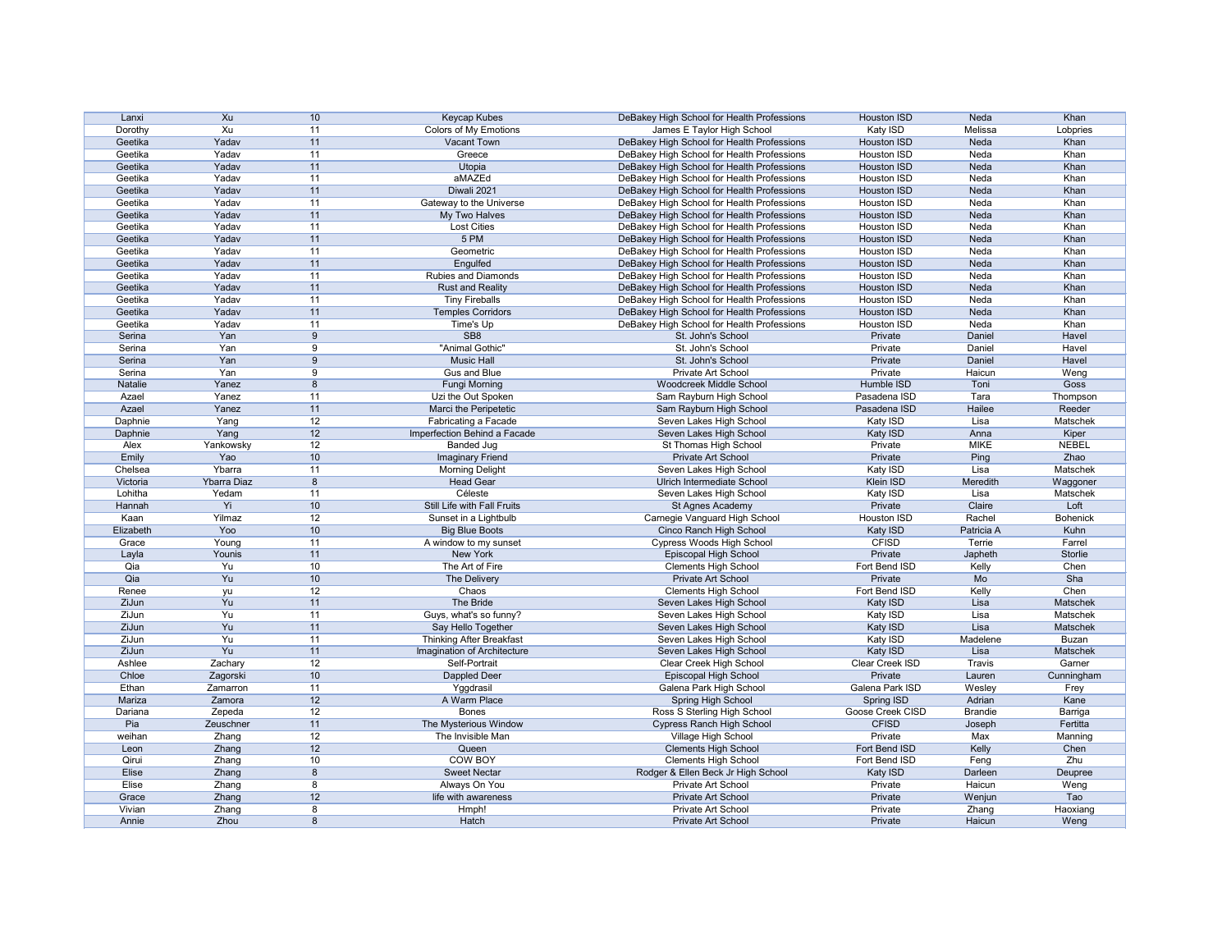| Lanxi     | Xu          | 10              | Keycap Kubes                    | DeBakey High School for Health Professions | <b>Houston ISD</b> | Neda           | Khan                 |
|-----------|-------------|-----------------|---------------------------------|--------------------------------------------|--------------------|----------------|----------------------|
| Dorothy   | Xu          | 11              | Colors of My Emotions           | James E Taylor High School                 | Katy ISD           | Melissa        | Lobpries             |
| Geetika   | Yadav       | 11              | Vacant Town                     | DeBakey High School for Health Professions | <b>Houston ISD</b> | Neda           | Khan                 |
| Geetika   | Yadav       | 11              | Greece                          | DeBakey High School for Health Professions | Houston ISD        | Neda           | Khan                 |
| Geetika   | Yadav       | 11              | Utopia                          | DeBakey High School for Health Professions | <b>Houston ISD</b> | Neda           | Khan                 |
| Geetika   | Yadav       | 11              | aMAZEd                          | DeBakey High School for Health Professions | Houston ISD        | Neda           | Khan                 |
| Geetika   | Yadav       | 11              | Diwali 2021                     | DeBakey High School for Health Professions | <b>Houston ISD</b> | Neda           | Khan                 |
| Geetika   | Yadav       | 11              | Gateway to the Universe         | DeBakey High School for Health Professions | Houston ISD        | Neda           | Khan                 |
| Geetika   | Yadav       | 11              | My Two Halves                   | DeBakey High School for Health Professions | <b>Houston ISD</b> | Neda           | Khan                 |
| Geetika   | Yadav       | 11              | <b>Lost Cities</b>              | DeBakey High School for Health Professions | Houston ISD        | Neda           | Khan                 |
| Geetika   | Yadav       | 11              | 5 PM                            | DeBakey High School for Health Professions | <b>Houston ISD</b> | Neda           | Khan                 |
| Geetika   | Yadav       | 11              | Geometric                       | DeBakey High School for Health Professions | Houston ISD        | Neda           | Khan                 |
| Geetika   | Yadav       | 11              | Engulfed                        | DeBakey High School for Health Professions | <b>Houston ISD</b> | Neda           | Khan                 |
| Geetika   | Yadav       | 11              | Rubies and Diamonds             |                                            |                    | Neda           |                      |
|           |             |                 |                                 | DeBakey High School for Health Professions | Houston ISD        |                | Khan                 |
| Geetika   | Yadav       | 11              | <b>Rust and Reality</b>         | DeBakey High School for Health Professions | <b>Houston ISD</b> | Neda           | Khan                 |
| Geetika   | Yadav       | 11              | <b>Tiny Fireballs</b>           | DeBakey High School for Health Professions | Houston ISD        | Neda           | Khan                 |
| Geetika   | Yadav       | 11              | <b>Temples Corridors</b>        | DeBakey High School for Health Professions | <b>Houston ISD</b> | Neda           | Khan                 |
| Geetika   | Yadav       | 11              | Time's Up                       | DeBakey High School for Health Professions | Houston ISD        | Neda           | Khan                 |
| Serina    | Yan         | 9               | SB <sub>8</sub>                 | St. John's School                          | Private            | Daniel         | Havel                |
| Serina    | Yan         | 9               | "Animal Gothic"                 | St. John's School                          | Private            | Daniel         | Havel                |
| Serina    | Yan         | 9               | <b>Music Hall</b>               | St. John's School                          | Private            | Daniel         | Havel                |
| Serina    | Yan         | 9               | Gus and Blue                    | Private Art School                         | Private            | Haicun         | Weng                 |
| Natalie   | Yanez       | 8               | <b>Fungi Morning</b>            | Woodcreek Middle School                    | Humble ISD         | Toni           | Goss                 |
| Azael     | Yanez       | 11              | Uzi the Out Spoken              | Sam Rayburn High School                    | Pasadena ISD       | Tara           | Thompson             |
| Azael     | Yanez       | 11              | Marci the Peripetetic           | Sam Rayburn High School                    | Pasadena ISD       | Hailee         | Reeder               |
| Daphnie   | Yang        | 12              | Fabricating a Facade            | Seven Lakes High School                    | Katy ISD           | Lisa           | Matschek             |
| Daphnie   | Yang        | 12              | Imperfection Behind a Facade    | Seven Lakes High School                    | Katy ISD           | Anna           | Kiper                |
| Alex      | Yankowsky   | 12              | <b>Banded Jug</b>               | St Thomas High School                      | Private            | <b>MIKE</b>    | <b>NEBEL</b>         |
| Emily     | Yao         | 10              | <b>Imaginary Friend</b>         | Private Art School                         | Private            | Ping           | Zhao                 |
| Chelsea   | Ybarra      | 11              | <b>Morning Delight</b>          | Seven Lakes High School                    | Katy ISD           | Lisa           | Matschek             |
| Victoria  | Ybarra Diaz | 8               | <b>Head Gear</b>                | <b>Ulrich Intermediate School</b>          | Klein ISD          | Meredith       |                      |
| Lohitha   | Yedam       | 11              | Céleste                         | Seven Lakes High School                    | Katy ISD           | Lisa           | Waggoner<br>Matschek |
|           | Yi          | 10 <sup>°</sup> |                                 |                                            |                    | Claire         | Loft                 |
| Hannah    |             |                 | Still Life with Fall Fruits     | St Agnes Academy                           | Private            |                |                      |
| Kaan      | Yilmaz      | 12              | Sunset in a Lightbulb           | Carnegie Vanguard High School              | Houston ISD        | Rachel         | <b>Bohenick</b>      |
| Elizabeth | Yoo         | 10              | <b>Big Blue Boots</b>           | Cinco Ranch High School                    | Katy ISD           | Patricia A     | Kuhn                 |
| Grace     | Young       | 11              | A window to my sunset           | Cypress Woods High School                  | <b>CFISD</b>       | Terrie         | Farrel               |
| Layla     | Younis      | 11              | New York                        | Episcopal High School                      | Private            | Japheth        | Storlie              |
| Qia       | Yu          | 10              | The Art of Fire                 | <b>Clements High School</b>                | Fort Bend ISD      | Kelly          | Chen                 |
| Qia       | Yu          | 10 <sup>1</sup> | The Delivery                    | Private Art School                         | Private            | Mo             | Sha                  |
| Renee     | yu          | 12              | Chaos                           | <b>Clements High School</b>                | Fort Bend ISD      | Kelly          | Chen                 |
| ZiJun     | Yu          | 11              | The Bride                       | Seven Lakes High School                    | Katy ISD           | Lisa           | Matschek             |
| ZiJun     | Yu          | 11              | Guys, what's so funny?          | Seven Lakes High School                    | Katy ISD           | Lisa           | Matschek             |
| ZiJun     | Yu          | 11              | Say Hello Together              | Seven Lakes High School                    | Katy ISD           | Lisa           | Matschek             |
| ZiJun     | Yu          | 11              | <b>Thinking After Breakfast</b> | Seven Lakes High School                    | Katy ISD           | Madelene       | Buzan                |
| ZiJun     | Yu          | 11              | Imagination of Architecture     | Seven Lakes High School                    | Katy ISD           | Lisa           | Matschek             |
| Ashlee    | Zachary     | 12              | Self-Portrait                   | Clear Creek High School                    | Clear Creek ISD    | Travis         | Garner               |
| Chloe     | Zagorski    | 10              | <b>Dappled Deer</b>             | Episcopal High School                      | Private            | Lauren         | Cunningham           |
| Ethan     | Zamarron    | 11              | Yggdrasil                       | Galena Park High School                    | Galena Park ISD    | Wesley         | Frey                 |
| Mariza    | Zamora      | 12              | A Warm Place                    | Spring High School                         | Spring ISD         | Adrian         | Kane                 |
| Dariana   | Zepeda      | 12              | <b>Bones</b>                    | Ross S Sterling High School                | Goose Creek CISD   | <b>Brandie</b> | Barriga              |
| Pia       | Zeuschner   | 11              | The Mysterious Window           | <b>Cypress Ranch High School</b>           | <b>CFISD</b>       | Joseph         | Fertitta             |
| weihan    | Zhang       | 12              | The Invisible Man               | Village High School                        | Private            | Max            | Manning              |
| Leon      | Zhang       | 12              | Queen                           | <b>Clements High School</b>                | Fort Bend ISD      | Kelly          | Chen                 |
| Qirui     | Zhang       | 10              | <b>COW BOY</b>                  | <b>Clements High School</b>                | Fort Bend ISD      | Feng           | Zhu                  |
| Elise     | Zhang       | 8               | <b>Sweet Nectar</b>             | Rodger & Ellen Beck Jr High School         | Katy ISD           | Darleen        |                      |
|           |             |                 |                                 |                                            |                    |                | Deupree              |
| Elise     | Zhang       | 8               | Always On You                   | Private Art School                         | Private            | Haicun         | Weng                 |
| Grace     | Zhang       | 12              | life with awareness             | <b>Private Art School</b>                  | Private            | Wenjun         | Tao                  |
| Vivian    | Zhang       | 8               | Hmph!                           | Private Art School                         | Private            | Zhang          | Haoxiang             |
| Annie     | Zhou        | $\bf 8$         | Hatch                           | Private Art School                         | Private            | Haicun         | Weng                 |

| <b>Houston ISD</b> | Neda           | Khan            |
|--------------------|----------------|-----------------|
| Katy ISD           | Melissa        | Lobpries        |
| <b>Houston ISD</b> | Neda           | Khan            |
| <b>Houston ISD</b> | Neda           | Khan            |
| <b>Houston ISD</b> | Neda           | Khan            |
| <b>Houston ISD</b> | Neda           | Khan            |
| <b>Houston ISD</b> | Neda           | Khan            |
| <b>Houston ISD</b> | Neda           | Khan            |
| <b>Houston ISD</b> | Neda           | Khan            |
| <b>Houston ISD</b> | Neda           | Khan            |
| <b>Houston ISD</b> | Neda           | Khan            |
| <b>Houston ISD</b> | Neda           | Khan            |
| <b>Houston ISD</b> | Neda           | Khan            |
| <b>Houston ISD</b> | Neda           | Khan            |
| <b>Houston ISD</b> | Neda           | Khan            |
| <b>Houston ISD</b> | Neda           | Khan            |
| <b>Houston ISD</b> | Neda           | Khan            |
| Houston ISD        | Neda           | Khan            |
| Private            | Daniel         | Havel           |
| Private            | Daniel         | Havel           |
| Private            | Daniel         | Havel           |
|                    | Haicun         |                 |
| Private            |                | Weng            |
| Humble ISD         | Toni           | Goss            |
| Pasadena ISD       | Tara           | Thompson        |
| Pasadena ISD       | Hailee         | Reeder          |
| Katy ISD           | Lisa           | Matschek        |
| Katy ISD           | Anna           | Kiper           |
| Private            | MIKE           | <b>NEBEL</b>    |
| Private            | Ping           | Zhao            |
| Katy ISD           | Lisa           | Matschek        |
| Klein ISD          | Meredith       | Waggoner        |
| Katy ISD           | Lisa           | Matschek        |
| Private            | Claire         | Loft            |
| <b>Houston ISD</b> | Rachel         | <b>Bohenick</b> |
| Katy ISD           | Patricia A     | Kuhn            |
| <b>CFISD</b>       | Terrie         | Farrel          |
| Private            | Japheth        | <b>Storlie</b>  |
| Fort Bend ISD      | Kelly          | Chen            |
| Private            | Mo             | Sha             |
| Fort Bend ISD      | Kelly          | Chen            |
| Katy ISD           | Lisa           | Matschek        |
| Katy ISD           | Lisa           | Matschek        |
| Katy ISD           | Lisa           | <b>Matschek</b> |
| Katy ISD           | Madelene       | <b>Buzan</b>    |
| Katy ISD           | Lisa           | <b>Matschek</b> |
| Clear Creek ISD    | Travis         | Garner          |
| Private            | Lauren         | Cunningham      |
| Galena Park ISD    | Wesley         | Frey            |
| Spring ISD         | Adrian         | Kane            |
| oose Creek CISD    | <b>Brandie</b> | Barriga         |
| <b>CFISD</b>       | Joseph         | Fertitta        |
| Private            | Max            | Manning         |
| Fort Bend ISD      | Kelly          | Chen            |
| Fort Bend ISD      | Feng           | Zhu             |
| Katy ISD           | Darleen        | Deupree         |
| Private            | Haicun         | Weng            |
| Private            | Wenjun         | Tao             |
| Private            | Zhang          | Haoxiang        |
| Private            | Haicun         | Weng            |